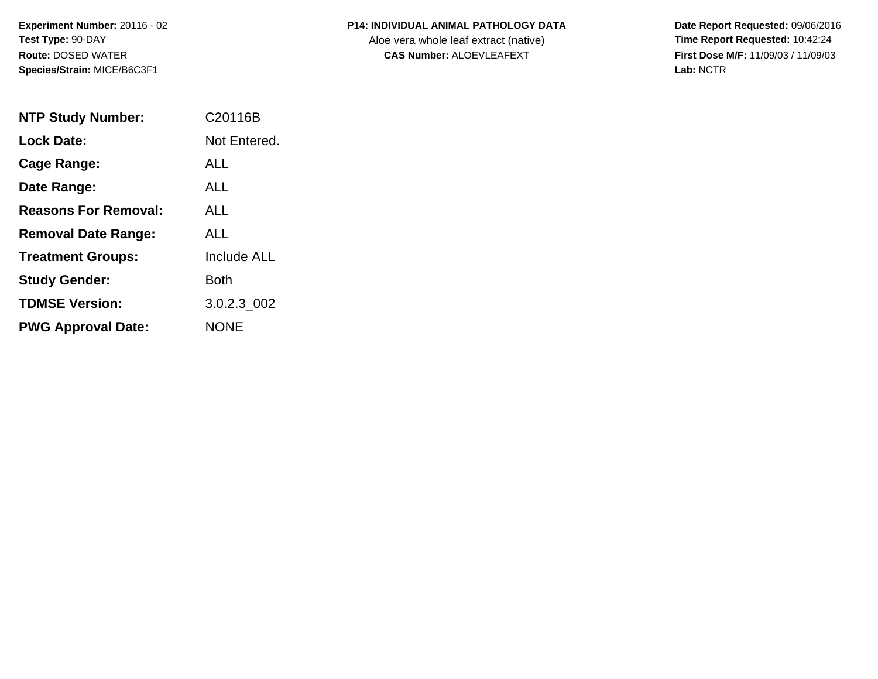**Experiment Number:** 20116 - 02**Test Type:** 90-DAY**Route:** DOSED WATER**Species/Strain:** MICE/B6C3F1

| <b>P14: INDIVIDUAL ANIMAL PATHOLOGY DATA</b> |
|----------------------------------------------|
|                                              |

Aloe vera whole leaf extract (native)<br>**CAS Number:** ALOEVLEAFEXT

| <b>NTP Study Number:</b>    | C <sub>20116</sub> B |
|-----------------------------|----------------------|
| <b>Lock Date:</b>           | Not Entered.         |
| Cage Range:                 | ALL.                 |
| Date Range:                 | ALL                  |
| <b>Reasons For Removal:</b> | ALL.                 |
| <b>Removal Date Range:</b>  | ALL.                 |
| <b>Treatment Groups:</b>    | <b>Include ALL</b>   |
| <b>Study Gender:</b>        | Both                 |
| <b>TDMSE Version:</b>       | 3.0.2.3 002          |
| <b>PWG Approval Date:</b>   | <b>NONF</b>          |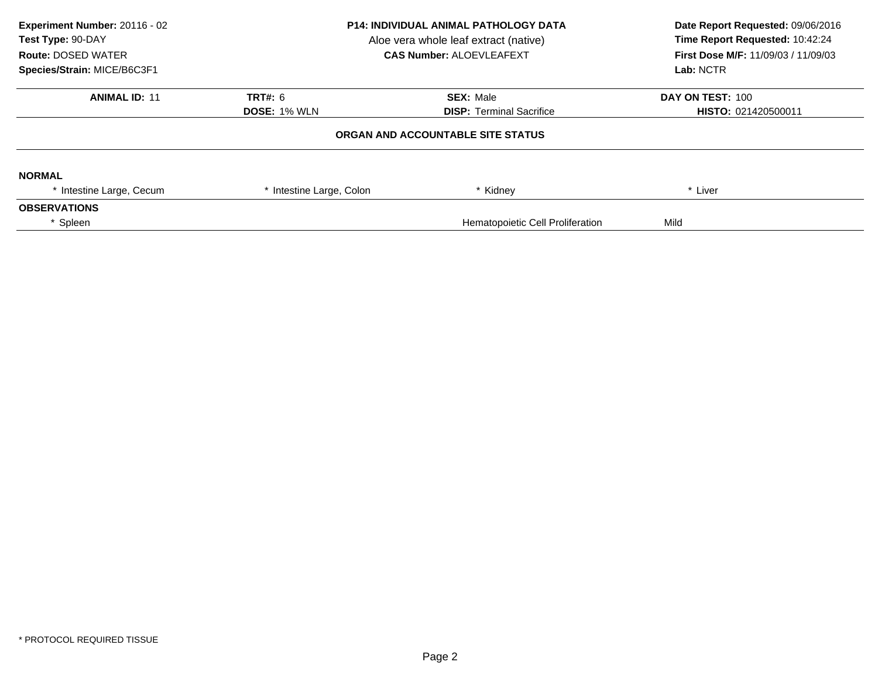| Experiment Number: 20116 - 02<br>Test Type: 90-DAY<br><b>Route: DOSED WATER</b><br>Species/Strain: MICE/B6C3F1 | <b>P14: INDIVIDUAL ANIMAL PATHOLOGY DATA</b><br>Aloe vera whole leaf extract (native)<br><b>CAS Number: ALOEVLEAFEXT</b> |                                   | Date Report Requested: 09/06/2016<br>Time Report Requested: 10:42:24<br><b>First Dose M/F: 11/09/03 / 11/09/03</b><br>Lab: NCTR |  |
|----------------------------------------------------------------------------------------------------------------|--------------------------------------------------------------------------------------------------------------------------|-----------------------------------|---------------------------------------------------------------------------------------------------------------------------------|--|
| <b>ANIMAL ID: 11</b>                                                                                           | <b>TRT#: 6</b>                                                                                                           | <b>SEX: Male</b>                  | DAY ON TEST: 100                                                                                                                |  |
|                                                                                                                | <b>DOSE: 1% WLN</b>                                                                                                      | <b>DISP: Terminal Sacrifice</b>   | <b>HISTO: 021420500011</b>                                                                                                      |  |
|                                                                                                                |                                                                                                                          | ORGAN AND ACCOUNTABLE SITE STATUS |                                                                                                                                 |  |
| <b>NORMAL</b>                                                                                                  |                                                                                                                          |                                   |                                                                                                                                 |  |
| * Intestine Large, Cecum                                                                                       | * Intestine Large, Colon                                                                                                 | * Kidney                          | * Liver                                                                                                                         |  |
| <b>OBSERVATIONS</b>                                                                                            |                                                                                                                          |                                   |                                                                                                                                 |  |
| * Spleen                                                                                                       |                                                                                                                          | Hematopoietic Cell Proliferation  | Mild                                                                                                                            |  |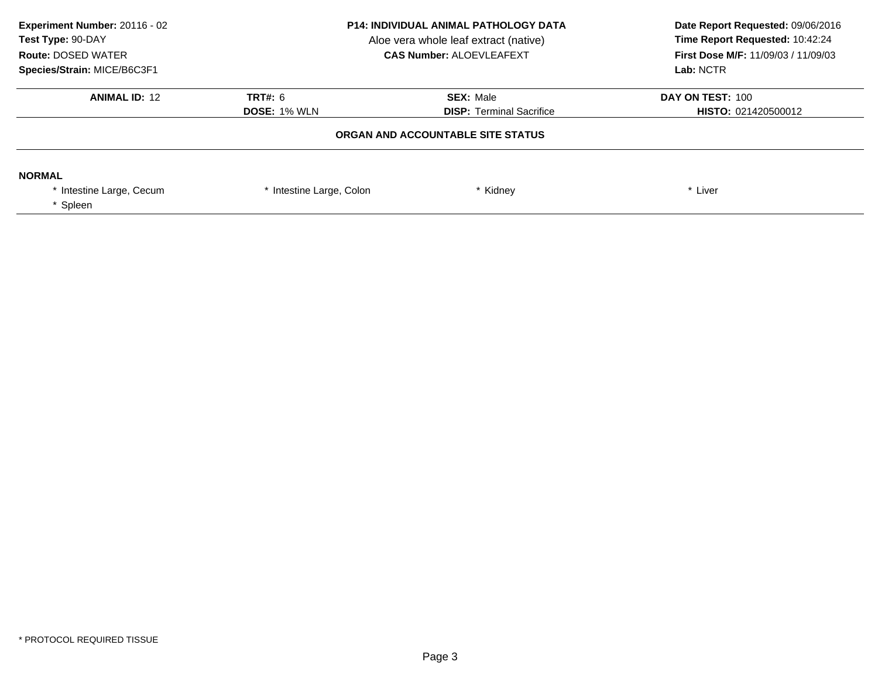| Experiment Number: 20116 - 02<br>Test Type: 90-DAY<br><b>Route: DOSED WATER</b><br>Species/Strain: MICE/B6C3F1 | <b>P14: INDIVIDUAL ANIMAL PATHOLOGY DATA</b><br>Aloe vera whole leaf extract (native)<br><b>CAS Number: ALOEVLEAFEXT</b> |                                                                      | Date Report Requested: 09/06/2016<br>Time Report Requested: 10:42:24<br>First Dose M/F: 11/09/03 / 11/09/03<br>Lab: NCTR |
|----------------------------------------------------------------------------------------------------------------|--------------------------------------------------------------------------------------------------------------------------|----------------------------------------------------------------------|--------------------------------------------------------------------------------------------------------------------------|
| <b>ANIMAL ID: 12</b>                                                                                           | TRT#: 6                                                                                                                  | <b>SEX: Male</b>                                                     | DAY ON TEST: 100                                                                                                         |
|                                                                                                                | <b>DOSE: 1% WLN</b>                                                                                                      | <b>DISP:</b> Terminal Sacrifice<br>ORGAN AND ACCOUNTABLE SITE STATUS | <b>HISTO: 021420500012</b>                                                                                               |
|                                                                                                                |                                                                                                                          |                                                                      |                                                                                                                          |
| <b>NORMAL</b>                                                                                                  |                                                                                                                          |                                                                      |                                                                                                                          |
| Intestine Large, Cecum<br>Spleen                                                                               | * Intestine Large, Colon                                                                                                 | * Kidney                                                             | * Liver                                                                                                                  |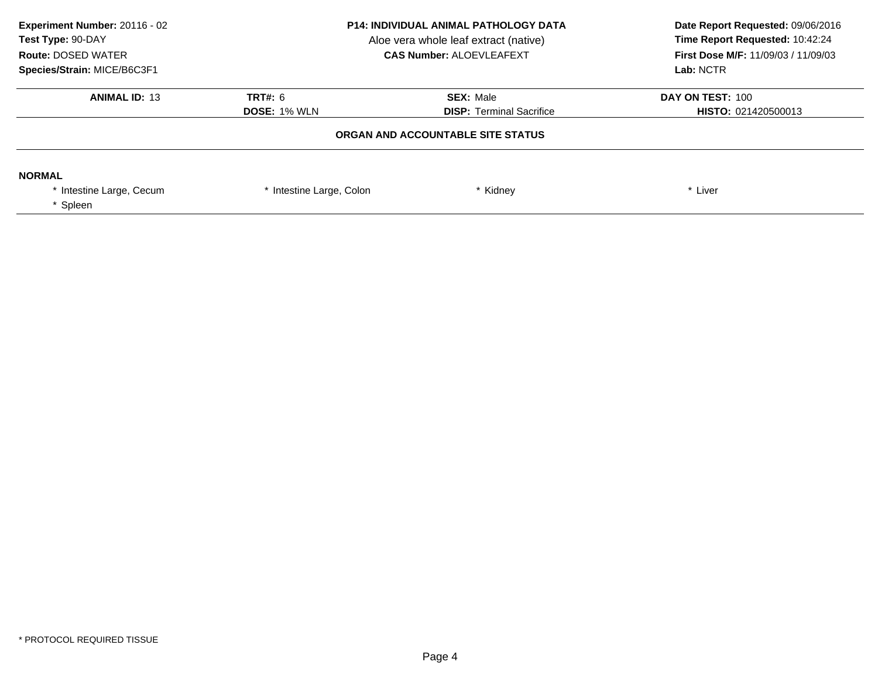| Experiment Number: 20116 - 02<br>Test Type: 90-DAY<br><b>Route: DOSED WATER</b><br>Species/Strain: MICE/B6C3F1 | <b>P14: INDIVIDUAL ANIMAL PATHOLOGY DATA</b><br>Aloe vera whole leaf extract (native)<br><b>CAS Number: ALOEVLEAFEXT</b> |                  | Date Report Requested: 09/06/2016<br>Time Report Requested: 10:42:24<br>First Dose M/F: 11/09/03 / 11/09/03<br>Lab: NCTR |
|----------------------------------------------------------------------------------------------------------------|--------------------------------------------------------------------------------------------------------------------------|------------------|--------------------------------------------------------------------------------------------------------------------------|
| <b>ANIMAL ID: 13</b>                                                                                           | TRT#: 6                                                                                                                  | <b>SEX: Male</b> | DAY ON TEST: 100<br><b>HISTO: 021420500013</b>                                                                           |
| <b>DISP:</b> Terminal Sacrifice<br><b>DOSE: 1% WLN</b><br>ORGAN AND ACCOUNTABLE SITE STATUS                    |                                                                                                                          |                  |                                                                                                                          |
| <b>NORMAL</b><br>Intestine Large, Cecum<br>Spleen                                                              | * Intestine Large, Colon                                                                                                 | * Kidney         | * Liver                                                                                                                  |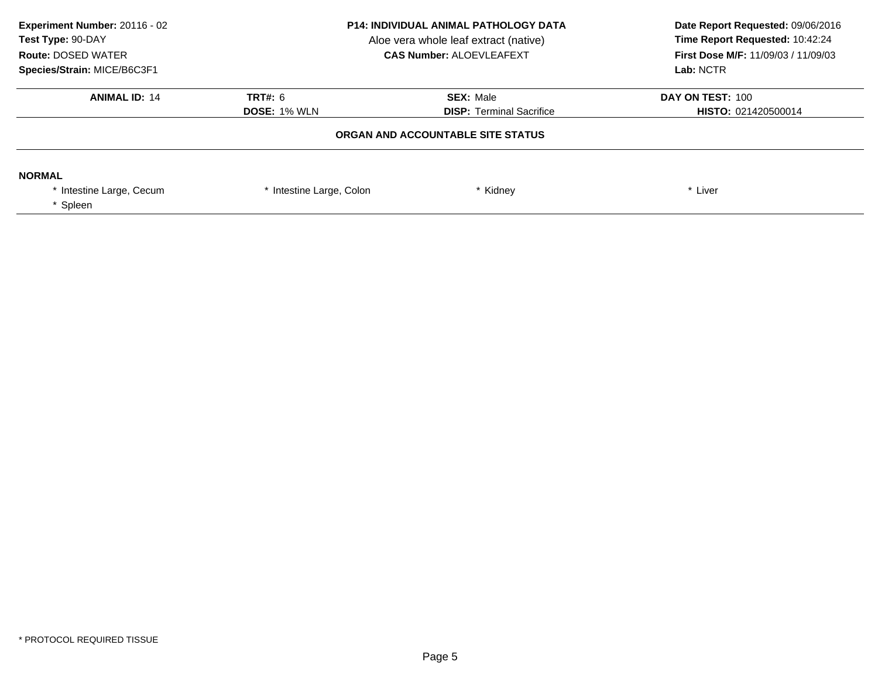| <b>P14: INDIVIDUAL ANIMAL PATHOLOGY DATA</b><br>Aloe vera whole leaf extract (native)<br><b>CAS Number: ALOEVLEAFEXT</b> |                     | Date Report Requested: 09/06/2016<br>Time Report Requested: 10:42:24<br>First Dose M/F: 11/09/03 / 11/09/03<br>Lab: NCTR |
|--------------------------------------------------------------------------------------------------------------------------|---------------------|--------------------------------------------------------------------------------------------------------------------------|
| TRT#: 6                                                                                                                  | <b>SEX: Male</b>    | DAY ON TEST: 100<br>HISTO: 021420500014                                                                                  |
| ORGAN AND ACCOUNTABLE SITE STATUS                                                                                        |                     |                                                                                                                          |
| * Intestine Large, Colon                                                                                                 | * Kidney            | * Liver                                                                                                                  |
|                                                                                                                          | <b>DOSE: 1% WLN</b> | <b>DISP:</b> Terminal Sacrifice                                                                                          |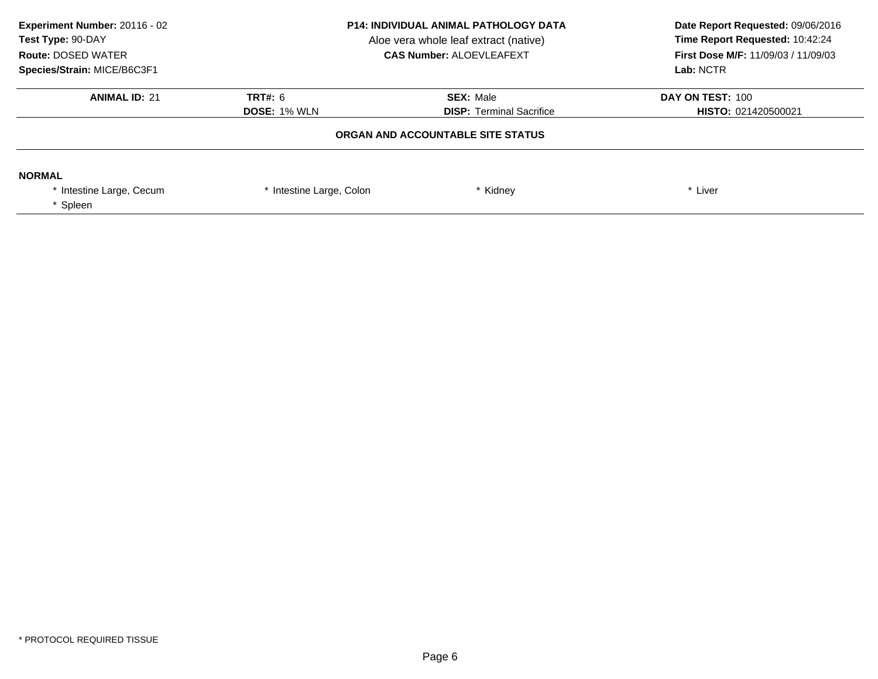| Experiment Number: 20116 - 02<br>Test Type: 90-DAY<br><b>Route: DOSED WATER</b><br>Species/Strain: MICE/B6C3F1 | <b>P14: INDIVIDUAL ANIMAL PATHOLOGY DATA</b><br>Aloe vera whole leaf extract (native)<br><b>CAS Number: ALOEVLEAFEXT</b> |                                                     | Date Report Requested: 09/06/2016<br>Time Report Requested: 10:42:24<br>First Dose M/F: 11/09/03 / 11/09/03<br>Lab: NCTR |
|----------------------------------------------------------------------------------------------------------------|--------------------------------------------------------------------------------------------------------------------------|-----------------------------------------------------|--------------------------------------------------------------------------------------------------------------------------|
| <b>ANIMAL ID: 21</b>                                                                                           | TRT#: 6<br><b>DOSE: 1% WLN</b>                                                                                           | <b>SEX: Male</b><br><b>DISP:</b> Terminal Sacrifice | DAY ON TEST: 100<br><b>HISTO: 021420500021</b>                                                                           |
|                                                                                                                |                                                                                                                          | ORGAN AND ACCOUNTABLE SITE STATUS                   |                                                                                                                          |
| <b>NORMAL</b><br>* Intestine Large, Cecum<br>* Spleen                                                          | * Intestine Large, Colon                                                                                                 | * Kidney                                            | * Liver                                                                                                                  |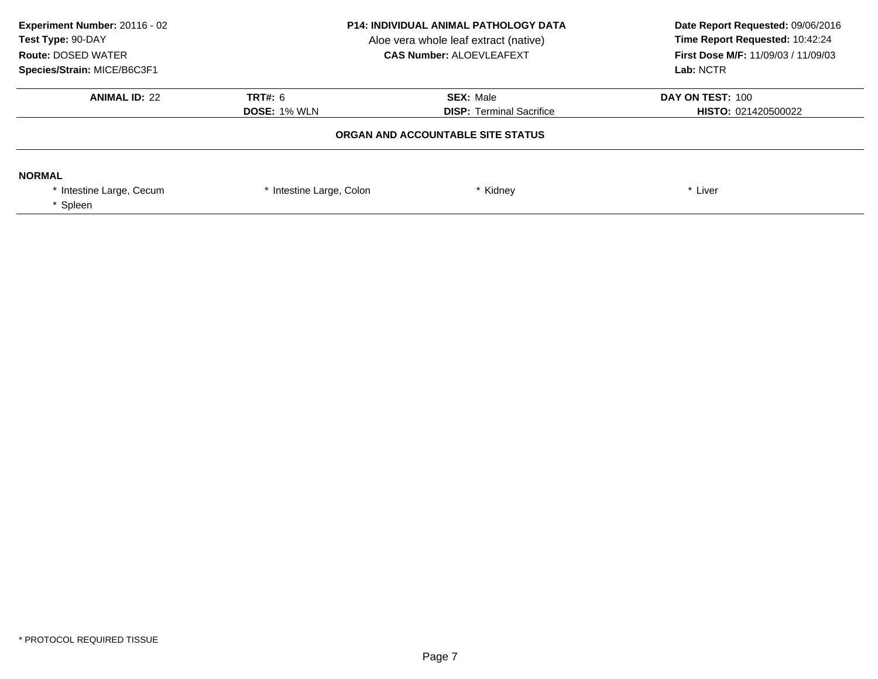| Experiment Number: 20116 - 02<br>Test Type: 90-DAY<br><b>Route: DOSED WATER</b><br>Species/Strain: MICE/B6C3F1 | <b>P14: INDIVIDUAL ANIMAL PATHOLOGY DATA</b><br>Aloe vera whole leaf extract (native)<br><b>CAS Number: ALOEVLEAFEXT</b> |                                                     | Date Report Requested: 09/06/2016<br>Time Report Requested: 10:42:24<br>First Dose M/F: 11/09/03 / 11/09/03<br>Lab: NCTR |
|----------------------------------------------------------------------------------------------------------------|--------------------------------------------------------------------------------------------------------------------------|-----------------------------------------------------|--------------------------------------------------------------------------------------------------------------------------|
| <b>ANIMAL ID: 22</b>                                                                                           | TRT#: 6<br><b>DOSE: 1% WLN</b>                                                                                           | <b>SEX: Male</b><br><b>DISP:</b> Terminal Sacrifice | DAY ON TEST: 100<br><b>HISTO: 021420500022</b>                                                                           |
|                                                                                                                |                                                                                                                          | ORGAN AND ACCOUNTABLE SITE STATUS                   |                                                                                                                          |
| <b>NORMAL</b><br>* Intestine Large, Cecum<br>* Spleen                                                          | * Intestine Large, Colon                                                                                                 | * Kidney                                            | * Liver                                                                                                                  |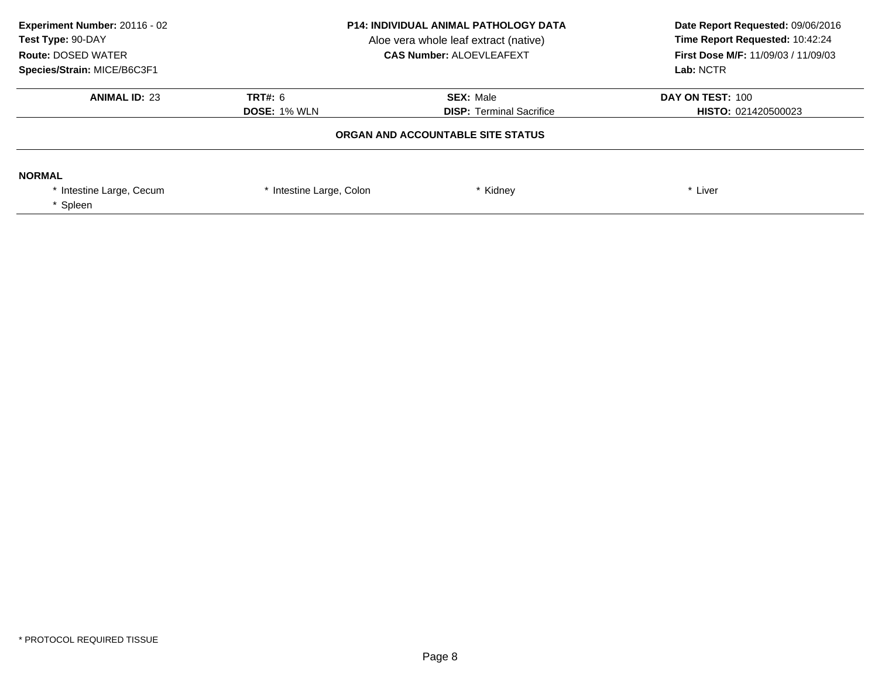| Experiment Number: 20116 - 02<br>Test Type: 90-DAY<br><b>Route: DOSED WATER</b><br>Species/Strain: MICE/B6C3F1 | <b>P14: INDIVIDUAL ANIMAL PATHOLOGY DATA</b><br>Aloe vera whole leaf extract (native)<br><b>CAS Number: ALOEVLEAFEXT</b> |                                                     | Date Report Requested: 09/06/2016<br>Time Report Requested: 10:42:24<br>First Dose M/F: 11/09/03 / 11/09/03<br>Lab: NCTR |
|----------------------------------------------------------------------------------------------------------------|--------------------------------------------------------------------------------------------------------------------------|-----------------------------------------------------|--------------------------------------------------------------------------------------------------------------------------|
| <b>ANIMAL ID: 23</b>                                                                                           | TRT#: 6<br><b>DOSE: 1% WLN</b>                                                                                           | <b>SEX: Male</b><br><b>DISP:</b> Terminal Sacrifice | DAY ON TEST: 100<br><b>HISTO: 021420500023</b>                                                                           |
|                                                                                                                |                                                                                                                          | ORGAN AND ACCOUNTABLE SITE STATUS                   |                                                                                                                          |
| <b>NORMAL</b><br>* Intestine Large, Cecum<br>* Spleen                                                          | * Intestine Large, Colon                                                                                                 | * Kidney                                            | * Liver                                                                                                                  |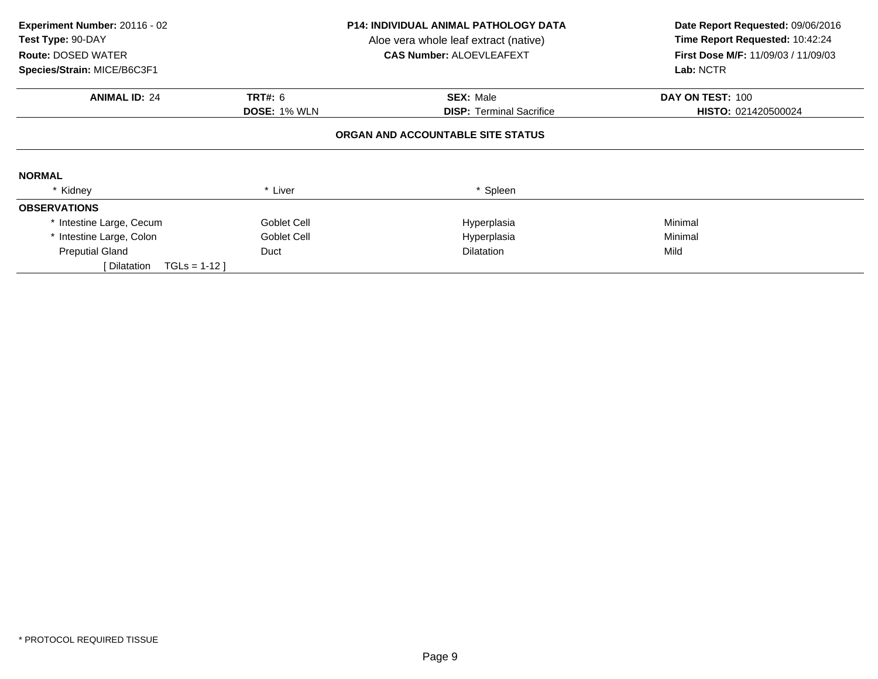| Experiment Number: 20116 - 02<br>Test Type: 90-DAY<br><b>Route: DOSED WATER</b><br>Species/Strain: MICE/B6C3F1 |                                   | <b>P14: INDIVIDUAL ANIMAL PATHOLOGY DATA</b><br>Aloe vera whole leaf extract (native)<br><b>CAS Number: ALOEVLEAFEXT</b> | Date Report Requested: 09/06/2016<br>Time Report Requested: 10:42:24<br><b>First Dose M/F: 11/09/03 / 11/09/03</b><br>Lab: NCTR |  |  |  |  |
|----------------------------------------------------------------------------------------------------------------|-----------------------------------|--------------------------------------------------------------------------------------------------------------------------|---------------------------------------------------------------------------------------------------------------------------------|--|--|--|--|
| <b>ANIMAL ID: 24</b>                                                                                           | <b>TRT#: 6</b>                    | <b>SEX: Male</b>                                                                                                         | DAY ON TEST: 100                                                                                                                |  |  |  |  |
|                                                                                                                | <b>DOSE: 1% WLN</b>               | <b>DISP:</b> Terminal Sacrifice                                                                                          | HISTO: 021420500024                                                                                                             |  |  |  |  |
|                                                                                                                | ORGAN AND ACCOUNTABLE SITE STATUS |                                                                                                                          |                                                                                                                                 |  |  |  |  |
| <b>NORMAL</b>                                                                                                  |                                   |                                                                                                                          |                                                                                                                                 |  |  |  |  |
| * Kidney                                                                                                       | * Liver                           | * Spleen                                                                                                                 |                                                                                                                                 |  |  |  |  |
| <b>OBSERVATIONS</b>                                                                                            |                                   |                                                                                                                          |                                                                                                                                 |  |  |  |  |
| * Intestine Large, Cecum                                                                                       | Goblet Cell                       | Hyperplasia                                                                                                              | Minimal                                                                                                                         |  |  |  |  |
| * Intestine Large, Colon                                                                                       | Goblet Cell                       | Hyperplasia                                                                                                              | Minimal                                                                                                                         |  |  |  |  |
| <b>Preputial Gland</b>                                                                                         | Duct                              | <b>Dilatation</b>                                                                                                        | Mild                                                                                                                            |  |  |  |  |
| $TGLs = 1-12$<br>[ Dilatation                                                                                  |                                   |                                                                                                                          |                                                                                                                                 |  |  |  |  |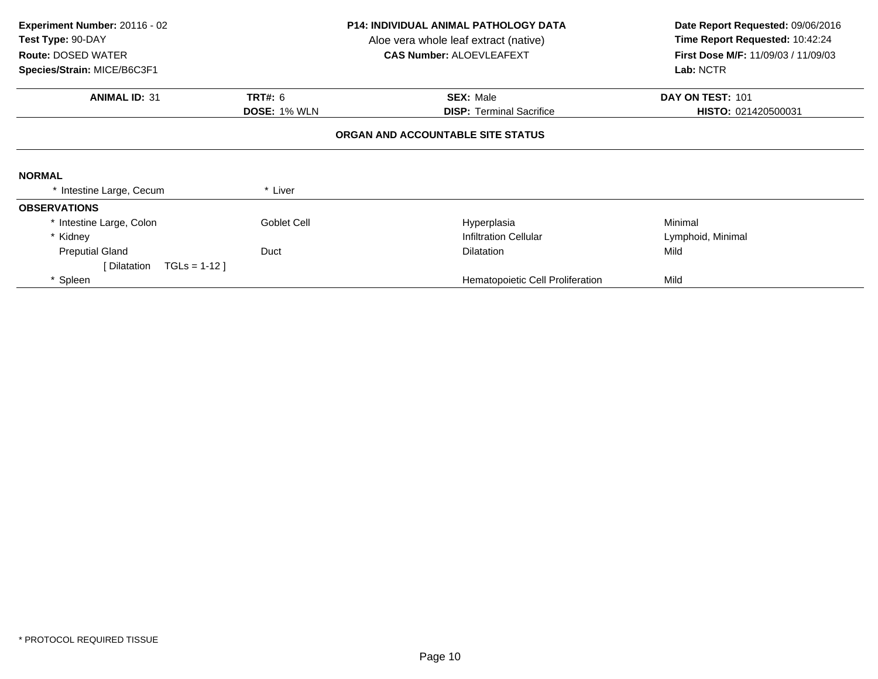| Experiment Number: 20116 - 02<br>Test Type: 90-DAY<br><b>Route: DOSED WATER</b><br>Species/Strain: MICE/B6C3F1 | <b>P14: INDIVIDUAL ANIMAL PATHOLOGY DATA</b><br>Aloe vera whole leaf extract (native)<br><b>CAS Number: ALOEVLEAFEXT</b> |                                   | Date Report Requested: 09/06/2016<br>Time Report Requested: 10:42:24<br>First Dose M/F: 11/09/03 / 11/09/03<br>Lab: NCTR |  |
|----------------------------------------------------------------------------------------------------------------|--------------------------------------------------------------------------------------------------------------------------|-----------------------------------|--------------------------------------------------------------------------------------------------------------------------|--|
| <b>ANIMAL ID: 31</b>                                                                                           | <b>TRT#: 6</b>                                                                                                           | <b>SEX: Male</b>                  | DAY ON TEST: 101                                                                                                         |  |
|                                                                                                                | <b>DOSE: 1% WLN</b>                                                                                                      | <b>DISP: Terminal Sacrifice</b>   | HISTO: 021420500031                                                                                                      |  |
|                                                                                                                |                                                                                                                          | ORGAN AND ACCOUNTABLE SITE STATUS |                                                                                                                          |  |
| <b>NORMAL</b>                                                                                                  |                                                                                                                          |                                   |                                                                                                                          |  |
| * Intestine Large, Cecum                                                                                       | * Liver                                                                                                                  |                                   |                                                                                                                          |  |
| <b>OBSERVATIONS</b>                                                                                            |                                                                                                                          |                                   |                                                                                                                          |  |
| * Intestine Large, Colon                                                                                       | Goblet Cell                                                                                                              | Hyperplasia                       | Minimal                                                                                                                  |  |
| * Kidney                                                                                                       |                                                                                                                          | <b>Infiltration Cellular</b>      | Lymphoid, Minimal                                                                                                        |  |
| <b>Preputial Gland</b>                                                                                         | Duct<br><b>Dilatation</b>                                                                                                |                                   | Mild                                                                                                                     |  |
| $TGLS = 1-12$<br>[ Dilatation                                                                                  |                                                                                                                          |                                   |                                                                                                                          |  |
| Spleen                                                                                                         |                                                                                                                          | Hematopoietic Cell Proliferation  | Mild                                                                                                                     |  |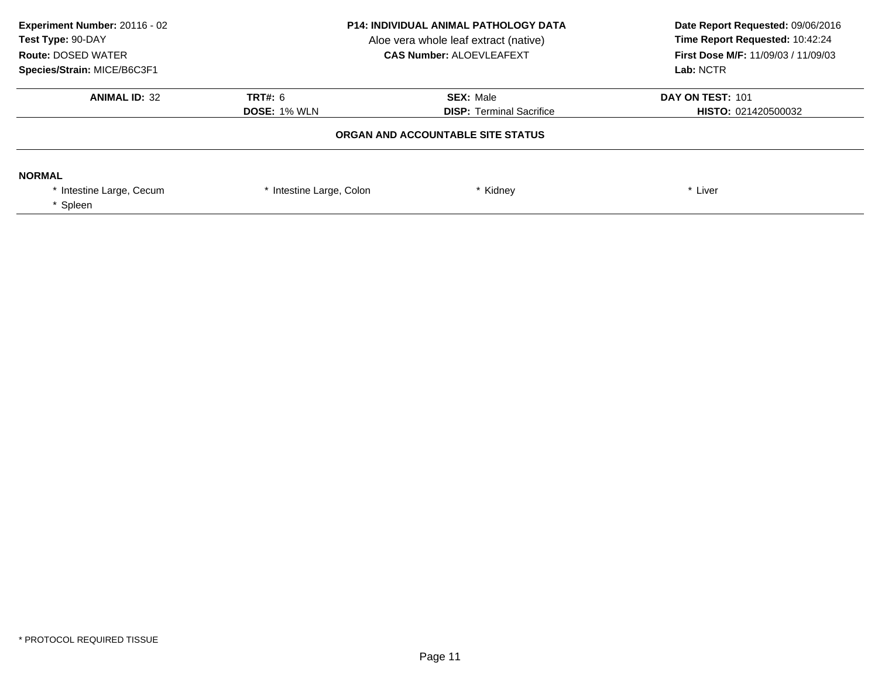| Experiment Number: 20116 - 02<br>Test Type: 90-DAY<br><b>Route: DOSED WATER</b><br>Species/Strain: MICE/B6C3F1 | <b>P14: INDIVIDUAL ANIMAL PATHOLOGY DATA</b><br>Aloe vera whole leaf extract (native)<br><b>CAS Number: ALOEVLEAFEXT</b> |                                                     | Date Report Requested: 09/06/2016<br>Time Report Requested: 10:42:24<br><b>First Dose M/F: 11/09/03 / 11/09/03</b><br>Lab: NCTR |
|----------------------------------------------------------------------------------------------------------------|--------------------------------------------------------------------------------------------------------------------------|-----------------------------------------------------|---------------------------------------------------------------------------------------------------------------------------------|
| <b>ANIMAL ID: 32</b>                                                                                           | <b>TRT#: 6</b><br><b>DOSE: 1% WLN</b>                                                                                    | <b>SEX: Male</b><br><b>DISP:</b> Terminal Sacrifice | DAY ON TEST: 101<br><b>HISTO: 021420500032</b>                                                                                  |
|                                                                                                                |                                                                                                                          | ORGAN AND ACCOUNTABLE SITE STATUS                   |                                                                                                                                 |
| <b>NORMAL</b><br>Intestine Large, Cecum<br>* Spleen                                                            | * Intestine Large, Colon                                                                                                 | Kidney                                              | * Liver                                                                                                                         |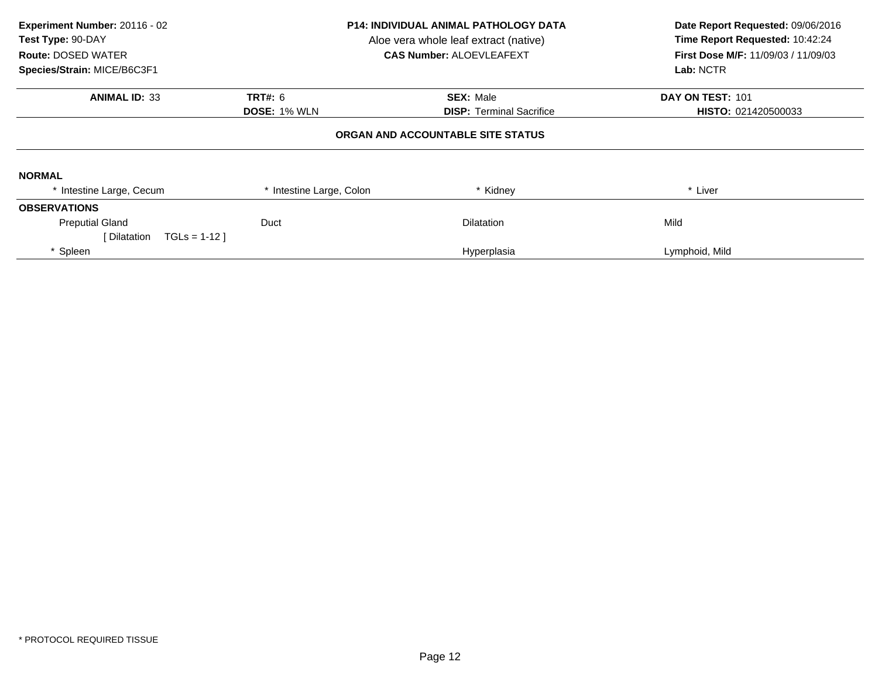| Experiment Number: 20116 - 02<br>Test Type: 90-DAY<br><b>Route: DOSED WATER</b><br>Species/Strain: MICE/B6C3F1 | <b>P14: INDIVIDUAL ANIMAL PATHOLOGY DATA</b><br>Aloe vera whole leaf extract (native)<br><b>CAS Number: ALOEVLEAFEXT</b> |                                   | Date Report Requested: 09/06/2016<br>Time Report Requested: 10:42:24<br><b>First Dose M/F: 11/09/03 / 11/09/03</b><br>Lab: NCTR |
|----------------------------------------------------------------------------------------------------------------|--------------------------------------------------------------------------------------------------------------------------|-----------------------------------|---------------------------------------------------------------------------------------------------------------------------------|
| <b>ANIMAL ID: 33</b>                                                                                           | <b>TRT#: 6</b>                                                                                                           | <b>SEX: Male</b>                  | DAY ON TEST: 101                                                                                                                |
|                                                                                                                | <b>DOSE: 1% WLN</b>                                                                                                      | <b>DISP:</b> Terminal Sacrifice   | HISTO: 021420500033                                                                                                             |
|                                                                                                                |                                                                                                                          | ORGAN AND ACCOUNTABLE SITE STATUS |                                                                                                                                 |
| <b>NORMAL</b>                                                                                                  |                                                                                                                          |                                   |                                                                                                                                 |
| * Intestine Large, Cecum                                                                                       | * Intestine Large, Colon                                                                                                 | * Kidney                          | * Liver                                                                                                                         |
| <b>OBSERVATIONS</b>                                                                                            |                                                                                                                          |                                   |                                                                                                                                 |
| <b>Preputial Gland</b>                                                                                         | Duct                                                                                                                     | <b>Dilatation</b>                 | Mild                                                                                                                            |
| [ Dilatation<br>$TGLs = 1-12$                                                                                  |                                                                                                                          |                                   |                                                                                                                                 |
| Spleen                                                                                                         |                                                                                                                          | Hyperplasia                       | Lymphoid, Mild                                                                                                                  |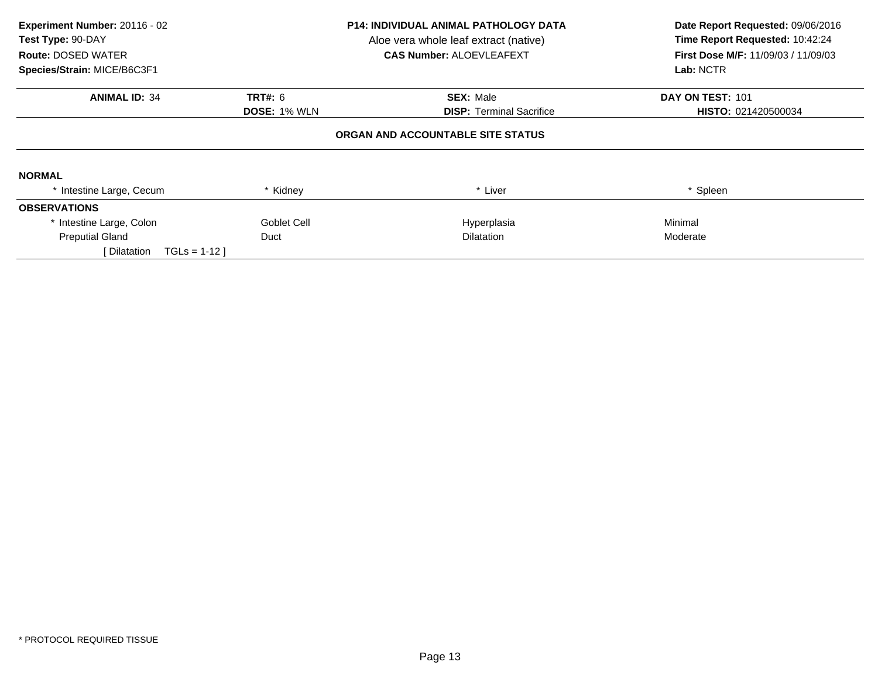| Experiment Number: 20116 - 02<br>Test Type: 90-DAY<br><b>Route: DOSED WATER</b> |                     | <b>P14: INDIVIDUAL ANIMAL PATHOLOGY DATA</b><br>Aloe vera whole leaf extract (native)<br><b>CAS Number: ALOEVLEAFEXT</b> | Date Report Requested: 09/06/2016<br>Time Report Requested: 10:42:24<br><b>First Dose M/F: 11/09/03 / 11/09/03</b><br>Lab: NCTR |  |
|---------------------------------------------------------------------------------|---------------------|--------------------------------------------------------------------------------------------------------------------------|---------------------------------------------------------------------------------------------------------------------------------|--|
| Species/Strain: MICE/B6C3F1                                                     |                     |                                                                                                                          |                                                                                                                                 |  |
| <b>ANIMAL ID: 34</b>                                                            | TRT#: 6             | <b>SEX: Male</b>                                                                                                         | DAY ON TEST: 101                                                                                                                |  |
|                                                                                 | <b>DOSE: 1% WLN</b> | <b>DISP:</b> Terminal Sacrifice                                                                                          | HISTO: 021420500034                                                                                                             |  |
|                                                                                 |                     | ORGAN AND ACCOUNTABLE SITE STATUS                                                                                        |                                                                                                                                 |  |
| <b>NORMAL</b>                                                                   |                     |                                                                                                                          |                                                                                                                                 |  |
| * Intestine Large, Cecum                                                        | * Kidney            | * Liver                                                                                                                  | * Spleen                                                                                                                        |  |
| <b>OBSERVATIONS</b>                                                             |                     |                                                                                                                          |                                                                                                                                 |  |
| * Intestine Large, Colon                                                        | Goblet Cell         | Hyperplasia                                                                                                              | Minimal                                                                                                                         |  |
| <b>Preputial Gland</b>                                                          | Duct                | <b>Dilatation</b>                                                                                                        | Moderate                                                                                                                        |  |
| $TGLs = 1-12$<br>Dilatation                                                     |                     |                                                                                                                          |                                                                                                                                 |  |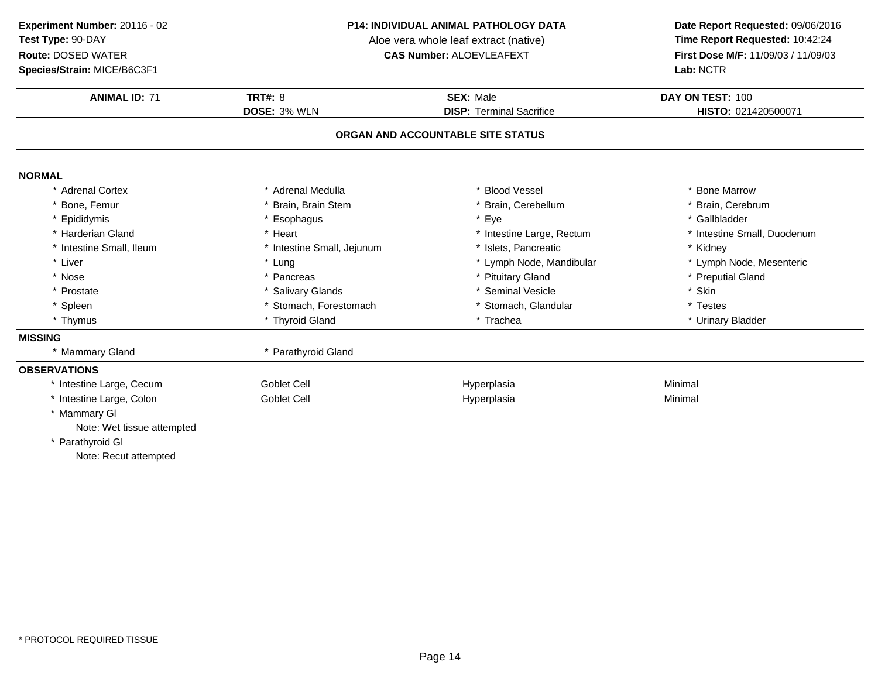### **Species/Strain:** MICE/B6C3F1

#### **P14: INDIVIDUAL ANIMAL PATHOLOGY DATA**

Aloe vera whole leaf extract (native)<br>**CAS Number:** ALOEVLEAFEXT

| <b>ANIMAL ID: 71</b>       | <b>TRT#: 8</b>             | SEX: Male                         | DAY ON TEST: 100            |
|----------------------------|----------------------------|-----------------------------------|-----------------------------|
|                            | DOSE: 3% WLN               | <b>DISP: Terminal Sacrifice</b>   | HISTO: 021420500071         |
|                            |                            | ORGAN AND ACCOUNTABLE SITE STATUS |                             |
| <b>NORMAL</b>              |                            |                                   |                             |
| * Adrenal Cortex           | Adrenal Medulla            | <b>Blood Vessel</b>               | * Bone Marrow               |
| * Bone, Femur              | * Brain, Brain Stem        | * Brain, Cerebellum               | * Brain, Cerebrum           |
| * Epididymis               | * Esophagus                | * Eye                             | * Gallbladder               |
| * Harderian Gland          | * Heart                    | * Intestine Large, Rectum         | * Intestine Small, Duodenum |
| * Intestine Small, Ileum   | * Intestine Small, Jejunum | * Islets, Pancreatic              | * Kidney                    |
| * Liver                    | * Lung                     | * Lymph Node, Mandibular          | * Lymph Node, Mesenteric    |
| * Nose                     | * Pancreas                 | * Pituitary Gland                 | * Preputial Gland           |
| * Prostate                 | * Salivary Glands          | * Seminal Vesicle                 | * Skin                      |
| * Spleen                   | * Stomach, Forestomach     | * Stomach, Glandular              | * Testes                    |
| * Thymus                   | * Thyroid Gland            | * Trachea                         | * Urinary Bladder           |
| <b>MISSING</b>             |                            |                                   |                             |
| * Mammary Gland            | * Parathyroid Gland        |                                   |                             |
| <b>OBSERVATIONS</b>        |                            |                                   |                             |
| * Intestine Large, Cecum   | <b>Goblet Cell</b>         | Hyperplasia                       | Minimal                     |
| * Intestine Large, Colon   | <b>Goblet Cell</b>         | Hyperplasia                       | Minimal                     |
| * Mammary GI               |                            |                                   |                             |
| Note: Wet tissue attempted |                            |                                   |                             |
| * Parathyroid GI           |                            |                                   |                             |
| Note: Recut attempted      |                            |                                   |                             |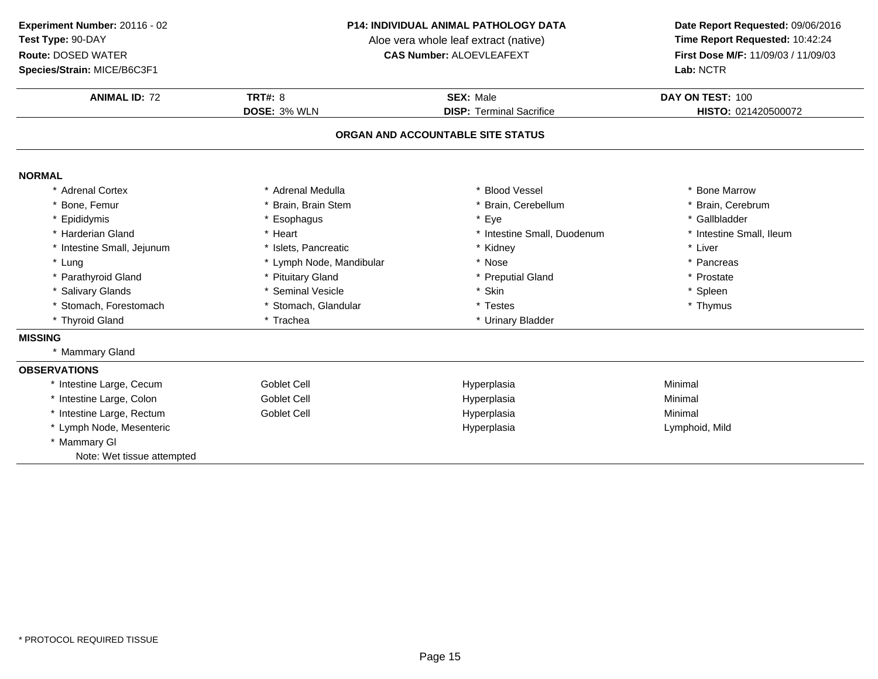### **Species/Strain:** MICE/B6C3F1

#### **P14: INDIVIDUAL ANIMAL PATHOLOGY DATA**

Aloe vera whole leaf extract (native)<br>**CAS Number:** ALOEVLEAFEXT

| <b>ANIMAL ID: 72</b>       | TRT#: $8$                | SEX: Male                         | DAY ON TEST: 100         |
|----------------------------|--------------------------|-----------------------------------|--------------------------|
|                            | DOSE: 3% WLN             | <b>DISP: Terminal Sacrifice</b>   | HISTO: 021420500072      |
|                            |                          | ORGAN AND ACCOUNTABLE SITE STATUS |                          |
| <b>NORMAL</b>              |                          |                                   |                          |
| * Adrenal Cortex           | * Adrenal Medulla        | * Blood Vessel                    | * Bone Marrow            |
| Bone, Femur                | Brain, Brain Stem        | * Brain, Cerebellum               | * Brain, Cerebrum        |
| * Epididymis               | * Esophagus              | * Eye                             | * Gallbladder            |
| * Harderian Gland          | * Heart                  | * Intestine Small, Duodenum       | * Intestine Small, Ileum |
| * Intestine Small, Jejunum | * Islets. Pancreatic     | * Kidney                          | * Liver                  |
| * Lung                     | * Lymph Node, Mandibular | * Nose                            | * Pancreas               |
| * Parathyroid Gland        | * Pituitary Gland        | * Preputial Gland                 | * Prostate               |
| * Salivary Glands          | Seminal Vesicle          | * Skin                            | * Spleen                 |
| * Stomach, Forestomach     | * Stomach, Glandular     | * Testes                          | * Thymus                 |
| * Thyroid Gland            | * Trachea                | * Urinary Bladder                 |                          |
| <b>MISSING</b>             |                          |                                   |                          |
| * Mammary Gland            |                          |                                   |                          |
| <b>OBSERVATIONS</b>        |                          |                                   |                          |
| * Intestine Large, Cecum   | Goblet Cell              | Hyperplasia                       | Minimal                  |
| * Intestine Large, Colon   | Goblet Cell              | Hyperplasia                       | Minimal                  |
| * Intestine Large, Rectum  | Goblet Cell              | Hyperplasia                       | Minimal                  |
| * Lymph Node, Mesenteric   |                          | Hyperplasia                       | Lymphoid, Mild           |
| * Mammary GI               |                          |                                   |                          |
| Note: Wet tissue attempted |                          |                                   |                          |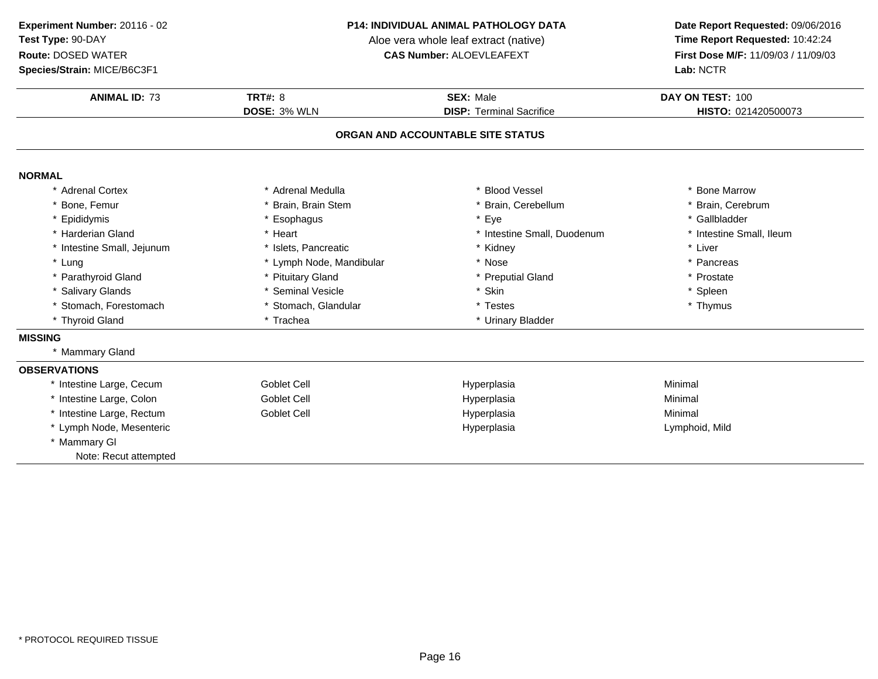**Species/Strain:** MICE/B6C3F1

#### **P14: INDIVIDUAL ANIMAL PATHOLOGY DATA**

Aloe vera whole leaf extract (native)<br>**CAS Number:** ALOEVLEAFEXT

| <b>ANIMAL ID: 73</b>       | TRT#: $8$                | SEX: Male                         | DAY ON TEST: 100         |
|----------------------------|--------------------------|-----------------------------------|--------------------------|
|                            | DOSE: 3% WLN             | <b>DISP: Terminal Sacrifice</b>   | HISTO: 021420500073      |
|                            |                          | ORGAN AND ACCOUNTABLE SITE STATUS |                          |
|                            |                          |                                   |                          |
| <b>NORMAL</b>              |                          |                                   |                          |
| * Adrenal Cortex           | * Adrenal Medulla        | * Blood Vessel                    | * Bone Marrow            |
| Bone, Femur                | Brain, Brain Stem        | * Brain, Cerebellum               | * Brain, Cerebrum        |
| * Epididymis               | * Esophagus              | * Eye                             | * Gallbladder            |
| * Harderian Gland          | * Heart                  | * Intestine Small, Duodenum       | * Intestine Small, Ileum |
| * Intestine Small, Jejunum | * Islets, Pancreatic     | * Kidney                          | * Liver                  |
| * Lung                     | * Lymph Node, Mandibular | * Nose                            | * Pancreas               |
| * Parathyroid Gland        | * Pituitary Gland        | * Preputial Gland                 | * Prostate               |
| * Salivary Glands          | Seminal Vesicle          | * Skin                            | * Spleen                 |
| * Stomach, Forestomach     | * Stomach, Glandular     | * Testes                          | * Thymus                 |
| * Thyroid Gland            | * Trachea                | * Urinary Bladder                 |                          |
| <b>MISSING</b>             |                          |                                   |                          |
| * Mammary Gland            |                          |                                   |                          |
| <b>OBSERVATIONS</b>        |                          |                                   |                          |
| * Intestine Large, Cecum   | Goblet Cell              | Hyperplasia                       | Minimal                  |
| * Intestine Large, Colon   | Goblet Cell              | Hyperplasia                       | Minimal                  |
| * Intestine Large, Rectum  | Goblet Cell              | Hyperplasia                       | Minimal                  |
| * Lymph Node, Mesenteric   |                          | Hyperplasia                       | Lymphoid, Mild           |
| * Mammary GI               |                          |                                   |                          |
| Note: Recut attempted      |                          |                                   |                          |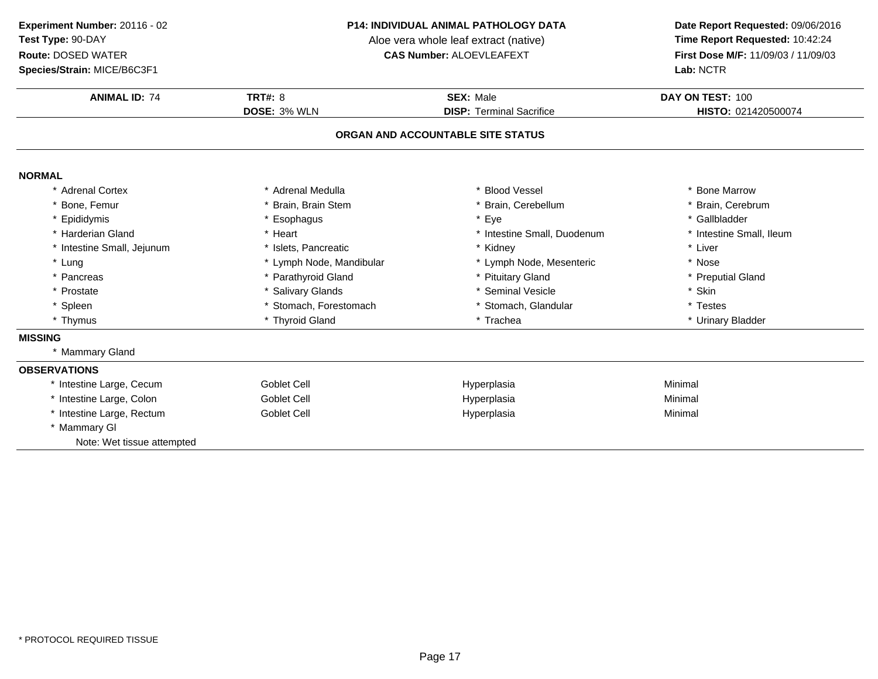**Species/Strain:** MICE/B6C3F1

#### **P14: INDIVIDUAL ANIMAL PATHOLOGY DATA**

Aloe vera whole leaf extract (native)<br>**CAS Number:** ALOEVLEAFEXT

| <b>ANIMAL ID: 74</b>                       | <b>TRT#: 8</b>           | <b>SEX: Male</b>                  | DAY ON TEST: 100         |
|--------------------------------------------|--------------------------|-----------------------------------|--------------------------|
|                                            | DOSE: 3% WLN             | <b>DISP: Terminal Sacrifice</b>   | HISTO: 021420500074      |
|                                            |                          | ORGAN AND ACCOUNTABLE SITE STATUS |                          |
| <b>NORMAL</b>                              |                          |                                   |                          |
| * Adrenal Cortex                           | * Adrenal Medulla        | * Blood Vessel                    | * Bone Marrow            |
| Bone, Femur                                | Brain, Brain Stem        | * Brain, Cerebellum               | * Brain, Cerebrum        |
| * Epididymis                               | * Esophagus              | * Eye                             | * Gallbladder            |
| * Harderian Gland                          | * Heart                  | * Intestine Small, Duodenum       | * Intestine Small, Ileum |
| * Intestine Small, Jejunum                 | * Islets. Pancreatic     | * Kidney                          | * Liver                  |
| * Lung                                     | * Lymph Node, Mandibular | * Lymph Node, Mesenteric          | * Nose                   |
| * Pancreas                                 | * Parathyroid Gland      | * Pituitary Gland                 | * Preputial Gland        |
| * Prostate                                 | * Salivary Glands        | * Seminal Vesicle                 | * Skin                   |
| * Spleen                                   | * Stomach, Forestomach   | * Stomach, Glandular              | * Testes                 |
| * Thymus                                   | * Thyroid Gland          | * Trachea                         | * Urinary Bladder        |
| <b>MISSING</b>                             |                          |                                   |                          |
| * Mammary Gland                            |                          |                                   |                          |
| <b>OBSERVATIONS</b>                        |                          |                                   |                          |
| * Intestine Large, Cecum                   | Goblet Cell              | Hyperplasia                       | Minimal                  |
| * Intestine Large, Colon                   | Goblet Cell              | Hyperplasia                       | Minimal                  |
| * Intestine Large, Rectum                  | Goblet Cell              | Hyperplasia                       | Minimal                  |
| * Mammary GI<br>Note: Wet tissue attempted |                          |                                   |                          |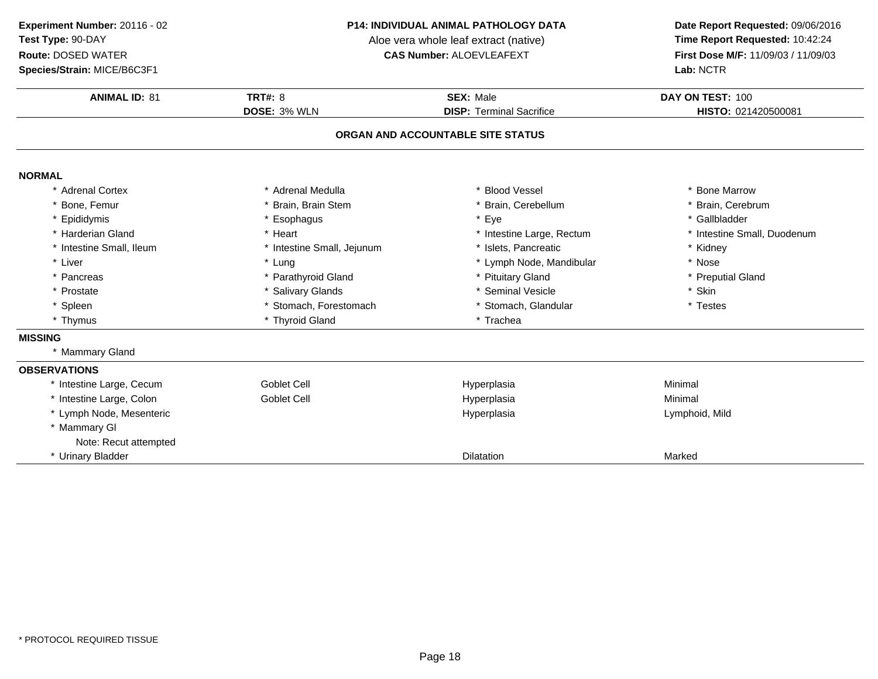**Species/Strain:** MICE/B6C3F1

#### **P14: INDIVIDUAL ANIMAL PATHOLOGY DATA**

Aloe vera whole leaf extract (native)<br>**CAS Number:** ALOEVLEAFEXT

| <b>ANIMAL ID: 81</b>     | <b>TRT#: 8</b>             | <b>SEX: Male</b>                  | DAY ON TEST: 100            |
|--------------------------|----------------------------|-----------------------------------|-----------------------------|
|                          | DOSE: 3% WLN               | <b>DISP: Terminal Sacrifice</b>   | HISTO: 021420500081         |
|                          |                            | ORGAN AND ACCOUNTABLE SITE STATUS |                             |
| <b>NORMAL</b>            |                            |                                   |                             |
| * Adrenal Cortex         | * Adrenal Medulla          | * Blood Vessel                    | * Bone Marrow               |
| * Bone, Femur            | Brain, Brain Stem          | * Brain, Cerebellum               | * Brain, Cerebrum           |
| * Epididymis             | * Esophagus                | * Eye                             | * Gallbladder               |
| * Harderian Gland        | * Heart                    | * Intestine Large, Rectum         | * Intestine Small, Duodenum |
| * Intestine Small, Ileum | * Intestine Small, Jejunum | Islets, Pancreatic                | * Kidney                    |
| * Liver                  | * Lung                     | * Lymph Node, Mandibular          | * Nose                      |
| * Pancreas               | * Parathyroid Gland        | * Pituitary Gland                 | * Preputial Gland           |
| * Prostate               | * Salivary Glands          | * Seminal Vesicle                 | * Skin                      |
| * Spleen                 | * Stomach, Forestomach     | * Stomach, Glandular              | * Testes                    |
| * Thymus                 | * Thyroid Gland            | * Trachea                         |                             |
| <b>MISSING</b>           |                            |                                   |                             |
| * Mammary Gland          |                            |                                   |                             |
| <b>OBSERVATIONS</b>      |                            |                                   |                             |
| * Intestine Large, Cecum | Goblet Cell                | Hyperplasia                       | Minimal                     |
| * Intestine Large, Colon | <b>Goblet Cell</b>         | Hyperplasia                       | Minimal                     |
| * Lymph Node, Mesenteric |                            | Hyperplasia                       | Lymphoid, Mild              |
| * Mammary GI             |                            |                                   |                             |
| Note: Recut attempted    |                            |                                   |                             |
| * Urinary Bladder        |                            | <b>Dilatation</b>                 | Marked                      |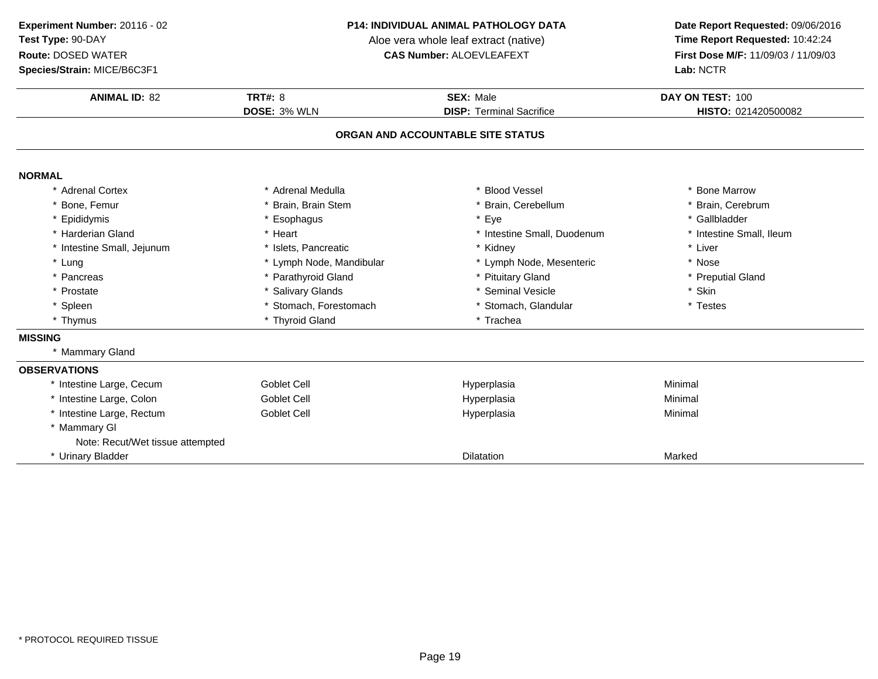**Species/Strain:** MICE/B6C3F1

#### **P14: INDIVIDUAL ANIMAL PATHOLOGY DATA**

Aloe vera whole leaf extract (native)<br>**CAS Number:** ALOEVLEAFEXT

| <b>ANIMAL ID: 82</b>             | <b>TRT#: 8</b>           | <b>SEX: Male</b>                  | DAY ON TEST: 100         |
|----------------------------------|--------------------------|-----------------------------------|--------------------------|
|                                  | DOSE: 3% WLN             | <b>DISP: Terminal Sacrifice</b>   | HISTO: 021420500082      |
|                                  |                          | ORGAN AND ACCOUNTABLE SITE STATUS |                          |
|                                  |                          |                                   |                          |
| <b>NORMAL</b>                    |                          |                                   |                          |
| * Adrenal Cortex                 | * Adrenal Medulla        | <b>Blood Vessel</b>               | * Bone Marrow            |
| * Bone, Femur                    | Brain, Brain Stem        | * Brain, Cerebellum               | * Brain, Cerebrum        |
| * Epididymis                     | * Esophagus              | * Eye                             | * Gallbladder            |
| * Harderian Gland                | * Heart                  | * Intestine Small, Duodenum       | * Intestine Small, Ileum |
| * Intestine Small, Jejunum       | * Islets, Pancreatic     | * Kidney                          | * Liver                  |
| * Lung                           | * Lymph Node, Mandibular | * Lymph Node, Mesenteric          | * Nose                   |
| * Pancreas                       | * Parathyroid Gland      | * Pituitary Gland                 | * Preputial Gland        |
| * Prostate                       | * Salivary Glands        | * Seminal Vesicle                 | * Skin                   |
| * Spleen                         | * Stomach, Forestomach   | * Stomach, Glandular              | * Testes                 |
| * Thymus                         | * Thyroid Gland          | * Trachea                         |                          |
| <b>MISSING</b>                   |                          |                                   |                          |
| * Mammary Gland                  |                          |                                   |                          |
| <b>OBSERVATIONS</b>              |                          |                                   |                          |
| * Intestine Large, Cecum         | <b>Goblet Cell</b>       | Hyperplasia                       | Minimal                  |
| * Intestine Large, Colon         | Goblet Cell              | Hyperplasia                       | Minimal                  |
| * Intestine Large, Rectum        | Goblet Cell              | Hyperplasia                       | Minimal                  |
| * Mammary GI                     |                          |                                   |                          |
| Note: Recut/Wet tissue attempted |                          |                                   |                          |
| * Urinary Bladder                |                          | <b>Dilatation</b>                 | Marked                   |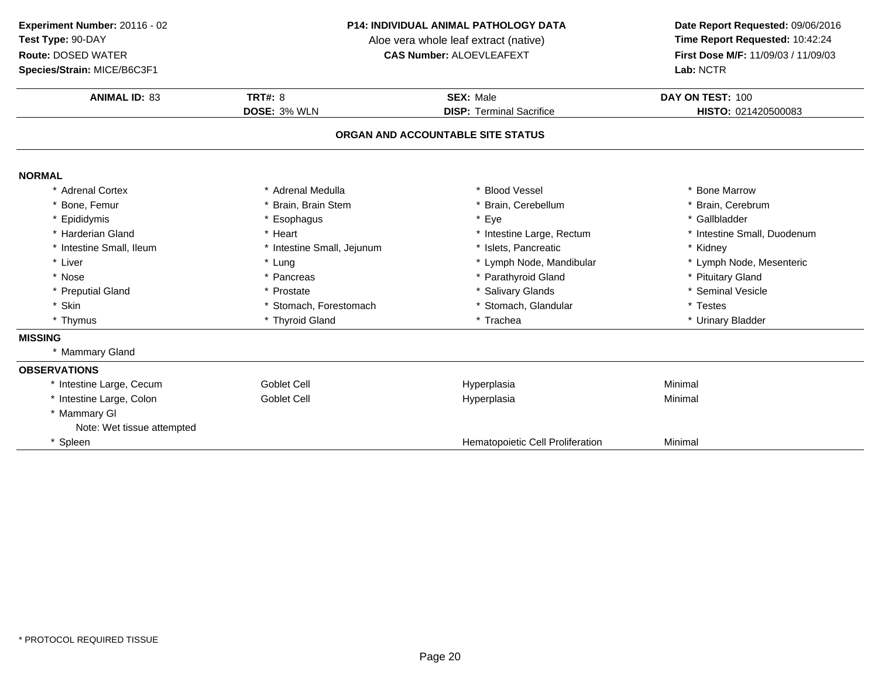**Species/Strain:** MICE/B6C3F1

#### **P14: INDIVIDUAL ANIMAL PATHOLOGY DATA**

Aloe vera whole leaf extract (native)<br>**CAS Number:** ALOEVLEAFEXT

| <b>ANIMAL ID: 83</b>       | <b>TRT#: 8</b>             | <b>SEX: Male</b>                  | DAY ON TEST: 100            |
|----------------------------|----------------------------|-----------------------------------|-----------------------------|
|                            | DOSE: 3% WLN               | <b>DISP: Terminal Sacrifice</b>   | HISTO: 021420500083         |
|                            |                            | ORGAN AND ACCOUNTABLE SITE STATUS |                             |
| <b>NORMAL</b>              |                            |                                   |                             |
| * Adrenal Cortex           | * Adrenal Medulla          | * Blood Vessel                    | * Bone Marrow               |
| * Bone, Femur              | Brain, Brain Stem          | * Brain, Cerebellum               | * Brain, Cerebrum           |
| * Epididymis               | * Esophagus                | * Eye                             | * Gallbladder               |
| * Harderian Gland          | * Heart                    | * Intestine Large, Rectum         | * Intestine Small, Duodenum |
| * Intestine Small, Ileum   | * Intestine Small, Jejunum | * Islets, Pancreatic              | * Kidney                    |
| * Liver                    | * Lung                     | * Lymph Node, Mandibular          | * Lymph Node, Mesenteric    |
| * Nose                     | * Pancreas                 | * Parathyroid Gland               | * Pituitary Gland           |
| * Preputial Gland          | * Prostate                 | * Salivary Glands                 | * Seminal Vesicle           |
| * Skin                     | * Stomach, Forestomach     | * Stomach, Glandular              | * Testes                    |
| * Thymus                   | * Thyroid Gland            | * Trachea                         | * Urinary Bladder           |
| <b>MISSING</b>             |                            |                                   |                             |
| * Mammary Gland            |                            |                                   |                             |
| <b>OBSERVATIONS</b>        |                            |                                   |                             |
| * Intestine Large, Cecum   | Goblet Cell                | Hyperplasia                       | Minimal                     |
| * Intestine Large, Colon   | Goblet Cell                | Hyperplasia                       | Minimal                     |
| * Mammary GI               |                            |                                   |                             |
| Note: Wet tissue attempted |                            |                                   |                             |
| * Spleen                   |                            | Hematopoietic Cell Proliferation  | Minimal                     |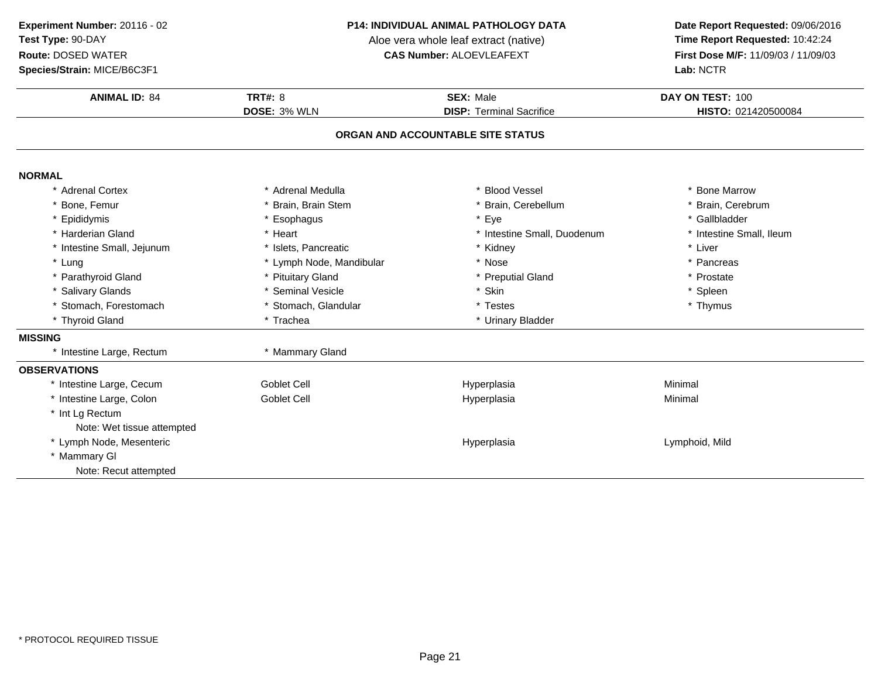**Species/Strain:** MICE/B6C3F1

#### **P14: INDIVIDUAL ANIMAL PATHOLOGY DATA**

Aloe vera whole leaf extract (native)<br>**CAS Number:** ALOEVLEAFEXT

| <b>ANIMAL ID: 84</b>       | <b>TRT#: 8</b>           | <b>SEX: Male</b>                  | DAY ON TEST: 100         |
|----------------------------|--------------------------|-----------------------------------|--------------------------|
|                            | DOSE: 3% WLN             | <b>DISP: Terminal Sacrifice</b>   | HISTO: 021420500084      |
|                            |                          | ORGAN AND ACCOUNTABLE SITE STATUS |                          |
| <b>NORMAL</b>              |                          |                                   |                          |
| * Adrenal Cortex           | * Adrenal Medulla        | <b>Blood Vessel</b>               | * Bone Marrow            |
| * Bone, Femur              | Brain, Brain Stem        | Brain, Cerebellum                 | * Brain, Cerebrum        |
| * Epididymis               | * Esophagus              | * Eye                             | * Gallbladder            |
| * Harderian Gland          | * Heart                  | * Intestine Small, Duodenum       | * Intestine Small, Ileum |
| * Intestine Small, Jejunum | * Islets, Pancreatic     | * Kidney                          | * Liver                  |
| * Lung                     | * Lymph Node, Mandibular | * Nose                            | * Pancreas               |
| * Parathyroid Gland        | * Pituitary Gland        | * Preputial Gland                 | * Prostate               |
| * Salivary Glands          | * Seminal Vesicle        | * Skin                            | * Spleen                 |
| * Stomach, Forestomach     | * Stomach, Glandular     | * Testes                          | * Thymus                 |
| * Thyroid Gland            | * Trachea                | * Urinary Bladder                 |                          |
| <b>MISSING</b>             |                          |                                   |                          |
| * Intestine Large, Rectum  | * Mammary Gland          |                                   |                          |
| <b>OBSERVATIONS</b>        |                          |                                   |                          |
| * Intestine Large, Cecum   | <b>Goblet Cell</b>       | Hyperplasia                       | Minimal                  |
| * Intestine Large, Colon   | <b>Goblet Cell</b>       | Hyperplasia                       | Minimal                  |
| * Int Lg Rectum            |                          |                                   |                          |
| Note: Wet tissue attempted |                          |                                   |                          |
| * Lymph Node, Mesenteric   |                          | Hyperplasia                       | Lymphoid, Mild           |
| * Mammary GI               |                          |                                   |                          |
| Note: Recut attempted      |                          |                                   |                          |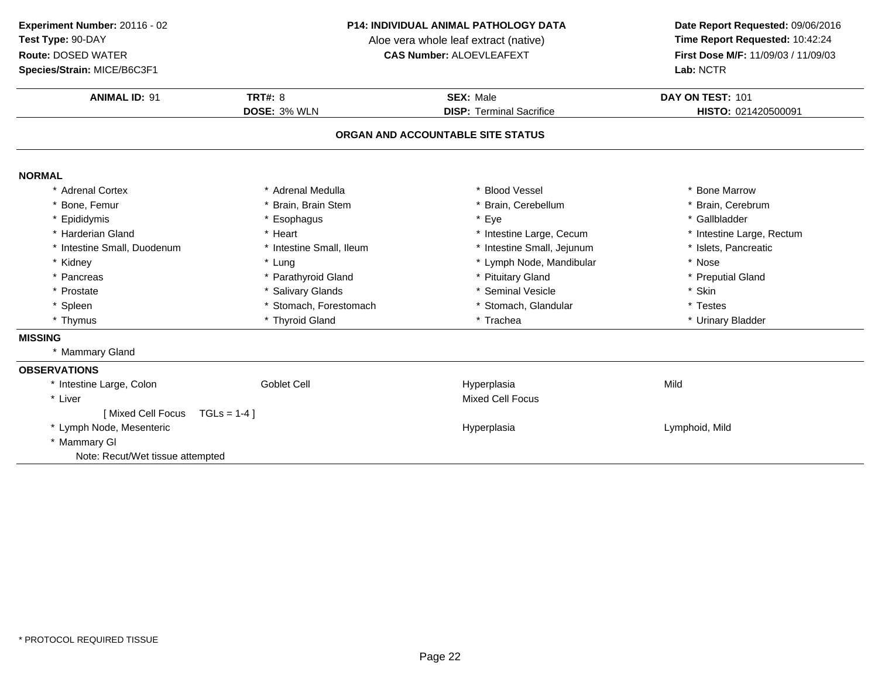**Species/Strain:** MICE/B6C3F1

#### **P14: INDIVIDUAL ANIMAL PATHOLOGY DATA**

Aloe vera whole leaf extract (native)<br>**CAS Number:** ALOEVLEAFEXT

| <b>ANIMAL ID: 91</b>             | TRT#: $8$                | <b>SEX: Male</b>                  | DAY ON TEST: 101          |
|----------------------------------|--------------------------|-----------------------------------|---------------------------|
|                                  | DOSE: 3% WLN             | <b>DISP: Terminal Sacrifice</b>   | HISTO: 021420500091       |
|                                  |                          | ORGAN AND ACCOUNTABLE SITE STATUS |                           |
| <b>NORMAL</b>                    |                          |                                   |                           |
| * Adrenal Cortex                 | * Adrenal Medulla        | * Blood Vessel                    | * Bone Marrow             |
| Bone, Femur                      | Brain, Brain Stem        | Brain, Cerebellum                 | * Brain, Cerebrum         |
| Epididymis                       | * Esophagus              | Eye                               | * Gallbladder             |
| * Harderian Gland                | * Heart                  | * Intestine Large, Cecum          | * Intestine Large, Rectum |
| * Intestine Small, Duodenum      | * Intestine Small, Ileum | * Intestine Small, Jejunum        | * Islets, Pancreatic      |
| * Kidney                         | * Lung                   | * Lymph Node, Mandibular          | * Nose                    |
| * Pancreas                       | * Parathyroid Gland      | * Pituitary Gland                 | * Preputial Gland         |
| * Prostate                       | * Salivary Glands        | * Seminal Vesicle                 | * Skin                    |
| * Spleen                         | * Stomach, Forestomach   | * Stomach, Glandular              | * Testes                  |
| * Thymus                         | * Thyroid Gland          | * Trachea                         | * Urinary Bladder         |
| <b>MISSING</b>                   |                          |                                   |                           |
| * Mammary Gland                  |                          |                                   |                           |
| <b>OBSERVATIONS</b>              |                          |                                   |                           |
| * Intestine Large, Colon         | Goblet Cell              | Hyperplasia                       | Mild                      |
| * Liver                          |                          | <b>Mixed Cell Focus</b>           |                           |
| [Mixed Cell Focus                | $TGLs = 1-4$ ]           |                                   |                           |
| * Lymph Node, Mesenteric         |                          | Hyperplasia                       | Lymphoid, Mild            |
| * Mammary GI                     |                          |                                   |                           |
| Note: Recut/Wet tissue attempted |                          |                                   |                           |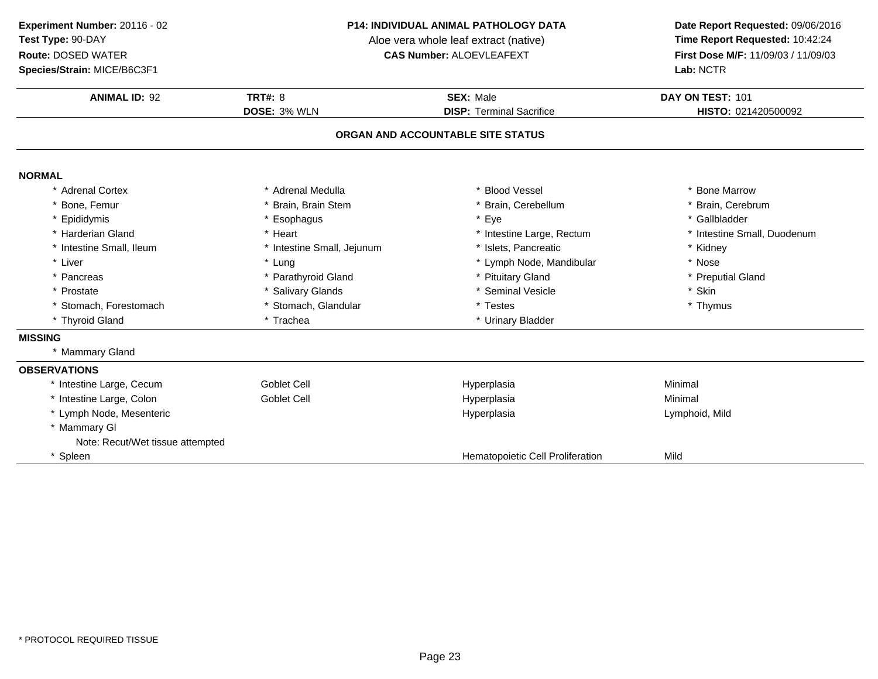**Species/Strain:** MICE/B6C3F1

#### **P14: INDIVIDUAL ANIMAL PATHOLOGY DATA**

Aloe vera whole leaf extract (native)<br>**CAS Number:** ALOEVLEAFEXT

| <b>ANIMAL ID: 92</b>             | <b>TRT#: 8</b>             | <b>SEX: Male</b>                  | DAY ON TEST: 101            |
|----------------------------------|----------------------------|-----------------------------------|-----------------------------|
|                                  | <b>DOSE: 3% WLN</b>        | <b>DISP: Terminal Sacrifice</b>   | HISTO: 021420500092         |
|                                  |                            | ORGAN AND ACCOUNTABLE SITE STATUS |                             |
| <b>NORMAL</b>                    |                            |                                   |                             |
| * Adrenal Cortex                 | * Adrenal Medulla          | * Blood Vessel                    | <b>Bone Marrow</b>          |
| * Bone, Femur                    | * Brain, Brain Stem        | * Brain, Cerebellum               | * Brain, Cerebrum           |
| * Epididymis                     | * Esophagus                | * Eye                             | * Gallbladder               |
| * Harderian Gland                | * Heart                    | * Intestine Large, Rectum         | * Intestine Small, Duodenum |
| * Intestine Small, Ileum         | * Intestine Small, Jejunum | * Islets. Pancreatic              | * Kidney                    |
| * Liver                          | * Lung                     | * Lymph Node, Mandibular          | * Nose                      |
| * Pancreas                       | * Parathyroid Gland        | * Pituitary Gland                 | * Preputial Gland           |
| * Prostate                       | * Salivary Glands          | * Seminal Vesicle                 | * Skin                      |
| * Stomach, Forestomach           | * Stomach, Glandular       | * Testes                          | * Thymus                    |
| * Thyroid Gland                  | * Trachea                  | * Urinary Bladder                 |                             |
| <b>MISSING</b>                   |                            |                                   |                             |
| * Mammary Gland                  |                            |                                   |                             |
| <b>OBSERVATIONS</b>              |                            |                                   |                             |
| * Intestine Large, Cecum         | Goblet Cell                | Hyperplasia                       | Minimal                     |
| * Intestine Large, Colon         | Goblet Cell                | Hyperplasia                       | Minimal                     |
| * Lymph Node, Mesenteric         |                            | Hyperplasia                       | Lymphoid, Mild              |
| * Mammary GI                     |                            |                                   |                             |
| Note: Recut/Wet tissue attempted |                            |                                   |                             |
| * Spleen                         |                            | Hematopoietic Cell Proliferation  | Mild                        |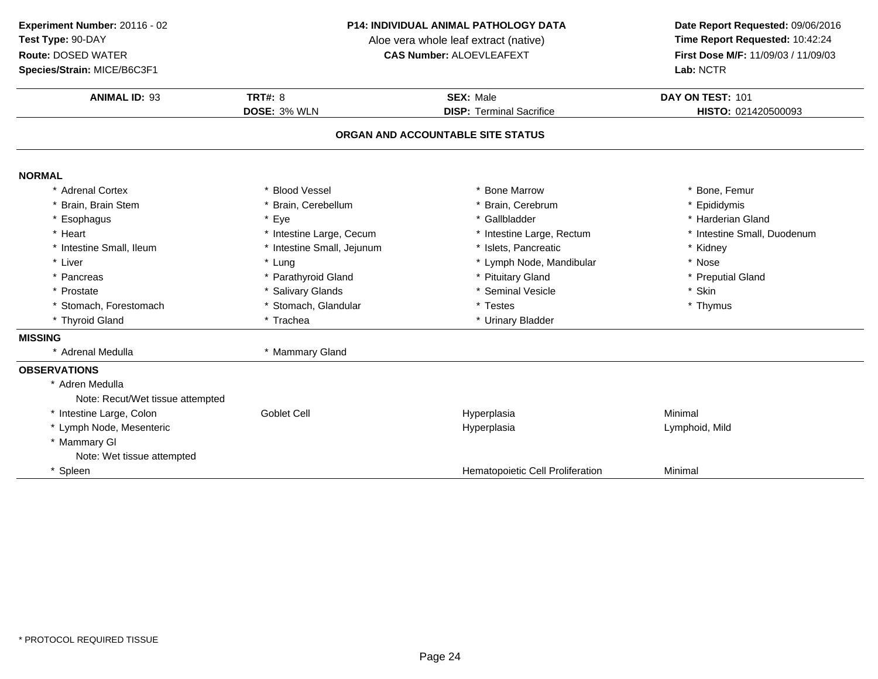**Species/Strain:** MICE/B6C3F1

#### **P14: INDIVIDUAL ANIMAL PATHOLOGY DATA**

Aloe vera whole leaf extract (native)<br>**CAS Number:** ALOEVLEAFEXT

| <b>ANIMAL ID: 93</b>             | TRT#: $8$                  | <b>SEX: Male</b>                  | DAY ON TEST: 101            |
|----------------------------------|----------------------------|-----------------------------------|-----------------------------|
|                                  | DOSE: 3% WLN               | <b>DISP: Terminal Sacrifice</b>   | HISTO: 021420500093         |
|                                  |                            | ORGAN AND ACCOUNTABLE SITE STATUS |                             |
| <b>NORMAL</b>                    |                            |                                   |                             |
| * Adrenal Cortex                 | * Blood Vessel             | * Bone Marrow                     | * Bone, Femur               |
| * Brain, Brain Stem              | Brain, Cerebellum          | Brain, Cerebrum                   | * Epididymis                |
| * Esophagus                      | * Eye                      | * Gallbladder                     | * Harderian Gland           |
| * Heart                          | * Intestine Large, Cecum   | * Intestine Large, Rectum         | * Intestine Small, Duodenum |
| * Intestine Small, Ileum         | * Intestine Small, Jejunum | Islets, Pancreatic                | * Kidney                    |
| * Liver                          | * Lung                     | * Lymph Node, Mandibular          | * Nose                      |
| * Pancreas                       | * Parathyroid Gland        | * Pituitary Gland                 | * Preputial Gland           |
| * Prostate                       | * Salivary Glands          | * Seminal Vesicle                 | * Skin                      |
| * Stomach, Forestomach           | * Stomach, Glandular       | * Testes                          | * Thymus                    |
| * Thyroid Gland                  | * Trachea                  | * Urinary Bladder                 |                             |
| <b>MISSING</b>                   |                            |                                   |                             |
| * Adrenal Medulla                | * Mammary Gland            |                                   |                             |
| <b>OBSERVATIONS</b>              |                            |                                   |                             |
| * Adren Medulla                  |                            |                                   |                             |
| Note: Recut/Wet tissue attempted |                            |                                   |                             |
| * Intestine Large, Colon         | <b>Goblet Cell</b>         | Hyperplasia                       | Minimal                     |
| * Lymph Node, Mesenteric         |                            | Hyperplasia                       | Lymphoid, Mild              |
| * Mammary GI                     |                            |                                   |                             |
| Note: Wet tissue attempted       |                            |                                   |                             |
| * Spleen                         |                            | Hematopoietic Cell Proliferation  | Minimal                     |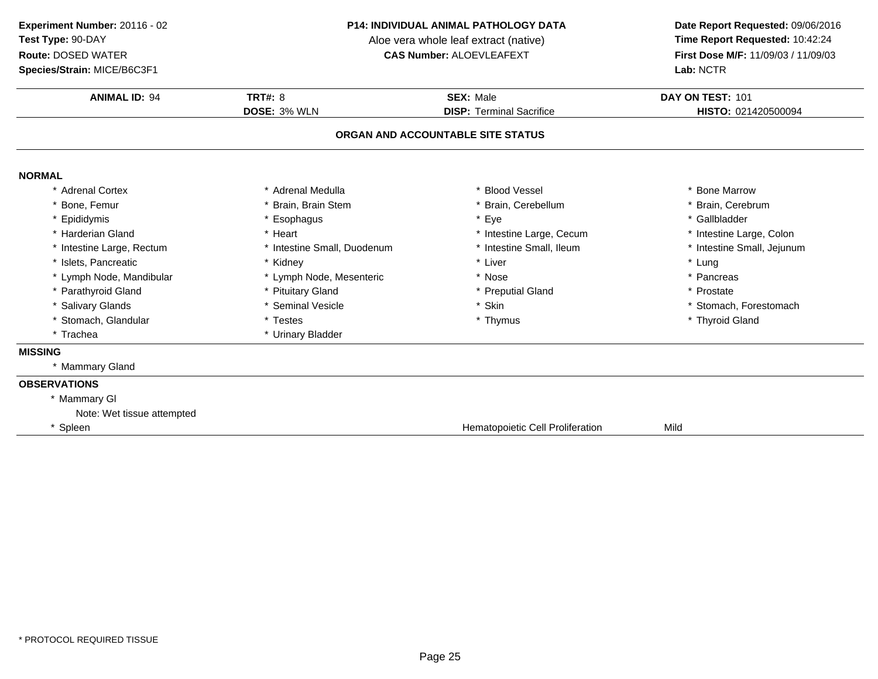**Species/Strain:** MICE/B6C3F1

#### **P14: INDIVIDUAL ANIMAL PATHOLOGY DATA**

Aloe vera whole leaf extract (native)<br>**CAS Number:** ALOEVLEAFEXT

| <b>ANIMAL ID: 94</b>       | <b>TRT#: 8</b>              | <b>SEX: Male</b>                  | DAY ON TEST: 101           |
|----------------------------|-----------------------------|-----------------------------------|----------------------------|
|                            | DOSE: 3% WLN                | <b>DISP: Terminal Sacrifice</b>   | HISTO: 021420500094        |
|                            |                             | ORGAN AND ACCOUNTABLE SITE STATUS |                            |
| <b>NORMAL</b>              |                             |                                   |                            |
| * Adrenal Cortex           | * Adrenal Medulla           | * Blood Vessel                    | * Bone Marrow              |
| * Bone, Femur              | * Brain, Brain Stem         | * Brain, Cerebellum               | * Brain, Cerebrum          |
| * Epididymis               | * Esophagus                 | * Eye                             | * Gallbladder              |
| * Harderian Gland          | * Heart                     | * Intestine Large, Cecum          | * Intestine Large, Colon   |
| * Intestine Large, Rectum  | * Intestine Small, Duodenum | * Intestine Small, Ileum          | * Intestine Small, Jejunum |
| * Islets. Pancreatic       | * Kidney                    | * Liver                           | * Lung                     |
| * Lymph Node, Mandibular   | * Lymph Node, Mesenteric    | * Nose                            | * Pancreas                 |
| * Parathyroid Gland        | * Pituitary Gland           | * Preputial Gland                 | * Prostate                 |
| * Salivary Glands          | * Seminal Vesicle           | * Skin                            | * Stomach, Forestomach     |
| * Stomach, Glandular       | * Testes                    | * Thymus                          | * Thyroid Gland            |
| * Trachea                  | * Urinary Bladder           |                                   |                            |
| <b>MISSING</b>             |                             |                                   |                            |
| * Mammary Gland            |                             |                                   |                            |
| <b>OBSERVATIONS</b>        |                             |                                   |                            |
| * Mammary GI               |                             |                                   |                            |
| Note: Wet tissue attempted |                             |                                   |                            |
| * Spleen                   |                             | Hematopoietic Cell Proliferation  | Mild                       |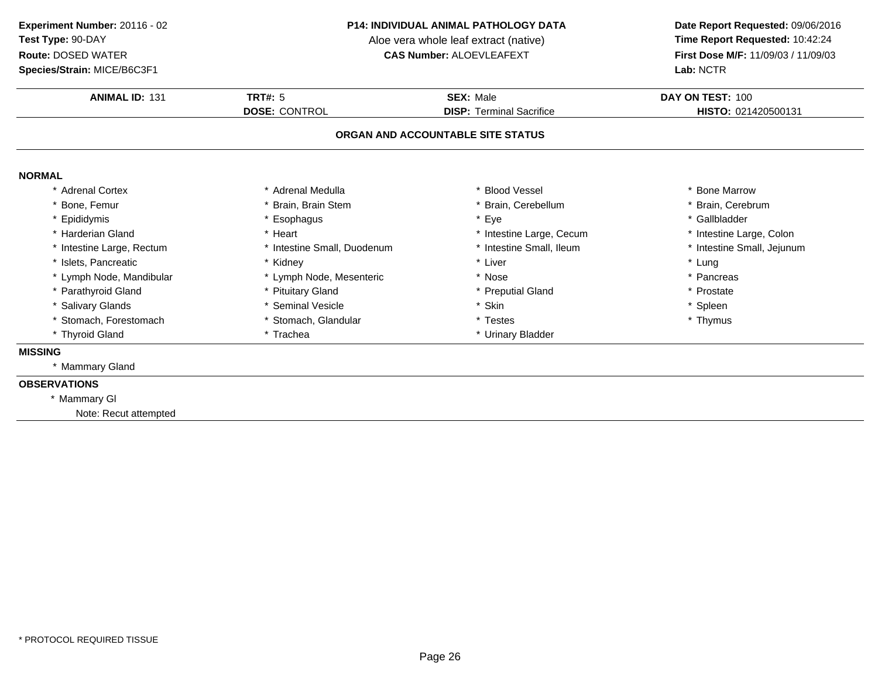**Species/Strain:** MICE/B6C3F1

#### **P14: INDIVIDUAL ANIMAL PATHOLOGY DATA**

Aloe vera whole leaf extract (native)<br>**CAS Number:** ALOEVLEAFEXT

| <b>ANIMAL ID: 131</b>     | <b>TRT#: 5</b>              | <b>SEX: Male</b>                  | DAY ON TEST: 100           |
|---------------------------|-----------------------------|-----------------------------------|----------------------------|
|                           | <b>DOSE: CONTROL</b>        | <b>DISP: Terminal Sacrifice</b>   | HISTO: 021420500131        |
|                           |                             | ORGAN AND ACCOUNTABLE SITE STATUS |                            |
| <b>NORMAL</b>             |                             |                                   |                            |
| <b>Adrenal Cortex</b>     | * Adrenal Medulla           | * Blood Vessel                    | * Bone Marrow              |
| Bone, Femur               | * Brain, Brain Stem         | * Brain, Cerebellum               | * Brain, Cerebrum          |
| * Epididymis              | * Esophagus                 | * Eye                             | * Gallbladder              |
| Harderian Gland           | * Heart                     | * Intestine Large, Cecum          | * Intestine Large, Colon   |
| * Intestine Large, Rectum | * Intestine Small, Duodenum | * Intestine Small, Ileum          | * Intestine Small, Jejunum |
| * Islets, Pancreatic      | * Kidney                    | * Liver                           | * Lung                     |
| * Lymph Node, Mandibular  | * Lymph Node, Mesenteric    | * Nose                            | * Pancreas                 |
| * Parathyroid Gland       | * Pituitary Gland           | * Preputial Gland                 | * Prostate                 |
| * Salivary Glands         | * Seminal Vesicle           | * Skin                            | * Spleen                   |
| Stomach, Forestomach      | * Stomach, Glandular        | * Testes                          | * Thymus                   |
| * Thyroid Gland           | * Trachea                   | * Urinary Bladder                 |                            |
| <b>MISSING</b>            |                             |                                   |                            |
| * Mammary Gland           |                             |                                   |                            |
| <b>OBSERVATIONS</b>       |                             |                                   |                            |
| * Mammary GI              |                             |                                   |                            |
| Note: Recut attempted     |                             |                                   |                            |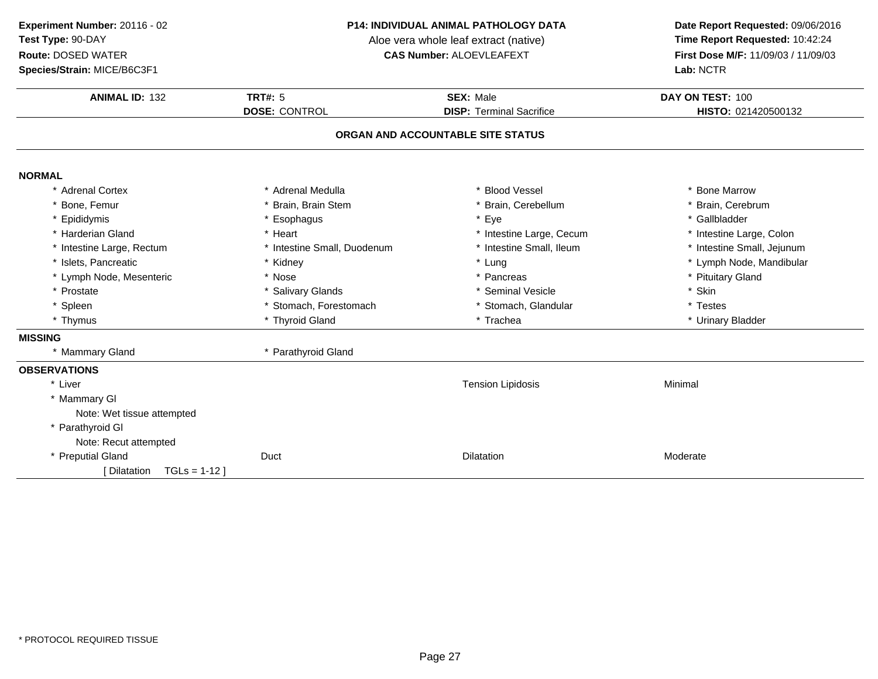**Species/Strain:** MICE/B6C3F1

#### **P14: INDIVIDUAL ANIMAL PATHOLOGY DATA**

Aloe vera whole leaf extract (native)<br>**CAS Number:** ALOEVLEAFEXT

| <b>ANIMAL ID: 132</b>        | <b>TRT#: 5</b>              | <b>SEX: Male</b>                  | DAY ON TEST: 100           |  |
|------------------------------|-----------------------------|-----------------------------------|----------------------------|--|
|                              | <b>DOSE: CONTROL</b>        | <b>DISP: Terminal Sacrifice</b>   | HISTO: 021420500132        |  |
|                              |                             | ORGAN AND ACCOUNTABLE SITE STATUS |                            |  |
| <b>NORMAL</b>                |                             |                                   |                            |  |
| * Adrenal Cortex             | * Adrenal Medulla           | * Blood Vessel                    | * Bone Marrow              |  |
| * Bone, Femur                | * Brain, Brain Stem         | * Brain, Cerebellum               | * Brain, Cerebrum          |  |
| * Epididymis                 | Esophagus                   | * Eye                             | * Gallbladder              |  |
| * Harderian Gland            | * Heart                     | * Intestine Large, Cecum          | * Intestine Large, Colon   |  |
| * Intestine Large, Rectum    | * Intestine Small, Duodenum | * Intestine Small, Ileum          | * Intestine Small, Jejunum |  |
| * Islets, Pancreatic         | * Kidney                    | * Lung                            | * Lymph Node, Mandibular   |  |
| * Lymph Node, Mesenteric     | * Nose                      | * Pancreas                        | * Pituitary Gland          |  |
| * Prostate                   | * Salivary Glands           | * Seminal Vesicle                 | * Skin                     |  |
| * Spleen                     | * Stomach, Forestomach      | * Stomach, Glandular              | * Testes                   |  |
| * Thymus                     | * Thyroid Gland             | * Trachea                         | * Urinary Bladder          |  |
| <b>MISSING</b>               |                             |                                   |                            |  |
| * Mammary Gland              | * Parathyroid Gland         |                                   |                            |  |
| <b>OBSERVATIONS</b>          |                             |                                   |                            |  |
| * Liver                      |                             | <b>Tension Lipidosis</b>          | Minimal                    |  |
| * Mammary GI                 |                             |                                   |                            |  |
| Note: Wet tissue attempted   |                             |                                   |                            |  |
| * Parathyroid GI             |                             |                                   |                            |  |
| Note: Recut attempted        |                             |                                   |                            |  |
| * Preputial Gland            | Duct                        | <b>Dilatation</b>                 | Moderate                   |  |
| $TGLs = 1-12$<br>[Dilatation |                             |                                   |                            |  |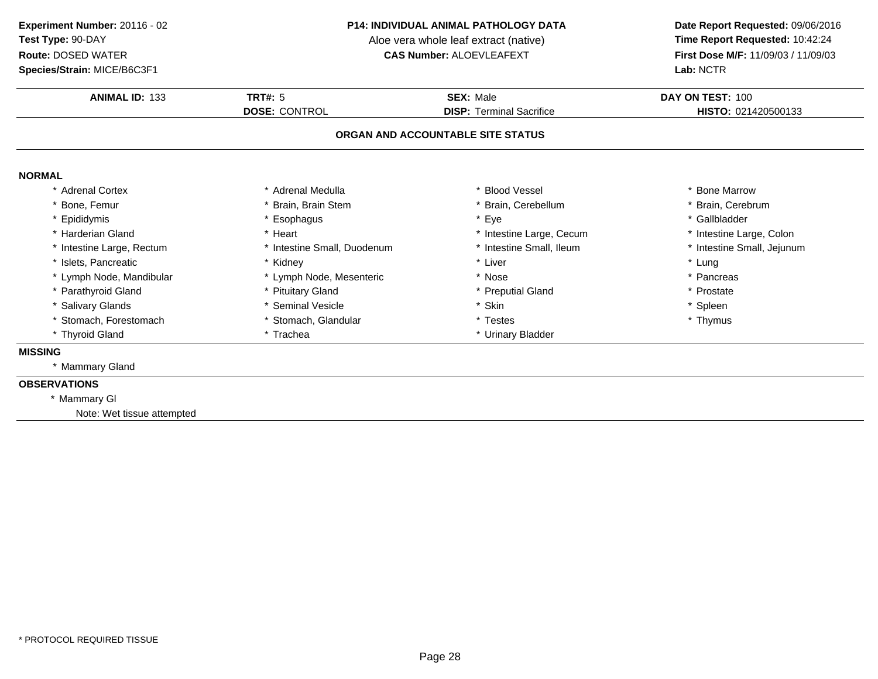### **Species/Strain:** MICE/B6C3F1

#### **P14: INDIVIDUAL ANIMAL PATHOLOGY DATA**

Aloe vera whole leaf extract (native)<br>**CAS Number:** ALOEVLEAFEXT

| <b>ANIMAL ID: 133</b>      | TRT#: $5$                   | <b>SEX: Male</b>                  | DAY ON TEST: 100           |
|----------------------------|-----------------------------|-----------------------------------|----------------------------|
|                            | <b>DOSE: CONTROL</b>        | <b>DISP: Terminal Sacrifice</b>   | HISTO: 021420500133        |
|                            |                             | ORGAN AND ACCOUNTABLE SITE STATUS |                            |
| <b>NORMAL</b>              |                             |                                   |                            |
| * Adrenal Cortex           | * Adrenal Medulla           | * Blood Vessel                    | * Bone Marrow              |
| * Bone, Femur              | * Brain, Brain Stem         | * Brain, Cerebellum               | * Brain, Cerebrum          |
| * Epididymis               | Esophagus                   | * Eye                             | * Gallbladder              |
| * Harderian Gland          | * Heart                     | * Intestine Large, Cecum          | * Intestine Large, Colon   |
| Intestine Large, Rectum    | * Intestine Small, Duodenum | * Intestine Small, Ileum          | * Intestine Small, Jejunum |
| * Islets, Pancreatic       | * Kidney                    | * Liver                           | * Lung                     |
| * Lymph Node, Mandibular   | * Lymph Node, Mesenteric    | * Nose                            | * Pancreas                 |
| * Parathyroid Gland        | * Pituitary Gland           | * Preputial Gland                 | * Prostate                 |
| * Salivary Glands          | * Seminal Vesicle           | * Skin                            | * Spleen                   |
| * Stomach, Forestomach     | * Stomach, Glandular        | * Testes                          | * Thymus                   |
| * Thyroid Gland            | * Trachea                   | * Urinary Bladder                 |                            |
| <b>MISSING</b>             |                             |                                   |                            |
| * Mammary Gland            |                             |                                   |                            |
| <b>OBSERVATIONS</b>        |                             |                                   |                            |
| * Mammary GI               |                             |                                   |                            |
| Note: Wet tissue attempted |                             |                                   |                            |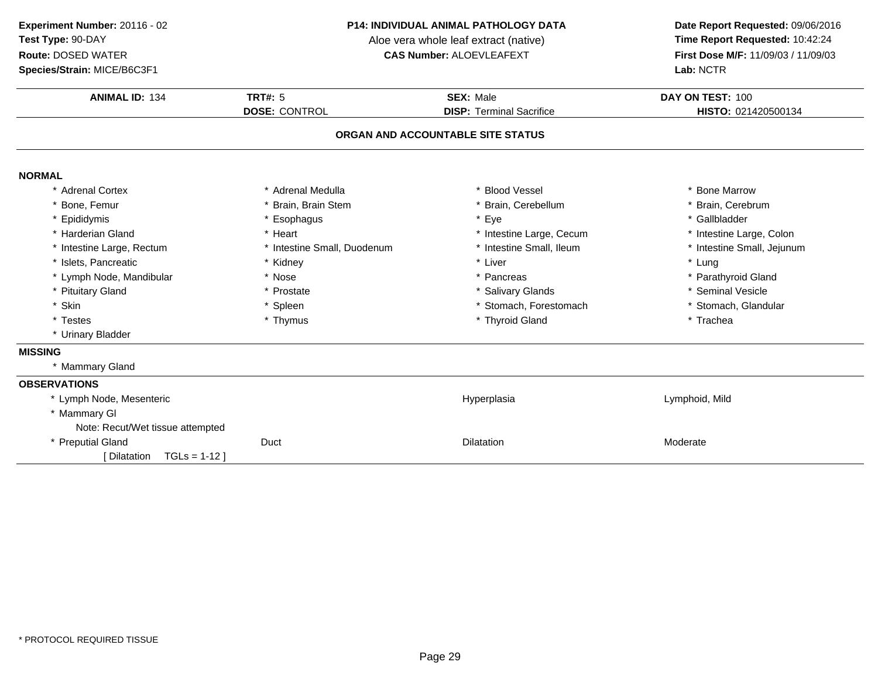**Species/Strain:** MICE/B6C3F1

#### **P14: INDIVIDUAL ANIMAL PATHOLOGY DATA**

Aloe vera whole leaf extract (native)<br>**CAS Number:** ALOEVLEAFEXT

| <b>ANIMAL ID: 134</b>            | TRT#: $5$                   | <b>SEX: Male</b>                  | DAY ON TEST: 100           |
|----------------------------------|-----------------------------|-----------------------------------|----------------------------|
|                                  | <b>DOSE: CONTROL</b>        | <b>DISP: Terminal Sacrifice</b>   | HISTO: 021420500134        |
|                                  |                             | ORGAN AND ACCOUNTABLE SITE STATUS |                            |
| <b>NORMAL</b>                    |                             |                                   |                            |
| <b>Adrenal Cortex</b>            | * Adrenal Medulla           | * Blood Vessel                    | * Bone Marrow              |
| Bone, Femur                      | * Brain, Brain Stem         | * Brain, Cerebellum               | * Brain, Cerebrum          |
| Epididymis                       | * Esophagus                 | * Eye                             | * Gallbladder              |
| * Harderian Gland                | * Heart                     | * Intestine Large, Cecum          | * Intestine Large, Colon   |
| * Intestine Large, Rectum        | * Intestine Small, Duodenum | * Intestine Small, Ileum          | * Intestine Small, Jejunum |
| * Islets, Pancreatic             | * Kidney                    | * Liver                           | * Lung                     |
| * Lymph Node, Mandibular         | * Nose                      | * Pancreas                        | * Parathyroid Gland        |
| * Pituitary Gland                | * Prostate                  | * Salivary Glands                 | * Seminal Vesicle          |
| * Skin                           | * Spleen                    | * Stomach, Forestomach            | * Stomach, Glandular       |
| * Testes                         | * Thymus                    | * Thyroid Gland                   | * Trachea                  |
| * Urinary Bladder                |                             |                                   |                            |
| <b>MISSING</b>                   |                             |                                   |                            |
| * Mammary Gland                  |                             |                                   |                            |
| <b>OBSERVATIONS</b>              |                             |                                   |                            |
| * Lymph Node, Mesenteric         |                             | Hyperplasia                       | Lymphoid, Mild             |
| * Mammary GI                     |                             |                                   |                            |
| Note: Recut/Wet tissue attempted |                             |                                   |                            |
| * Preputial Gland                | Duct                        | <b>Dilatation</b>                 | Moderate                   |
| $TGLs = 1-12$ ]<br>[ Dilatation  |                             |                                   |                            |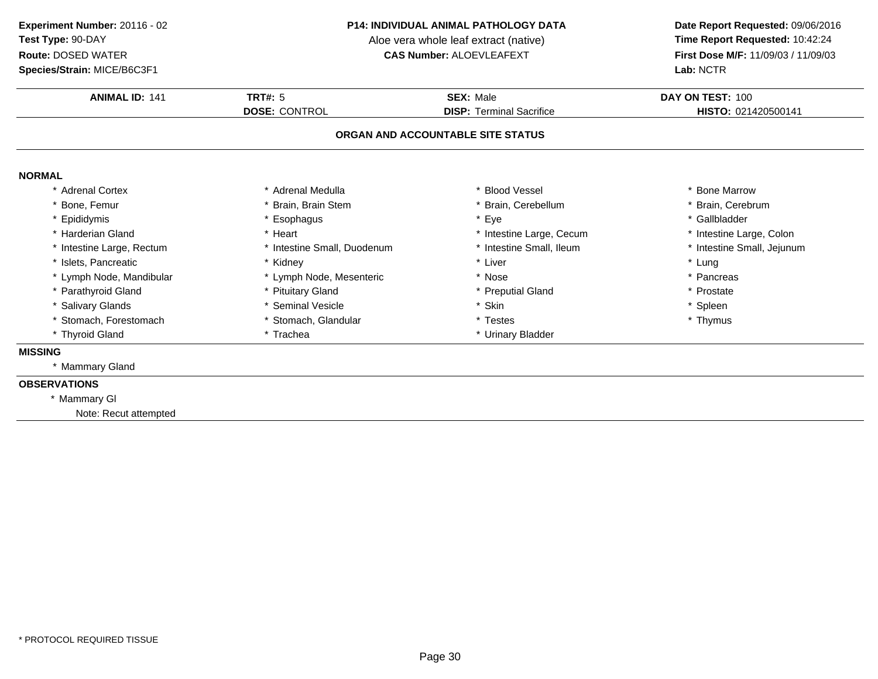**Species/Strain:** MICE/B6C3F1

#### **P14: INDIVIDUAL ANIMAL PATHOLOGY DATA**

Aloe vera whole leaf extract (native)<br>**CAS Number:** ALOEVLEAFEXT

| <b>ANIMAL ID: 141</b>     | <b>TRT#: 5</b>              | <b>SEX: Male</b>                  | DAY ON TEST: 100           |
|---------------------------|-----------------------------|-----------------------------------|----------------------------|
|                           | <b>DOSE: CONTROL</b>        | <b>DISP: Terminal Sacrifice</b>   | HISTO: 021420500141        |
|                           |                             | ORGAN AND ACCOUNTABLE SITE STATUS |                            |
| <b>NORMAL</b>             |                             |                                   |                            |
| <b>Adrenal Cortex</b>     | * Adrenal Medulla           | <b>Blood Vessel</b>               | * Bone Marrow              |
| Bone, Femur               | * Brain, Brain Stem         | Brain, Cerebellum                 | * Brain, Cerebrum          |
| * Epididymis              | * Esophagus                 | * Eye                             | * Gallbladder              |
| Harderian Gland           | * Heart                     | * Intestine Large, Cecum          | * Intestine Large, Colon   |
| * Intestine Large, Rectum | * Intestine Small, Duodenum | * Intestine Small, Ileum          | * Intestine Small, Jejunum |
| * Islets, Pancreatic      | * Kidney                    | * Liver                           | * Lung                     |
| Lymph Node, Mandibular    | * Lymph Node, Mesenteric    | * Nose                            | * Pancreas                 |
| * Parathyroid Gland       | * Pituitary Gland           | * Preputial Gland                 | * Prostate                 |
| * Salivary Glands         | * Seminal Vesicle           | * Skin                            | * Spleen                   |
| Stomach, Forestomach      | * Stomach, Glandular        | * Testes                          | * Thymus                   |
| * Thyroid Gland           | * Trachea                   | * Urinary Bladder                 |                            |
| <b>MISSING</b>            |                             |                                   |                            |
| * Mammary Gland           |                             |                                   |                            |
| <b>OBSERVATIONS</b>       |                             |                                   |                            |
| * Mammary GI              |                             |                                   |                            |
| Note: Recut attempted     |                             |                                   |                            |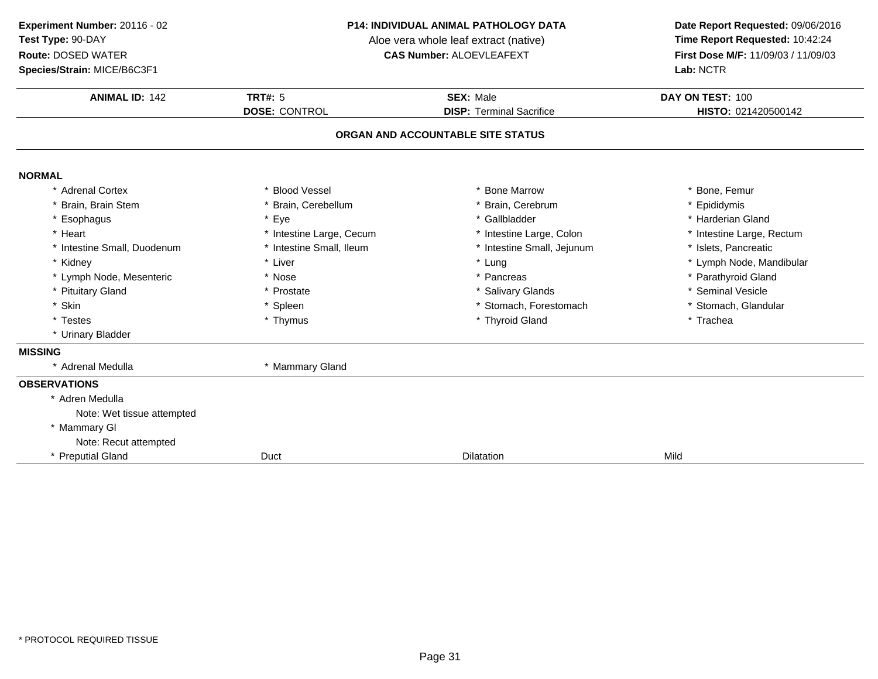**Species/Strain:** MICE/B6C3F1

#### **P14: INDIVIDUAL ANIMAL PATHOLOGY DATA**

Aloe vera whole leaf extract (native)<br>**CAS Number:** ALOEVLEAFEXT

| <b>ANIMAL ID: 142</b>       | <b>TRT#: 5</b>           | <b>SEX: Male</b>                  | DAY ON TEST: 100          |
|-----------------------------|--------------------------|-----------------------------------|---------------------------|
|                             | <b>DOSE: CONTROL</b>     | <b>DISP: Terminal Sacrifice</b>   | HISTO: 021420500142       |
|                             |                          | ORGAN AND ACCOUNTABLE SITE STATUS |                           |
| <b>NORMAL</b>               |                          |                                   |                           |
| * Adrenal Cortex            | * Blood Vessel           | * Bone Marrow                     | * Bone, Femur             |
| Brain, Brain Stem           | * Brain, Cerebellum      | * Brain, Cerebrum                 | * Epididymis              |
| * Esophagus                 | * Eye                    | * Gallbladder                     | * Harderian Gland         |
| * Heart                     | * Intestine Large, Cecum | * Intestine Large, Colon          | * Intestine Large, Rectum |
| * Intestine Small, Duodenum | Intestine Small, Ileum   | * Intestine Small, Jejunum        | * Islets, Pancreatic      |
| * Kidney                    | * Liver                  | * Lung                            | * Lymph Node, Mandibular  |
| * Lymph Node, Mesenteric    | * Nose                   | * Pancreas                        | * Parathyroid Gland       |
| * Pituitary Gland           | * Prostate               | * Salivary Glands                 | * Seminal Vesicle         |
| * Skin                      | * Spleen                 | * Stomach, Forestomach            | * Stomach, Glandular      |
| * Testes                    | * Thymus                 | * Thyroid Gland                   | * Trachea                 |
| * Urinary Bladder           |                          |                                   |                           |
| <b>MISSING</b>              |                          |                                   |                           |
| Adrenal Medulla             | * Mammary Gland          |                                   |                           |
| <b>OBSERVATIONS</b>         |                          |                                   |                           |
| * Adren Medulla             |                          |                                   |                           |
| Note: Wet tissue attempted  |                          |                                   |                           |
| * Mammary GI                |                          |                                   |                           |
| Note: Recut attempted       |                          |                                   |                           |
| * Preputial Gland           | Duct                     | Dilatation                        | Mild                      |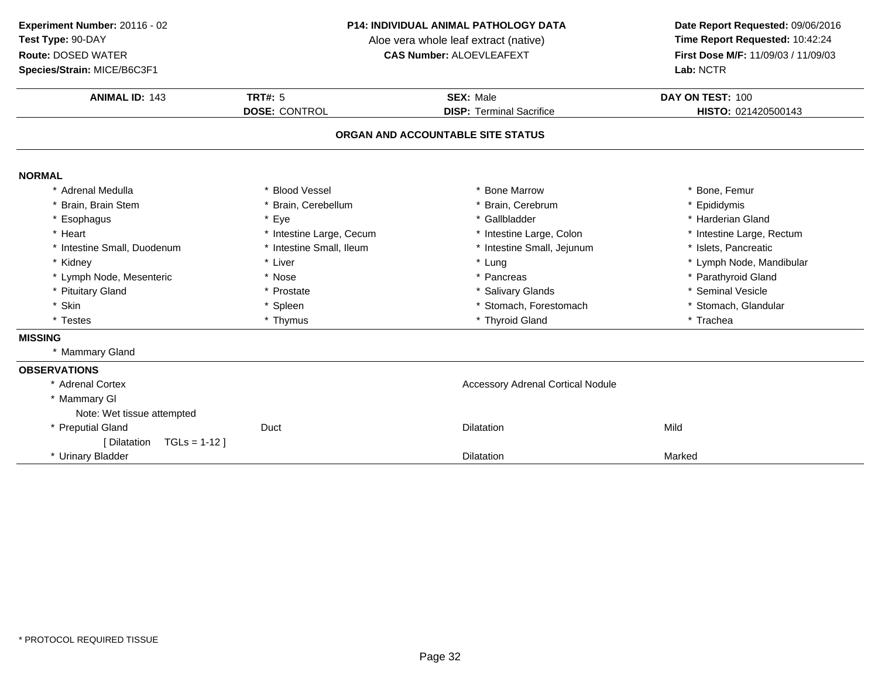**Species/Strain:** MICE/B6C3F1

#### **P14: INDIVIDUAL ANIMAL PATHOLOGY DATA**

Aloe vera whole leaf extract (native)<br>**CAS Number:** ALOEVLEAFEXT

| <b>ANIMAL ID: 143</b>        | <b>TRT#: 5</b>           | <b>SEX: Male</b>                         | DAY ON TEST: 100          |
|------------------------------|--------------------------|------------------------------------------|---------------------------|
|                              | <b>DOSE: CONTROL</b>     | <b>DISP: Terminal Sacrifice</b>          | HISTO: 021420500143       |
|                              |                          | ORGAN AND ACCOUNTABLE SITE STATUS        |                           |
| <b>NORMAL</b>                |                          |                                          |                           |
| * Adrenal Medulla            | * Blood Vessel           | * Bone Marrow                            | * Bone, Femur             |
| * Brain, Brain Stem          | * Brain, Cerebellum      | * Brain, Cerebrum                        | * Epididymis              |
| * Esophagus                  | * Eye                    | * Gallbladder                            | * Harderian Gland         |
| * Heart                      | * Intestine Large, Cecum | * Intestine Large, Colon                 | * Intestine Large, Rectum |
| * Intestine Small, Duodenum  | * Intestine Small, Ileum | * Intestine Small, Jejunum               | * Islets, Pancreatic      |
| * Kidney                     | * Liver                  | * Lung                                   | * Lymph Node, Mandibular  |
| * Lymph Node, Mesenteric     | * Nose                   | * Pancreas                               | * Parathyroid Gland       |
| * Pituitary Gland            | * Prostate               | * Salivary Glands                        | * Seminal Vesicle         |
| * Skin                       | * Spleen                 | * Stomach, Forestomach                   | * Stomach, Glandular      |
| * Testes                     | * Thymus                 | * Thyroid Gland                          | * Trachea                 |
| <b>MISSING</b>               |                          |                                          |                           |
| * Mammary Gland              |                          |                                          |                           |
| <b>OBSERVATIONS</b>          |                          |                                          |                           |
| * Adrenal Cortex             |                          | <b>Accessory Adrenal Cortical Nodule</b> |                           |
| * Mammary GI                 |                          |                                          |                           |
| Note: Wet tissue attempted   |                          |                                          |                           |
| * Preputial Gland            | Duct                     | <b>Dilatation</b>                        | Mild                      |
| $TGLs = 1-12$<br>[Dilatation |                          |                                          |                           |
| * Urinary Bladder            |                          | <b>Dilatation</b>                        | Marked                    |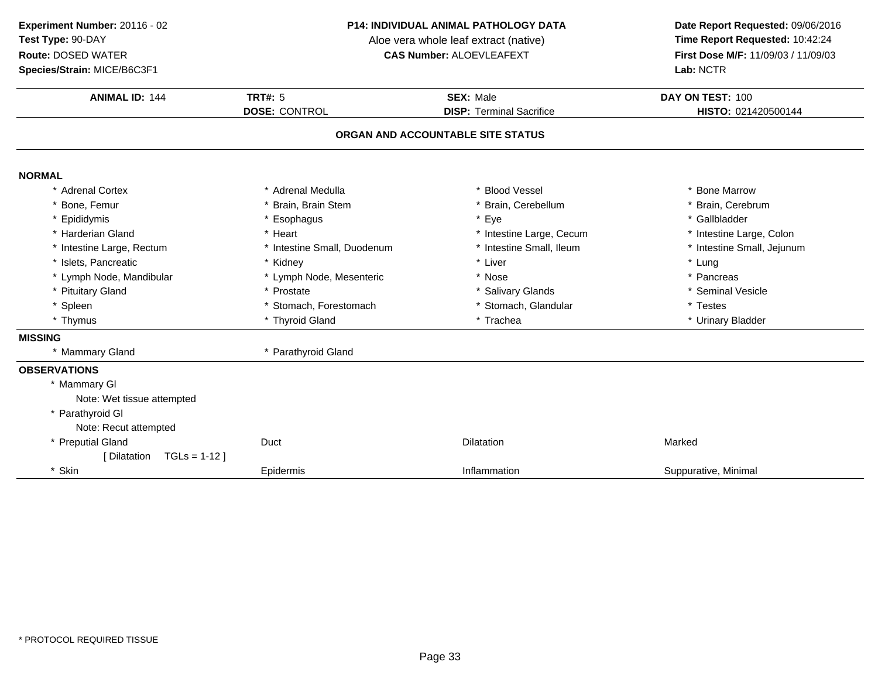### **Species/Strain:** MICE/B6C3F1

#### **P14: INDIVIDUAL ANIMAL PATHOLOGY DATA**

Aloe vera whole leaf extract (native)<br>**CAS Number:** ALOEVLEAFEXT

| <b>ANIMAL ID: 144</b>         | <b>TRT#: 5</b>              | <b>SEX: Male</b>                  | DAY ON TEST: 100           |  |
|-------------------------------|-----------------------------|-----------------------------------|----------------------------|--|
|                               | <b>DOSE: CONTROL</b>        | <b>DISP: Terminal Sacrifice</b>   | HISTO: 021420500144        |  |
|                               |                             | ORGAN AND ACCOUNTABLE SITE STATUS |                            |  |
| <b>NORMAL</b>                 |                             |                                   |                            |  |
| * Adrenal Cortex              | * Adrenal Medulla           | <b>Blood Vessel</b>               | * Bone Marrow              |  |
| * Bone, Femur                 | * Brain, Brain Stem         | Brain, Cerebellum                 | * Brain, Cerebrum          |  |
| * Epididymis                  | * Esophagus                 | Eye                               | * Gallbladder              |  |
| * Harderian Gland             | * Heart                     | * Intestine Large, Cecum          | * Intestine Large, Colon   |  |
| * Intestine Large, Rectum     | * Intestine Small, Duodenum | * Intestine Small, Ileum          | * Intestine Small, Jejunum |  |
| * Islets, Pancreatic          | * Kidney                    | * Liver                           | * Lung                     |  |
| * Lymph Node, Mandibular      | * Lymph Node, Mesenteric    | * Nose                            | * Pancreas                 |  |
| * Pituitary Gland             | * Prostate                  | * Salivary Glands                 | * Seminal Vesicle          |  |
| * Spleen                      | * Stomach, Forestomach      | * Stomach, Glandular              | * Testes                   |  |
| * Thymus                      | * Thyroid Gland             | * Trachea                         | * Urinary Bladder          |  |
| <b>MISSING</b>                |                             |                                   |                            |  |
| * Mammary Gland               | * Parathyroid Gland         |                                   |                            |  |
| <b>OBSERVATIONS</b>           |                             |                                   |                            |  |
| * Mammary GI                  |                             |                                   |                            |  |
| Note: Wet tissue attempted    |                             |                                   |                            |  |
| * Parathyroid GI              |                             |                                   |                            |  |
| Note: Recut attempted         |                             |                                   |                            |  |
| * Preputial Gland             | Duct                        | Dilatation                        | Marked                     |  |
| $TGLs = 1-12$<br>[ Dilatation |                             |                                   |                            |  |
| * Skin                        | Epidermis                   | Inflammation                      | Suppurative, Minimal       |  |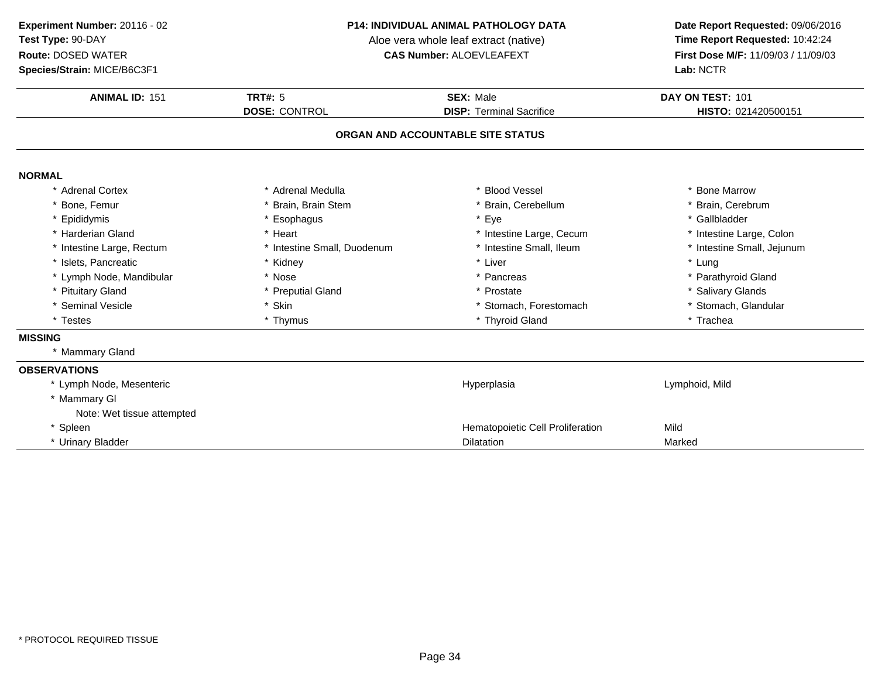**Species/Strain:** MICE/B6C3F1

#### **P14: INDIVIDUAL ANIMAL PATHOLOGY DATA**

Aloe vera whole leaf extract (native)<br>**CAS Number:** ALOEVLEAFEXT

| <b>ANIMAL ID: 151</b>      | <b>TRT#: 5</b>              | <b>SEX: Male</b>                  | DAY ON TEST: 101           |
|----------------------------|-----------------------------|-----------------------------------|----------------------------|
|                            | <b>DOSE: CONTROL</b>        | <b>DISP: Terminal Sacrifice</b>   | HISTO: 021420500151        |
|                            |                             | ORGAN AND ACCOUNTABLE SITE STATUS |                            |
| <b>NORMAL</b>              |                             |                                   |                            |
| * Adrenal Cortex           | * Adrenal Medulla           | * Blood Vessel                    | * Bone Marrow              |
| * Bone, Femur              | * Brain, Brain Stem         | * Brain, Cerebellum               | * Brain, Cerebrum          |
| * Epididymis               | * Esophagus                 | * Eye                             | * Gallbladder              |
| * Harderian Gland          | * Heart                     | * Intestine Large, Cecum          | * Intestine Large, Colon   |
| * Intestine Large, Rectum  | * Intestine Small, Duodenum | * Intestine Small, Ileum          | * Intestine Small, Jejunum |
| * Islets, Pancreatic       | * Kidney                    | * Liver                           | * Lung                     |
| * Lymph Node, Mandibular   | * Nose                      | * Pancreas                        | * Parathyroid Gland        |
| * Pituitary Gland          | * Preputial Gland           | * Prostate                        | * Salivary Glands          |
| * Seminal Vesicle          | * Skin                      | * Stomach, Forestomach            | * Stomach, Glandular       |
| * Testes                   | * Thymus                    | * Thyroid Gland                   | * Trachea                  |
| <b>MISSING</b>             |                             |                                   |                            |
| * Mammary Gland            |                             |                                   |                            |
| <b>OBSERVATIONS</b>        |                             |                                   |                            |
| * Lymph Node, Mesenteric   |                             | Hyperplasia                       | Lymphoid, Mild             |
| * Mammary GI               |                             |                                   |                            |
| Note: Wet tissue attempted |                             |                                   |                            |
| * Spleen                   |                             | Hematopoietic Cell Proliferation  | Mild                       |
| * Urinary Bladder          |                             | <b>Dilatation</b>                 | Marked                     |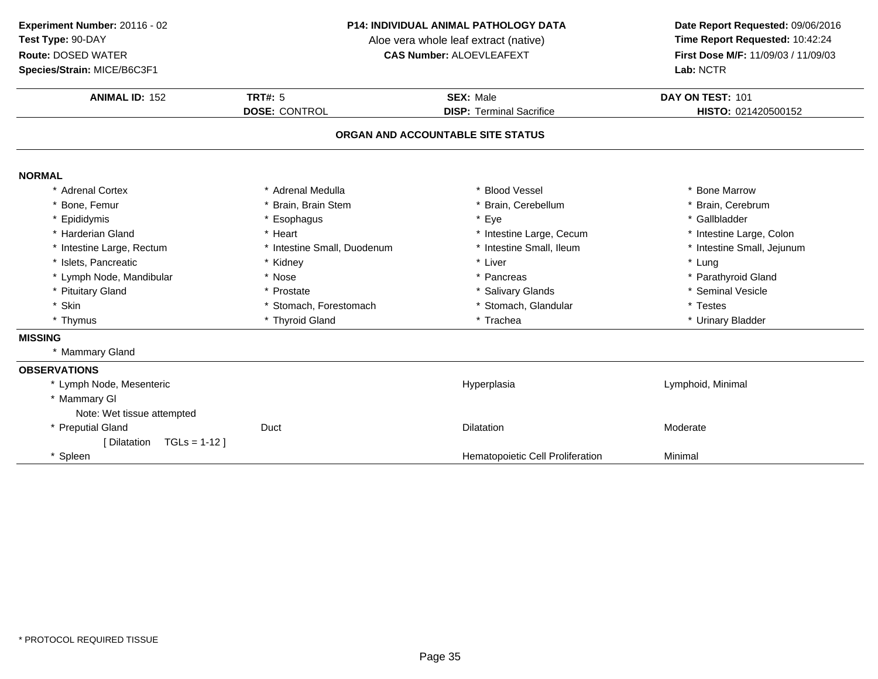### **Species/Strain:** MICE/B6C3F1

#### **P14: INDIVIDUAL ANIMAL PATHOLOGY DATA**

Aloe vera whole leaf extract (native)<br>**CAS Number:** ALOEVLEAFEXT

| <b>ANIMAL ID: 152</b>         | TRT#: $5$                   | <b>SEX: Male</b>                  | DAY ON TEST: 101           |  |
|-------------------------------|-----------------------------|-----------------------------------|----------------------------|--|
|                               | <b>DOSE: CONTROL</b>        | <b>DISP: Terminal Sacrifice</b>   | HISTO: 021420500152        |  |
|                               |                             | ORGAN AND ACCOUNTABLE SITE STATUS |                            |  |
| <b>NORMAL</b>                 |                             |                                   |                            |  |
| * Adrenal Cortex              | * Adrenal Medulla           | <b>Blood Vessel</b>               | * Bone Marrow              |  |
| * Bone, Femur                 | * Brain, Brain Stem         | * Brain, Cerebellum               | * Brain, Cerebrum          |  |
| * Epididymis                  | * Esophagus                 | * Eye                             | * Gallbladder              |  |
| * Harderian Gland             | * Heart                     | * Intestine Large, Cecum          | * Intestine Large, Colon   |  |
| * Intestine Large, Rectum     | * Intestine Small, Duodenum | * Intestine Small, Ileum          | * Intestine Small, Jejunum |  |
| * Islets, Pancreatic          | * Kidney                    | * Liver                           | * Lung                     |  |
| * Lymph Node, Mandibular      | * Nose                      | * Pancreas                        | * Parathyroid Gland        |  |
| * Pituitary Gland             | * Prostate                  | * Salivary Glands                 | * Seminal Vesicle          |  |
| * Skin                        | * Stomach, Forestomach      | * Stomach, Glandular              | * Testes                   |  |
| * Thymus                      | * Thyroid Gland             | * Trachea                         | * Urinary Bladder          |  |
| <b>MISSING</b>                |                             |                                   |                            |  |
| * Mammary Gland               |                             |                                   |                            |  |
| <b>OBSERVATIONS</b>           |                             |                                   |                            |  |
| * Lymph Node, Mesenteric      |                             | Hyperplasia                       | Lymphoid, Minimal          |  |
| * Mammary GI                  |                             |                                   |                            |  |
| Note: Wet tissue attempted    |                             |                                   |                            |  |
| * Preputial Gland             | Duct                        | <b>Dilatation</b>                 | Moderate                   |  |
| $TGLs = 1-12$<br>[ Dilatation |                             |                                   |                            |  |
| * Spleen                      |                             | Hematopoietic Cell Proliferation  | Minimal                    |  |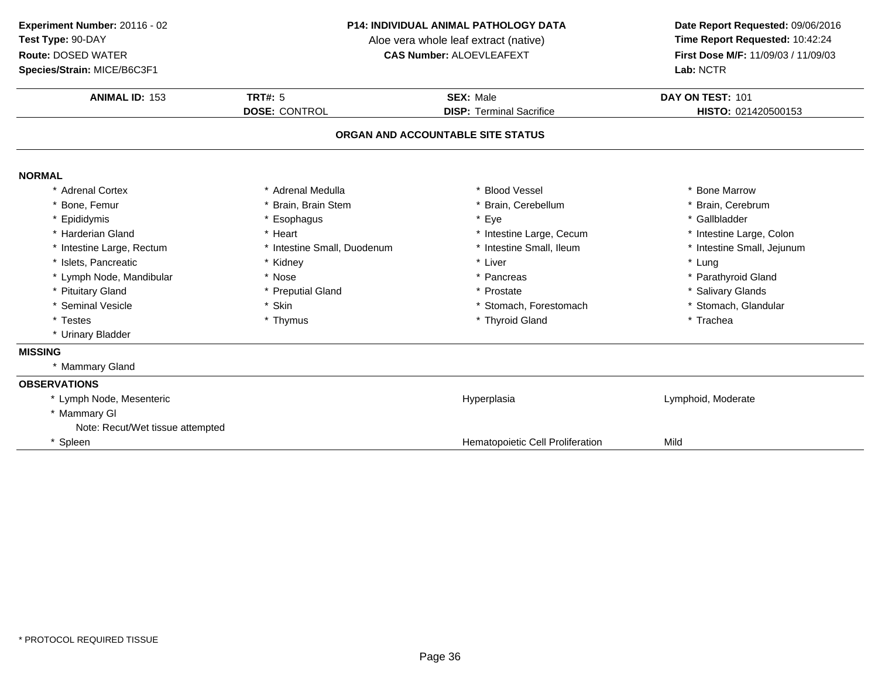**Species/Strain:** MICE/B6C3F1

#### **P14: INDIVIDUAL ANIMAL PATHOLOGY DATA**

Aloe vera whole leaf extract (native)<br>**CAS Number:** ALOEVLEAFEXT

| <b>ANIMAL ID: 153</b>             | TRT#: $5$                   | <b>SEX: Male</b>                 | DAY ON TEST: 101<br>HISTO: 021420500153 |
|-----------------------------------|-----------------------------|----------------------------------|-----------------------------------------|
|                                   | <b>DOSE: CONTROL</b>        | <b>DISP: Terminal Sacrifice</b>  |                                         |
| ORGAN AND ACCOUNTABLE SITE STATUS |                             |                                  |                                         |
| <b>NORMAL</b>                     |                             |                                  |                                         |
| * Adrenal Cortex                  | * Adrenal Medulla           | * Blood Vessel                   | <b>Bone Marrow</b>                      |
| Bone, Femur                       | * Brain, Brain Stem         | * Brain, Cerebellum              | * Brain, Cerebrum                       |
| Epididymis                        | * Esophagus                 | * Eye                            | * Gallbladder                           |
| * Harderian Gland                 | * Heart                     | * Intestine Large, Cecum         | * Intestine Large, Colon                |
| Intestine Large, Rectum           | * Intestine Small, Duodenum | * Intestine Small, Ileum         | * Intestine Small, Jejunum              |
| Islets, Pancreatic                | * Kidney                    | * Liver                          | * Lung                                  |
| * Lymph Node, Mandibular          | * Nose                      | * Pancreas                       | * Parathyroid Gland                     |
| * Pituitary Gland                 | * Preputial Gland           | * Prostate                       | * Salivary Glands                       |
| * Seminal Vesicle                 | * Skin                      | * Stomach, Forestomach           | * Stomach, Glandular                    |
| * Testes                          | * Thymus                    | * Thyroid Gland                  | * Trachea                               |
| * Urinary Bladder                 |                             |                                  |                                         |
| <b>MISSING</b>                    |                             |                                  |                                         |
| * Mammary Gland                   |                             |                                  |                                         |
| <b>OBSERVATIONS</b>               |                             |                                  |                                         |
| * Lymph Node, Mesenteric          |                             | Hyperplasia                      | Lymphoid, Moderate                      |
| * Mammary GI                      |                             |                                  |                                         |
| Note: Recut/Wet tissue attempted  |                             |                                  |                                         |
| * Spleen                          |                             | Hematopoietic Cell Proliferation | Mild                                    |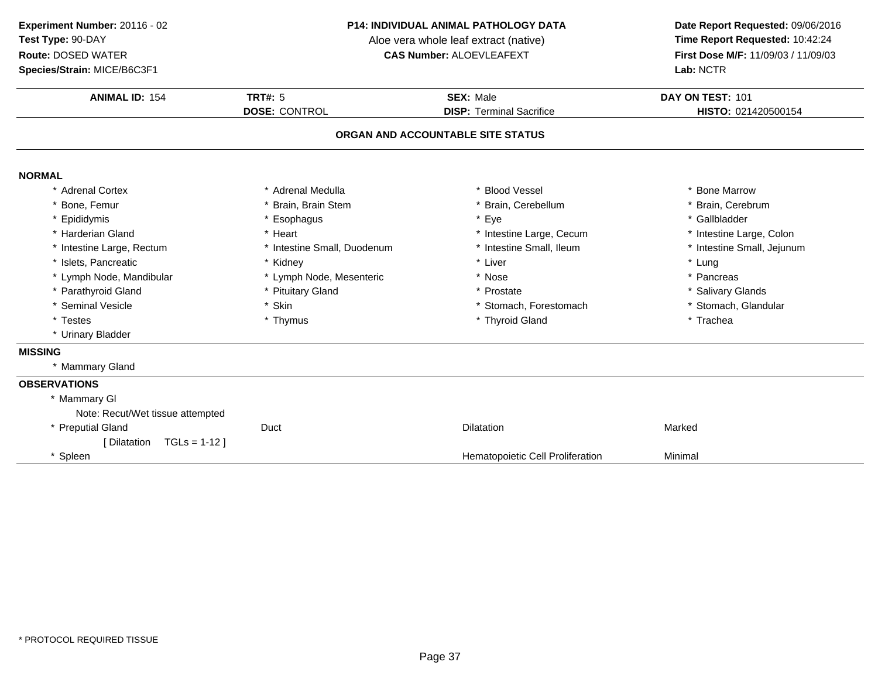### **Species/Strain:** MICE/B6C3F1

#### **P14: INDIVIDUAL ANIMAL PATHOLOGY DATA**

Aloe vera whole leaf extract (native)<br>**CAS Number:** ALOEVLEAFEXT

| <b>ANIMAL ID: 154</b>            | <b>TRT#: 5</b>              | <b>SEX: Male</b>                  | DAY ON TEST: 101           |
|----------------------------------|-----------------------------|-----------------------------------|----------------------------|
|                                  | <b>DOSE: CONTROL</b>        | <b>DISP: Terminal Sacrifice</b>   | HISTO: 021420500154        |
|                                  |                             | ORGAN AND ACCOUNTABLE SITE STATUS |                            |
| <b>NORMAL</b>                    |                             |                                   |                            |
| <b>Adrenal Cortex</b>            | * Adrenal Medulla           | <b>Blood Vessel</b>               | * Bone Marrow              |
| Bone, Femur                      | * Brain, Brain Stem         | * Brain, Cerebellum               | * Brain, Cerebrum          |
| * Epididymis                     | * Esophagus                 | Eye<br>*                          | * Gallbladder              |
| * Harderian Gland                | * Heart                     | * Intestine Large, Cecum          | * Intestine Large, Colon   |
| * Intestine Large, Rectum        | * Intestine Small, Duodenum | * Intestine Small, Ileum          | * Intestine Small, Jejunum |
| Islets, Pancreatic               | * Kidney                    | * Liver                           | * Lung                     |
| * Lymph Node, Mandibular         | * Lymph Node, Mesenteric    | * Nose                            | * Pancreas                 |
| * Parathyroid Gland              | * Pituitary Gland           | * Prostate                        | * Salivary Glands          |
| * Seminal Vesicle                | * Skin                      | * Stomach, Forestomach            | * Stomach, Glandular       |
| * Testes                         | * Thymus                    | * Thyroid Gland                   | * Trachea                  |
| * Urinary Bladder                |                             |                                   |                            |
| <b>MISSING</b>                   |                             |                                   |                            |
| * Mammary Gland                  |                             |                                   |                            |
| <b>OBSERVATIONS</b>              |                             |                                   |                            |
| * Mammary GI                     |                             |                                   |                            |
| Note: Recut/Wet tissue attempted |                             |                                   |                            |
| * Preputial Gland                | Duct                        | <b>Dilatation</b>                 | Marked                     |
| [ Dilatation<br>$TGLs = 1-12$    |                             |                                   |                            |
| * Spleen                         |                             | Hematopoietic Cell Proliferation  | Minimal                    |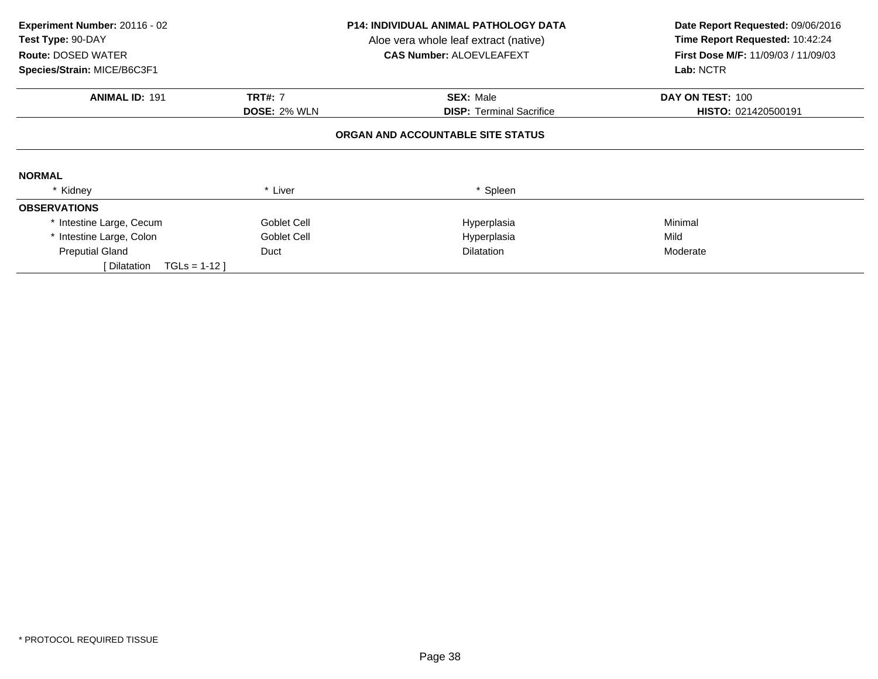| Experiment Number: 20116 - 02<br>Test Type: 90-DAY<br><b>Route: DOSED WATER</b><br>Species/Strain: MICE/B6C3F1 |                     | P14: INDIVIDUAL ANIMAL PATHOLOGY DATA<br>Aloe vera whole leaf extract (native)<br><b>CAS Number: ALOEVLEAFEXT</b> | Date Report Requested: 09/06/2016<br>Time Report Requested: 10:42:24<br><b>First Dose M/F: 11/09/03 / 11/09/03</b><br>Lab: NCTR |
|----------------------------------------------------------------------------------------------------------------|---------------------|-------------------------------------------------------------------------------------------------------------------|---------------------------------------------------------------------------------------------------------------------------------|
| <b>ANIMAL ID: 191</b>                                                                                          | <b>TRT#: 7</b>      | <b>SEX: Male</b>                                                                                                  | DAY ON TEST: 100                                                                                                                |
|                                                                                                                | <b>DOSE: 2% WLN</b> | <b>DISP:</b> Terminal Sacrifice                                                                                   | HISTO: 021420500191                                                                                                             |
|                                                                                                                |                     | ORGAN AND ACCOUNTABLE SITE STATUS                                                                                 |                                                                                                                                 |
| <b>NORMAL</b>                                                                                                  |                     |                                                                                                                   |                                                                                                                                 |
| * Kidney                                                                                                       | * Liver             | * Spleen                                                                                                          |                                                                                                                                 |
| <b>OBSERVATIONS</b>                                                                                            |                     |                                                                                                                   |                                                                                                                                 |
| * Intestine Large, Cecum                                                                                       | Goblet Cell         | Hyperplasia                                                                                                       | Minimal                                                                                                                         |
| * Intestine Large, Colon                                                                                       | Goblet Cell         | Hyperplasia                                                                                                       | Mild                                                                                                                            |
| <b>Preputial Gland</b>                                                                                         | Duct                | <b>Dilatation</b>                                                                                                 | Moderate                                                                                                                        |
| $TGLS = 1-12$<br>Dilatation                                                                                    |                     |                                                                                                                   |                                                                                                                                 |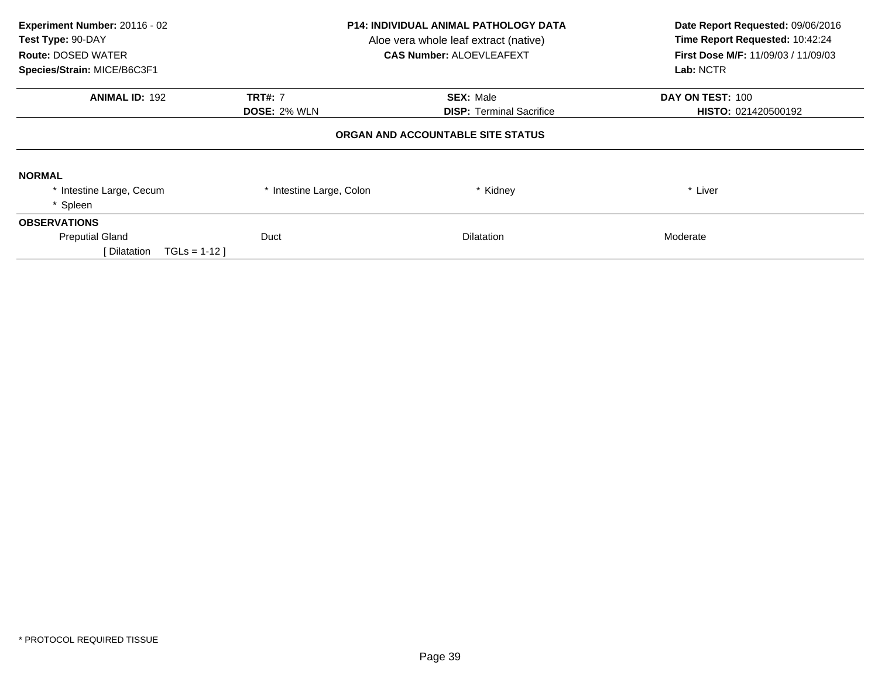| Experiment Number: 20116 - 02<br>Test Type: 90-DAY<br><b>Route: DOSED WATER</b><br>Species/Strain: MICE/B6C3F1 | <b>P14: INDIVIDUAL ANIMAL PATHOLOGY DATA</b><br>Aloe vera whole leaf extract (native)<br><b>CAS Number: ALOEVLEAFEXT</b> |                                   | Date Report Requested: 09/06/2016<br>Time Report Requested: 10:42:24<br><b>First Dose M/F: 11/09/03 / 11/09/03</b><br>Lab: NCTR |
|----------------------------------------------------------------------------------------------------------------|--------------------------------------------------------------------------------------------------------------------------|-----------------------------------|---------------------------------------------------------------------------------------------------------------------------------|
| <b>ANIMAL ID: 192</b>                                                                                          | <b>TRT#: 7</b>                                                                                                           | <b>SEX: Male</b>                  | DAY ON TEST: 100                                                                                                                |
|                                                                                                                | <b>DOSE: 2% WLN</b>                                                                                                      | <b>DISP:</b> Terminal Sacrifice   | HISTO: 021420500192                                                                                                             |
|                                                                                                                |                                                                                                                          | ORGAN AND ACCOUNTABLE SITE STATUS |                                                                                                                                 |
| <b>NORMAL</b>                                                                                                  |                                                                                                                          |                                   |                                                                                                                                 |
| * Intestine Large, Cecum                                                                                       | * Intestine Large, Colon                                                                                                 | * Kidney                          | * Liver                                                                                                                         |
| * Spleen                                                                                                       |                                                                                                                          |                                   |                                                                                                                                 |
| <b>OBSERVATIONS</b>                                                                                            |                                                                                                                          |                                   |                                                                                                                                 |
| <b>Preputial Gland</b>                                                                                         | Duct                                                                                                                     | <b>Dilatation</b>                 | Moderate                                                                                                                        |
| [ Dilatation<br>$TGLs = 1-12$                                                                                  |                                                                                                                          |                                   |                                                                                                                                 |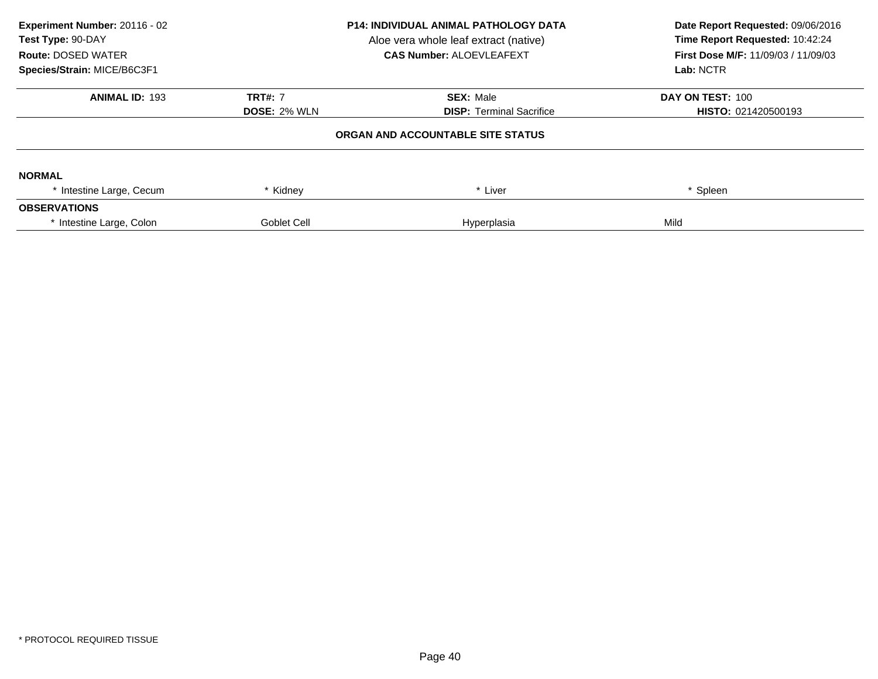| Experiment Number: 20116 - 02<br>Test Type: 90-DAY<br><b>Route: DOSED WATER</b><br>Species/Strain: MICE/B6C3F1 | <b>P14: INDIVIDUAL ANIMAL PATHOLOGY DATA</b><br>Aloe vera whole leaf extract (native)<br><b>CAS Number: ALOEVLEAFEXT</b> |                                   | Date Report Requested: 09/06/2016<br>Time Report Requested: 10:42:24<br><b>First Dose M/F: 11/09/03 / 11/09/03</b><br>Lab: NCTR |
|----------------------------------------------------------------------------------------------------------------|--------------------------------------------------------------------------------------------------------------------------|-----------------------------------|---------------------------------------------------------------------------------------------------------------------------------|
| <b>ANIMAL ID: 193</b>                                                                                          | <b>TRT#: 7</b>                                                                                                           | <b>SEX: Male</b>                  | DAY ON TEST: 100                                                                                                                |
|                                                                                                                | <b>DOSE: 2% WLN</b>                                                                                                      | <b>DISP: Terminal Sacrifice</b>   | <b>HISTO: 021420500193</b>                                                                                                      |
|                                                                                                                |                                                                                                                          | ORGAN AND ACCOUNTABLE SITE STATUS |                                                                                                                                 |
| <b>NORMAL</b>                                                                                                  |                                                                                                                          |                                   |                                                                                                                                 |
| * Intestine Large, Cecum                                                                                       | Kidney                                                                                                                   | * Liver                           | Spleen                                                                                                                          |
| <b>OBSERVATIONS</b>                                                                                            |                                                                                                                          |                                   |                                                                                                                                 |
| * Intestine Large, Colon                                                                                       | Goblet Cell                                                                                                              | Hyperplasia                       | Mild                                                                                                                            |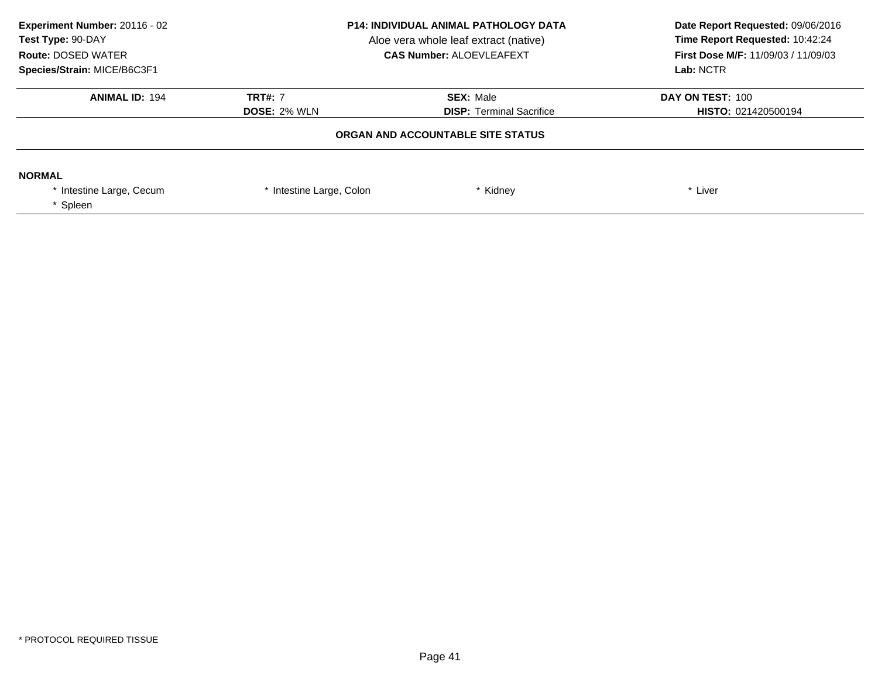| Experiment Number: 20116 - 02<br>Test Type: 90-DAY<br><b>Route: DOSED WATER</b><br>Species/Strain: MICE/B6C3F1 | <b>P14: INDIVIDUAL ANIMAL PATHOLOGY DATA</b><br>Aloe vera whole leaf extract (native)<br><b>CAS Number: ALOEVLEAFEXT</b> |                                                     | Date Report Requested: 09/06/2016<br>Time Report Requested: 10:42:24<br><b>First Dose M/F: 11/09/03 / 11/09/03</b><br>Lab: NCTR |
|----------------------------------------------------------------------------------------------------------------|--------------------------------------------------------------------------------------------------------------------------|-----------------------------------------------------|---------------------------------------------------------------------------------------------------------------------------------|
| <b>ANIMAL ID: 194</b>                                                                                          | <b>TRT#: 7</b><br><b>DOSE: 2% WLN</b>                                                                                    | <b>SEX: Male</b><br><b>DISP: Terminal Sacrifice</b> | DAY ON TEST: 100<br><b>HISTO: 021420500194</b>                                                                                  |
|                                                                                                                |                                                                                                                          | ORGAN AND ACCOUNTABLE SITE STATUS                   |                                                                                                                                 |
| <b>NORMAL</b><br>Intestine Large, Cecum<br>* Spleen                                                            | * Intestine Large, Colon                                                                                                 | * Kidney                                            | * Liver                                                                                                                         |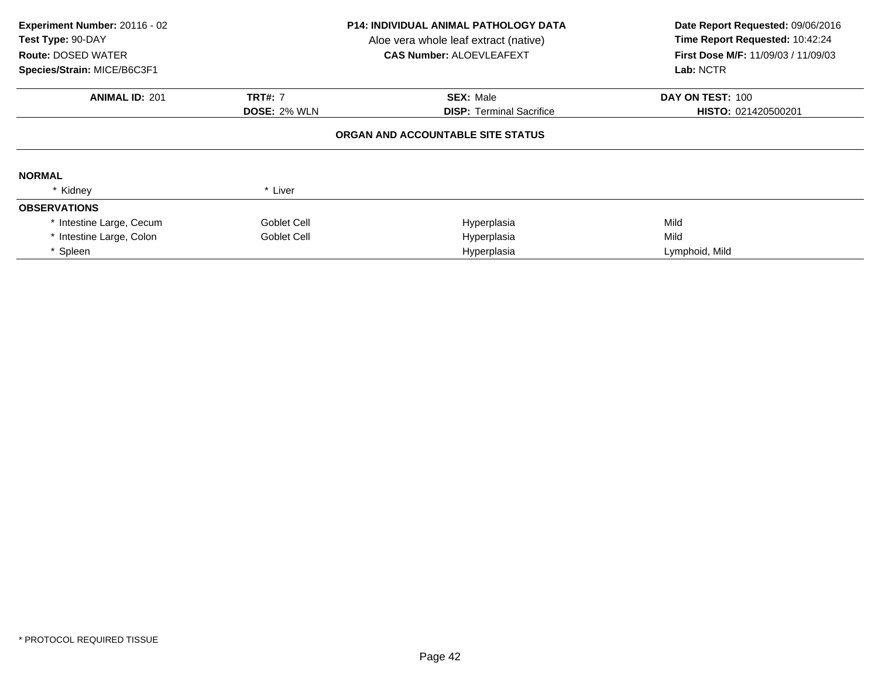| Experiment Number: 20116 - 02<br>Test Type: 90-DAY<br><b>Route: DOSED WATER</b><br>Species/Strain: MICE/B6C3F1 | <b>P14: INDIVIDUAL ANIMAL PATHOLOGY DATA</b><br>Aloe vera whole leaf extract (native)<br><b>CAS Number: ALOEVLEAFEXT</b> |                                   | Date Report Requested: 09/06/2016<br>Time Report Requested: 10:42:24<br>First Dose M/F: 11/09/03 / 11/09/03<br>Lab: NCTR |
|----------------------------------------------------------------------------------------------------------------|--------------------------------------------------------------------------------------------------------------------------|-----------------------------------|--------------------------------------------------------------------------------------------------------------------------|
| <b>ANIMAL ID: 201</b>                                                                                          | <b>TRT#: 7</b>                                                                                                           | <b>SEX: Male</b>                  | DAY ON TEST: 100                                                                                                         |
|                                                                                                                | <b>DOSE: 2% WLN</b>                                                                                                      | <b>DISP:</b> Terminal Sacrifice   | HISTO: 021420500201                                                                                                      |
|                                                                                                                |                                                                                                                          | ORGAN AND ACCOUNTABLE SITE STATUS |                                                                                                                          |
| <b>NORMAL</b>                                                                                                  |                                                                                                                          |                                   |                                                                                                                          |
| * Kidney                                                                                                       | * Liver                                                                                                                  |                                   |                                                                                                                          |
| <b>OBSERVATIONS</b>                                                                                            |                                                                                                                          |                                   |                                                                                                                          |
| * Intestine Large, Cecum                                                                                       | Goblet Cell                                                                                                              | Hyperplasia                       | Mild                                                                                                                     |
| * Intestine Large, Colon                                                                                       | Goblet Cell                                                                                                              | Hyperplasia                       | Mild                                                                                                                     |
| * Spleen                                                                                                       |                                                                                                                          | Hyperplasia                       | Lymphoid, Mild                                                                                                           |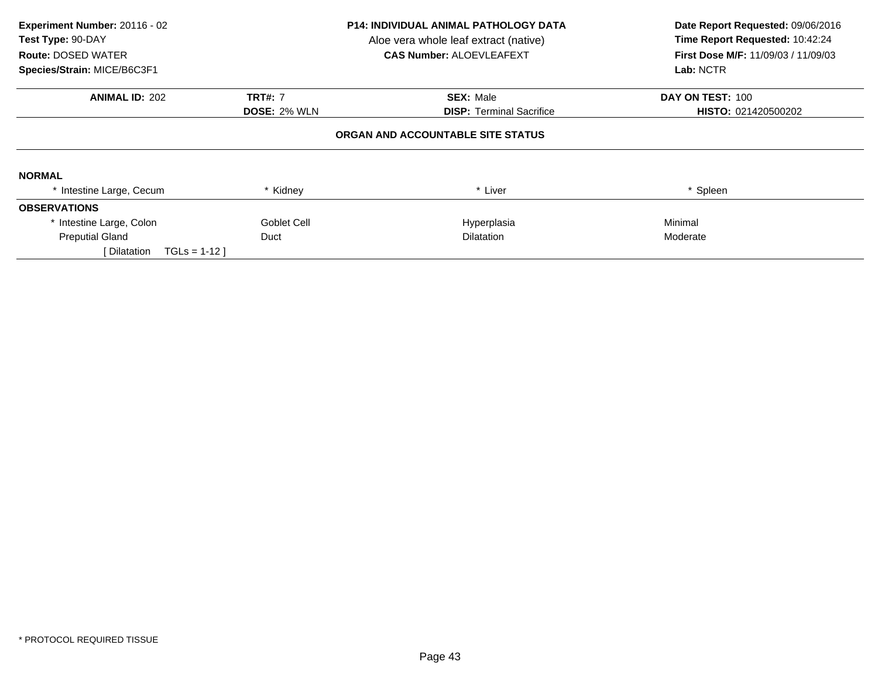| Experiment Number: 20116 - 02<br>Test Type: 90-DAY<br><b>Route: DOSED WATER</b><br>Species/Strain: MICE/B6C3F1 | <b>P14: INDIVIDUAL ANIMAL PATHOLOGY DATA</b><br>Aloe vera whole leaf extract (native)<br><b>CAS Number: ALOEVLEAFEXT</b> |                                   | Date Report Requested: 09/06/2016<br>Time Report Requested: 10:42:24<br><b>First Dose M/F: 11/09/03 / 11/09/03</b><br>Lab: NCTR |
|----------------------------------------------------------------------------------------------------------------|--------------------------------------------------------------------------------------------------------------------------|-----------------------------------|---------------------------------------------------------------------------------------------------------------------------------|
| <b>ANIMAL ID: 202</b>                                                                                          | <b>TRT#: 7</b>                                                                                                           | <b>SEX: Male</b>                  | DAY ON TEST: 100                                                                                                                |
|                                                                                                                | <b>DOSE: 2% WLN</b>                                                                                                      | <b>DISP:</b> Terminal Sacrifice   | HISTO: 021420500202                                                                                                             |
|                                                                                                                |                                                                                                                          | ORGAN AND ACCOUNTABLE SITE STATUS |                                                                                                                                 |
| <b>NORMAL</b>                                                                                                  |                                                                                                                          |                                   |                                                                                                                                 |
| * Intestine Large, Cecum                                                                                       | Kidney                                                                                                                   | * Liver                           | * Spleen                                                                                                                        |
| <b>OBSERVATIONS</b>                                                                                            |                                                                                                                          |                                   |                                                                                                                                 |
| * Intestine Large, Colon                                                                                       | Goblet Cell                                                                                                              | Hyperplasia                       | Minimal                                                                                                                         |
| <b>Preputial Gland</b>                                                                                         | Duct                                                                                                                     | <b>Dilatation</b>                 | Moderate                                                                                                                        |
| $TGLS = 1-12$<br>[ Dilatation                                                                                  |                                                                                                                          |                                   |                                                                                                                                 |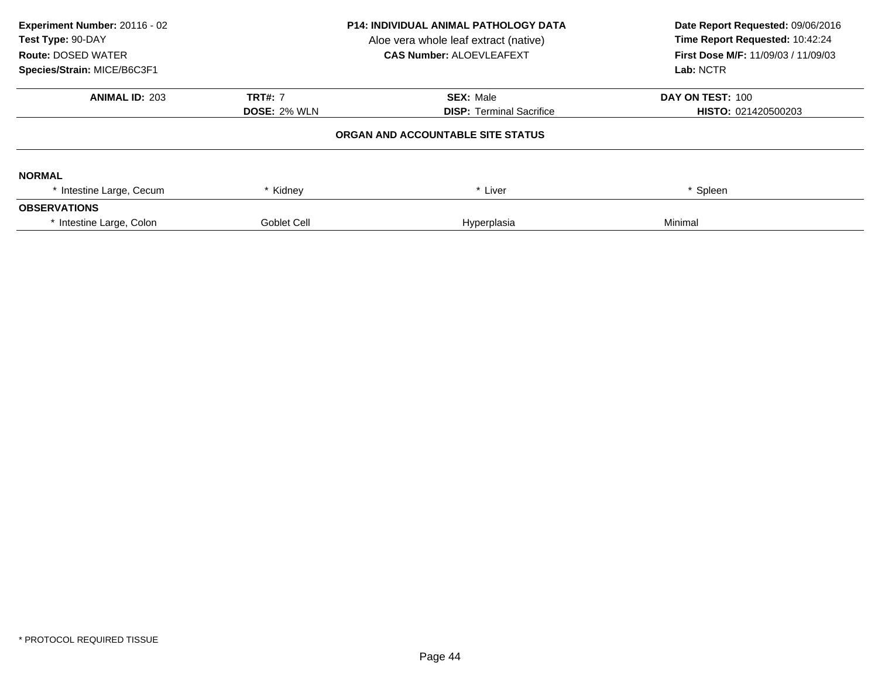| Experiment Number: 20116 - 02<br>Test Type: 90-DAY<br><b>Route: DOSED WATER</b><br>Species/Strain: MICE/B6C3F1 | <b>P14: INDIVIDUAL ANIMAL PATHOLOGY DATA</b><br>Aloe vera whole leaf extract (native)<br><b>CAS Number: ALOEVLEAFEXT</b> |                                   | Date Report Requested: 09/06/2016<br>Time Report Requested: 10:42:24<br><b>First Dose M/F: 11/09/03 / 11/09/03</b><br>Lab: NCTR |
|----------------------------------------------------------------------------------------------------------------|--------------------------------------------------------------------------------------------------------------------------|-----------------------------------|---------------------------------------------------------------------------------------------------------------------------------|
| <b>ANIMAL ID: 203</b>                                                                                          | <b>TRT#: 7</b>                                                                                                           | <b>SEX: Male</b>                  | DAY ON TEST: 100                                                                                                                |
|                                                                                                                | <b>DOSE: 2% WLN</b>                                                                                                      | <b>DISP: Terminal Sacrifice</b>   | <b>HISTO: 021420500203</b>                                                                                                      |
|                                                                                                                |                                                                                                                          | ORGAN AND ACCOUNTABLE SITE STATUS |                                                                                                                                 |
| <b>NORMAL</b>                                                                                                  |                                                                                                                          |                                   |                                                                                                                                 |
| * Intestine Large, Cecum                                                                                       | * Kidney                                                                                                                 | * Liver                           | * Spleen                                                                                                                        |
| <b>OBSERVATIONS</b>                                                                                            |                                                                                                                          |                                   |                                                                                                                                 |
| * Intestine Large, Colon                                                                                       | Goblet Cell                                                                                                              | Hyperplasia                       | Minimal                                                                                                                         |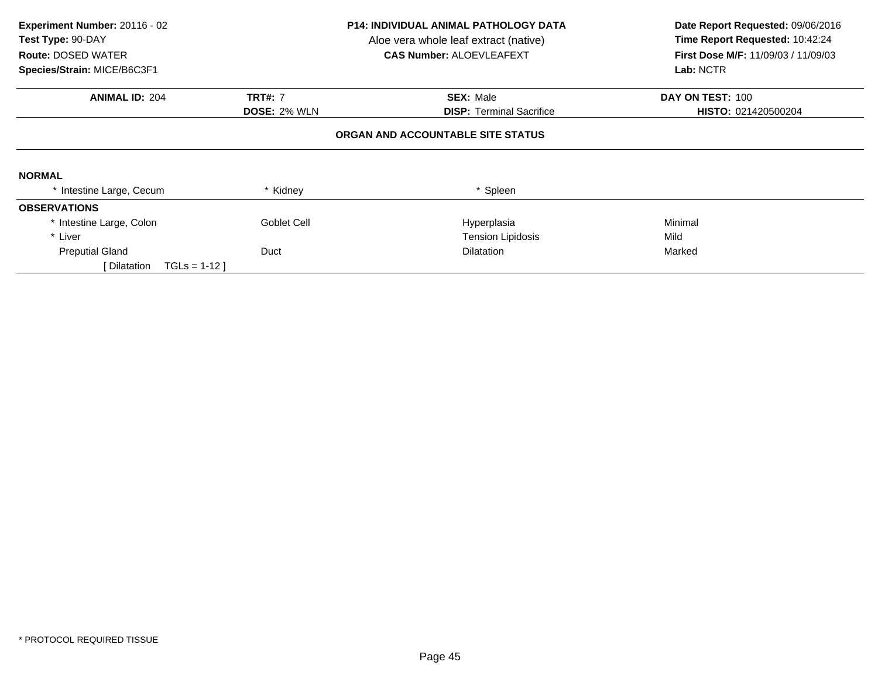| Experiment Number: 20116 - 02<br>Test Type: 90-DAY<br><b>Route: DOSED WATER</b><br>Species/Strain: MICE/B6C3F1 |                     | P14: INDIVIDUAL ANIMAL PATHOLOGY DATA<br>Aloe vera whole leaf extract (native)<br><b>CAS Number: ALOEVLEAFEXT</b> | Date Report Requested: 09/06/2016<br>Time Report Requested: 10:42:24<br><b>First Dose M/F: 11/09/03 / 11/09/03</b><br>Lab: NCTR |
|----------------------------------------------------------------------------------------------------------------|---------------------|-------------------------------------------------------------------------------------------------------------------|---------------------------------------------------------------------------------------------------------------------------------|
| <b>ANIMAL ID: 204</b>                                                                                          | <b>TRT#: 7</b>      | <b>SEX: Male</b>                                                                                                  | DAY ON TEST: 100                                                                                                                |
|                                                                                                                | <b>DOSE: 2% WLN</b> | <b>DISP:</b> Terminal Sacrifice                                                                                   | HISTO: 021420500204                                                                                                             |
|                                                                                                                |                     | ORGAN AND ACCOUNTABLE SITE STATUS                                                                                 |                                                                                                                                 |
| <b>NORMAL</b>                                                                                                  |                     |                                                                                                                   |                                                                                                                                 |
| * Intestine Large, Cecum                                                                                       | * Kidney            | * Spleen                                                                                                          |                                                                                                                                 |
| <b>OBSERVATIONS</b>                                                                                            |                     |                                                                                                                   |                                                                                                                                 |
| * Intestine Large, Colon                                                                                       | Goblet Cell         | Hyperplasia                                                                                                       | Minimal                                                                                                                         |
| * Liver                                                                                                        |                     | <b>Tension Lipidosis</b>                                                                                          | Mild                                                                                                                            |
| <b>Preputial Gland</b>                                                                                         | Duct                | <b>Dilatation</b>                                                                                                 | Marked                                                                                                                          |
| $TGLS = 1-12$<br>[ Dilatation                                                                                  |                     |                                                                                                                   |                                                                                                                                 |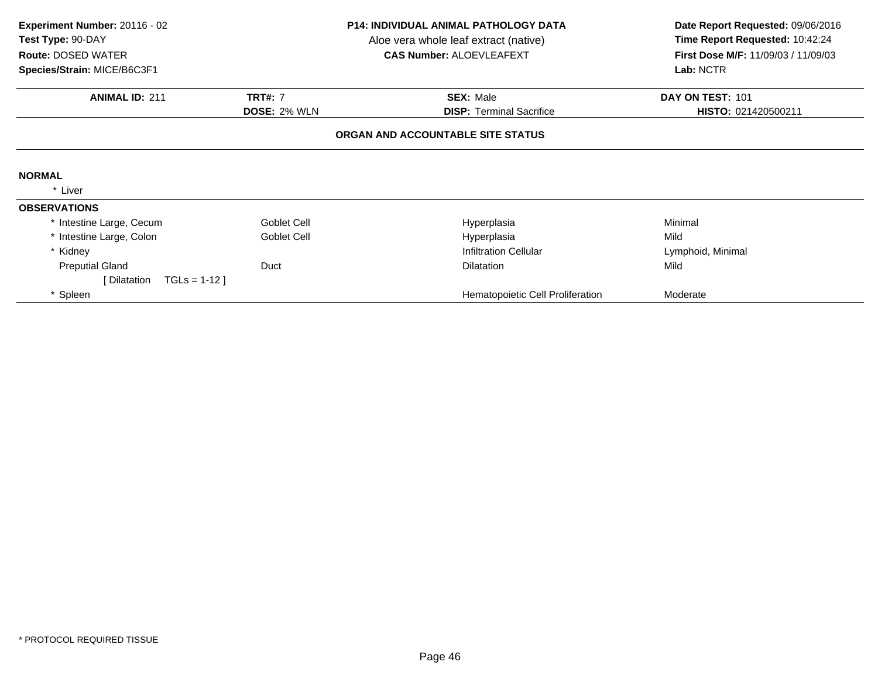| Experiment Number: 20116 - 02<br>Test Type: 90-DAY<br><b>Route: DOSED WATER</b> |                                                                                              | <b>P14: INDIVIDUAL ANIMAL PATHOLOGY DATA</b><br>Aloe vera whole leaf extract (native)<br><b>CAS Number: ALOEVLEAFEXT</b> | Date Report Requested: 09/06/2016<br>Time Report Requested: 10:42:24<br>First Dose M/F: 11/09/03 / 11/09/03 |  |
|---------------------------------------------------------------------------------|----------------------------------------------------------------------------------------------|--------------------------------------------------------------------------------------------------------------------------|-------------------------------------------------------------------------------------------------------------|--|
| Species/Strain: MICE/B6C3F1                                                     |                                                                                              |                                                                                                                          | Lab: NCTR                                                                                                   |  |
| <b>ANIMAL ID: 211</b>                                                           | <b>TRT#: 7</b><br><b>SEX: Male</b><br><b>DOSE: 2% WLN</b><br><b>DISP:</b> Terminal Sacrifice |                                                                                                                          | DAY ON TEST: 101<br>HISTO: 021420500211                                                                     |  |
|                                                                                 |                                                                                              | ORGAN AND ACCOUNTABLE SITE STATUS                                                                                        |                                                                                                             |  |
| <b>NORMAL</b>                                                                   |                                                                                              |                                                                                                                          |                                                                                                             |  |
| * Liver                                                                         |                                                                                              |                                                                                                                          |                                                                                                             |  |
| <b>OBSERVATIONS</b>                                                             |                                                                                              |                                                                                                                          |                                                                                                             |  |
| * Intestine Large, Cecum                                                        | Goblet Cell                                                                                  | Hyperplasia                                                                                                              | Minimal                                                                                                     |  |
| * Intestine Large, Colon                                                        | Goblet Cell                                                                                  | Hyperplasia                                                                                                              | Mild                                                                                                        |  |
| * Kidney                                                                        |                                                                                              | Infiltration Cellular                                                                                                    | Lymphoid, Minimal                                                                                           |  |
| <b>Preputial Gland</b>                                                          | Duct                                                                                         | <b>Dilatation</b>                                                                                                        | Mild                                                                                                        |  |
| $TGLS = 1-12$<br>[ Dilatation                                                   |                                                                                              |                                                                                                                          |                                                                                                             |  |
| * Spleen                                                                        |                                                                                              | Hematopoietic Cell Proliferation                                                                                         | Moderate                                                                                                    |  |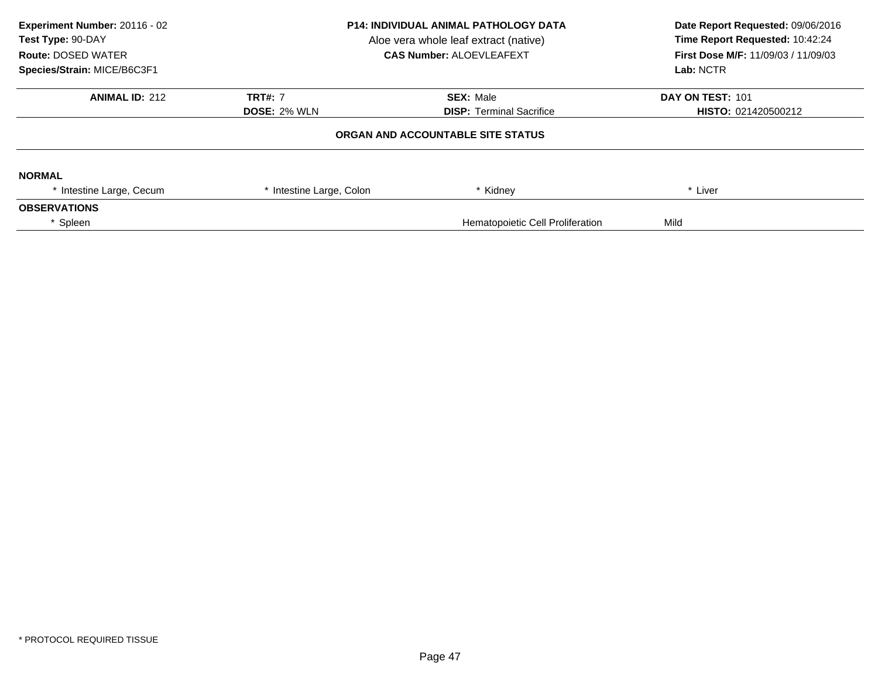| Experiment Number: 20116 - 02<br>Test Type: 90-DAY<br><b>Route: DOSED WATER</b><br>Species/Strain: MICE/B6C3F1 |                          | <b>P14: INDIVIDUAL ANIMAL PATHOLOGY DATA</b><br>Aloe vera whole leaf extract (native)<br><b>CAS Number: ALOEVLEAFEXT</b> | Date Report Requested: 09/06/2016<br>Time Report Requested: 10:42:24<br>First Dose M/F: 11/09/03 / 11/09/03<br>Lab: NCTR |
|----------------------------------------------------------------------------------------------------------------|--------------------------|--------------------------------------------------------------------------------------------------------------------------|--------------------------------------------------------------------------------------------------------------------------|
| <b>ANIMAL ID: 212</b>                                                                                          | <b>TRT#: 7</b>           | <b>SEX: Male</b>                                                                                                         | DAY ON TEST: 101                                                                                                         |
|                                                                                                                | <b>DOSE: 2% WLN</b>      | <b>DISP: Terminal Sacrifice</b>                                                                                          | HISTO: 021420500212                                                                                                      |
|                                                                                                                |                          | ORGAN AND ACCOUNTABLE SITE STATUS                                                                                        |                                                                                                                          |
| <b>NORMAL</b>                                                                                                  |                          |                                                                                                                          |                                                                                                                          |
| * Intestine Large, Cecum                                                                                       | * Intestine Large, Colon | * Kidney                                                                                                                 | * Liver                                                                                                                  |
| <b>OBSERVATIONS</b>                                                                                            |                          |                                                                                                                          |                                                                                                                          |
| * Spleen                                                                                                       |                          | Hematopoietic Cell Proliferation                                                                                         | Mild                                                                                                                     |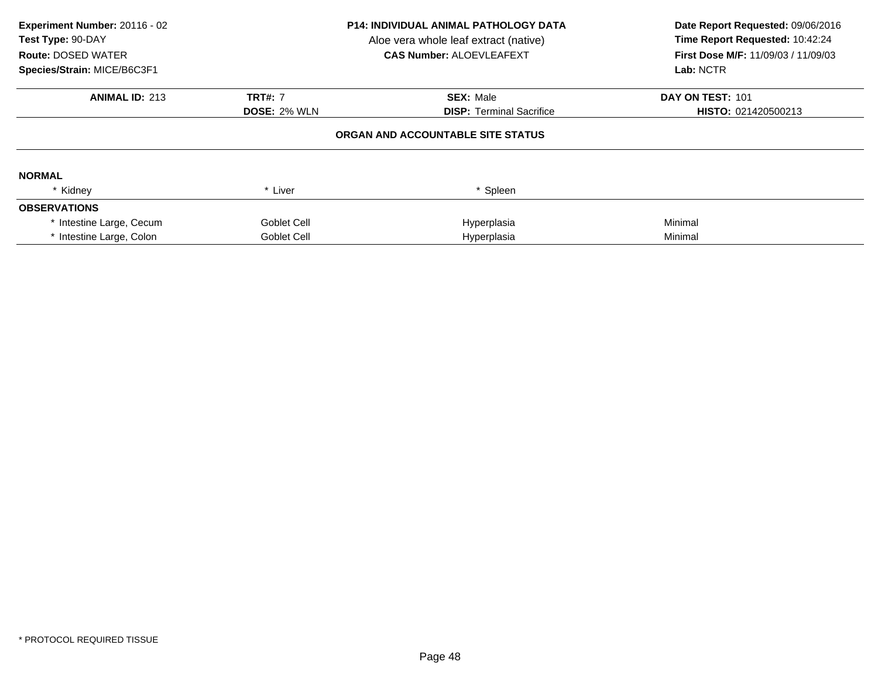| Experiment Number: 20116 - 02<br>Test Type: 90-DAY<br><b>Route: DOSED WATER</b><br>Species/Strain: MICE/B6C3F1 | <b>P14: INDIVIDUAL ANIMAL PATHOLOGY DATA</b><br>Aloe vera whole leaf extract (native)<br><b>CAS Number: ALOEVLEAFEXT</b> |                                   | Date Report Requested: 09/06/2016<br>Time Report Requested: 10:42:24<br><b>First Dose M/F: 11/09/03 / 11/09/03</b><br>Lab: NCTR |
|----------------------------------------------------------------------------------------------------------------|--------------------------------------------------------------------------------------------------------------------------|-----------------------------------|---------------------------------------------------------------------------------------------------------------------------------|
| <b>ANIMAL ID: 213</b>                                                                                          | <b>TRT#: 7</b>                                                                                                           | <b>SEX: Male</b>                  | DAY ON TEST: 101                                                                                                                |
|                                                                                                                | <b>DOSE: 2% WLN</b>                                                                                                      | <b>DISP:</b> Terminal Sacrifice   | HISTO: 021420500213                                                                                                             |
|                                                                                                                |                                                                                                                          | ORGAN AND ACCOUNTABLE SITE STATUS |                                                                                                                                 |
| <b>NORMAL</b>                                                                                                  |                                                                                                                          |                                   |                                                                                                                                 |
| * Kidney                                                                                                       | * Liver                                                                                                                  | * Spleen                          |                                                                                                                                 |
| <b>OBSERVATIONS</b>                                                                                            |                                                                                                                          |                                   |                                                                                                                                 |
| * Intestine Large, Cecum                                                                                       | Goblet Cell                                                                                                              | Hyperplasia                       | Minimal                                                                                                                         |
| * Intestine Large, Colon                                                                                       | Goblet Cell                                                                                                              | Hyperplasia                       | Minimal                                                                                                                         |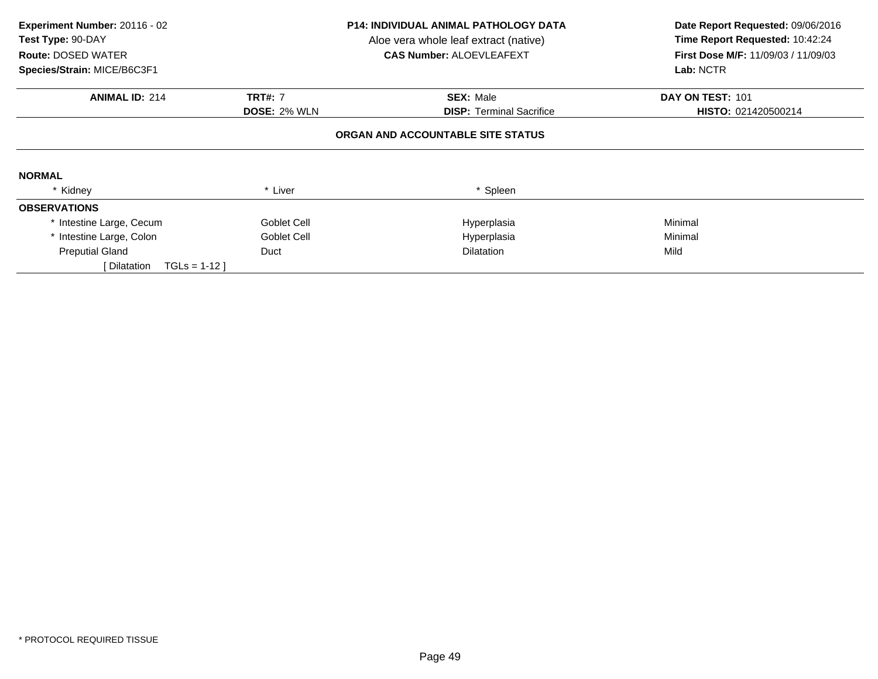| Experiment Number: 20116 - 02<br>Test Type: 90-DAY<br><b>Route: DOSED WATER</b><br>Species/Strain: MICE/B6C3F1 |                     | P14: INDIVIDUAL ANIMAL PATHOLOGY DATA<br>Aloe vera whole leaf extract (native)<br><b>CAS Number: ALOEVLEAFEXT</b> | Date Report Requested: 09/06/2016<br>Time Report Requested: 10:42:24<br><b>First Dose M/F: 11/09/03 / 11/09/03</b><br>Lab: NCTR |
|----------------------------------------------------------------------------------------------------------------|---------------------|-------------------------------------------------------------------------------------------------------------------|---------------------------------------------------------------------------------------------------------------------------------|
| <b>ANIMAL ID: 214</b>                                                                                          | <b>TRT#: 7</b>      | <b>SEX: Male</b>                                                                                                  | DAY ON TEST: 101                                                                                                                |
|                                                                                                                | <b>DOSE: 2% WLN</b> | <b>DISP:</b> Terminal Sacrifice                                                                                   | HISTO: 021420500214                                                                                                             |
|                                                                                                                |                     | ORGAN AND ACCOUNTABLE SITE STATUS                                                                                 |                                                                                                                                 |
| <b>NORMAL</b>                                                                                                  |                     |                                                                                                                   |                                                                                                                                 |
| * Kidney                                                                                                       | * Liver             | * Spleen                                                                                                          |                                                                                                                                 |
| <b>OBSERVATIONS</b>                                                                                            |                     |                                                                                                                   |                                                                                                                                 |
| * Intestine Large, Cecum                                                                                       | Goblet Cell         | Hyperplasia                                                                                                       | Minimal                                                                                                                         |
| * Intestine Large, Colon                                                                                       | Goblet Cell         | Hyperplasia                                                                                                       | Minimal                                                                                                                         |
| <b>Preputial Gland</b>                                                                                         | Duct                | <b>Dilatation</b>                                                                                                 | Mild                                                                                                                            |
| $TGLS = 1-12$<br>Dilatation                                                                                    |                     |                                                                                                                   |                                                                                                                                 |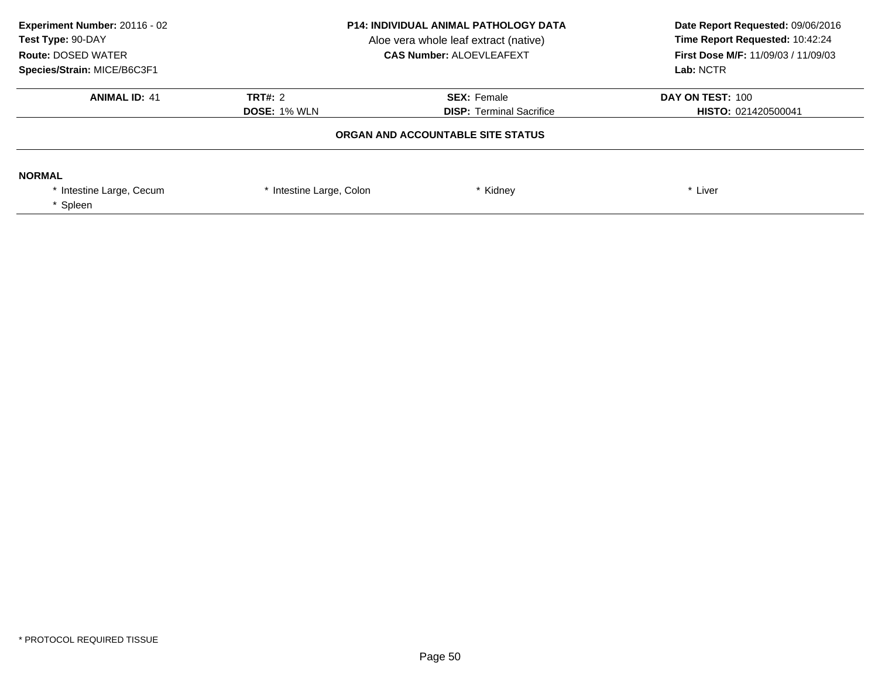| Experiment Number: 20116 - 02<br>Test Type: 90-DAY<br><b>Route: DOSED WATER</b><br>Species/Strain: MICE/B6C3F1 | <b>P14: INDIVIDUAL ANIMAL PATHOLOGY DATA</b><br>Aloe vera whole leaf extract (native)<br><b>CAS Number: ALOEVLEAFEXT</b> |                                                       | Date Report Requested: 09/06/2016<br>Time Report Requested: 10:42:24<br><b>First Dose M/F: 11/09/03 / 11/09/03</b><br>Lab: NCTR |
|----------------------------------------------------------------------------------------------------------------|--------------------------------------------------------------------------------------------------------------------------|-------------------------------------------------------|---------------------------------------------------------------------------------------------------------------------------------|
| <b>ANIMAL ID: 41</b>                                                                                           | <b>TRT#: 2</b><br><b>DOSE: 1% WLN</b>                                                                                    | <b>SEX: Female</b><br><b>DISP:</b> Terminal Sacrifice | DAY ON TEST: 100<br>HISTO: 021420500041                                                                                         |
| ORGAN AND ACCOUNTABLE SITE STATUS                                                                              |                                                                                                                          |                                                       |                                                                                                                                 |
| <b>NORMAL</b><br>* Intestine Large, Cecum<br>Spleen                                                            | * Intestine Large, Colon                                                                                                 | Kidney                                                | * Liver                                                                                                                         |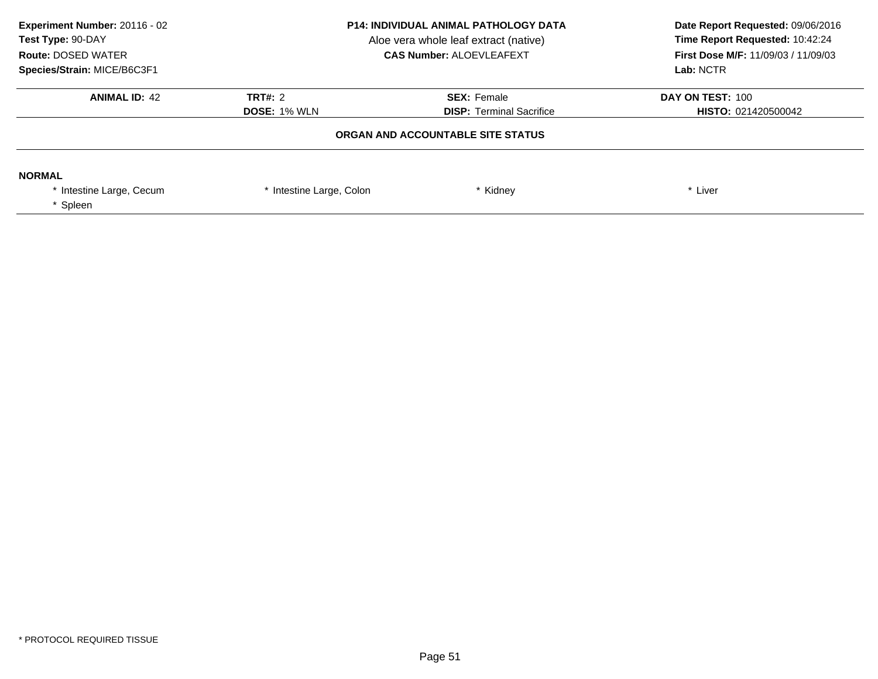| Experiment Number: 20116 - 02<br>Test Type: 90-DAY<br><b>Route: DOSED WATER</b><br>Species/Strain: MICE/B6C3F1 | <b>P14: INDIVIDUAL ANIMAL PATHOLOGY DATA</b><br>Aloe vera whole leaf extract (native)<br><b>CAS Number: ALOEVLEAFEXT</b> |                                                       | Date Report Requested: 09/06/2016<br>Time Report Requested: 10:42:24<br><b>First Dose M/F: 11/09/03 / 11/09/03</b><br>Lab: NCTR |
|----------------------------------------------------------------------------------------------------------------|--------------------------------------------------------------------------------------------------------------------------|-------------------------------------------------------|---------------------------------------------------------------------------------------------------------------------------------|
| <b>ANIMAL ID: 42</b>                                                                                           | TRT#: 2<br><b>DOSE: 1% WLN</b>                                                                                           | <b>SEX: Female</b><br><b>DISP:</b> Terminal Sacrifice | DAY ON TEST: 100<br><b>HISTO: 021420500042</b>                                                                                  |
|                                                                                                                |                                                                                                                          |                                                       |                                                                                                                                 |
| <b>NORMAL</b><br>* Intestine Large, Cecum<br>Spleen                                                            | * Intestine Large, Colon                                                                                                 | Kidney                                                | * Liver                                                                                                                         |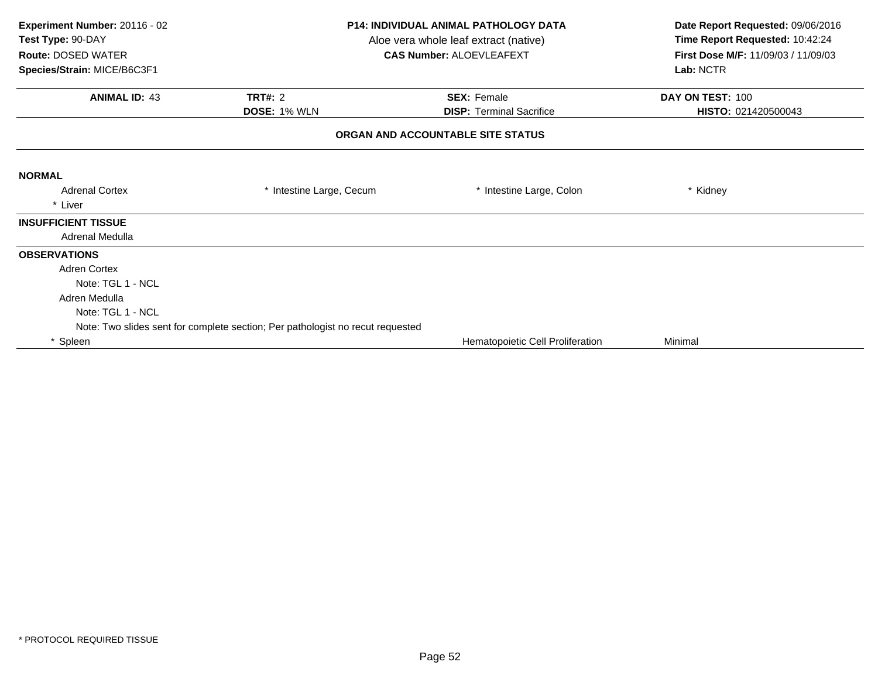| Experiment Number: 20116 - 02<br>Test Type: 90-DAY<br><b>Route: DOSED WATER</b> | <b>P14: INDIVIDUAL ANIMAL PATHOLOGY DATA</b><br>Aloe vera whole leaf extract (native)<br><b>CAS Number: ALOEVLEAFEXT</b> |                                   | Date Report Requested: 09/06/2016<br>Time Report Requested: 10:42:24<br>First Dose M/F: 11/09/03 / 11/09/03 |  |
|---------------------------------------------------------------------------------|--------------------------------------------------------------------------------------------------------------------------|-----------------------------------|-------------------------------------------------------------------------------------------------------------|--|
| Species/Strain: MICE/B6C3F1                                                     |                                                                                                                          |                                   | Lab: NCTR                                                                                                   |  |
| <b>ANIMAL ID: 43</b>                                                            | <b>TRT#: 2</b>                                                                                                           | <b>SEX: Female</b>                | DAY ON TEST: 100                                                                                            |  |
|                                                                                 | <b>DOSE: 1% WLN</b>                                                                                                      | <b>DISP: Terminal Sacrifice</b>   | HISTO: 021420500043                                                                                         |  |
|                                                                                 |                                                                                                                          | ORGAN AND ACCOUNTABLE SITE STATUS |                                                                                                             |  |
| <b>NORMAL</b>                                                                   |                                                                                                                          |                                   |                                                                                                             |  |
| <b>Adrenal Cortex</b>                                                           | * Intestine Large, Cecum                                                                                                 | * Intestine Large, Colon          | * Kidney                                                                                                    |  |
| * Liver                                                                         |                                                                                                                          |                                   |                                                                                                             |  |
| <b>INSUFFICIENT TISSUE</b>                                                      |                                                                                                                          |                                   |                                                                                                             |  |
| Adrenal Medulla                                                                 |                                                                                                                          |                                   |                                                                                                             |  |
| <b>OBSERVATIONS</b>                                                             |                                                                                                                          |                                   |                                                                                                             |  |
| <b>Adren Cortex</b>                                                             |                                                                                                                          |                                   |                                                                                                             |  |
| Note: TGL 1 - NCL                                                               |                                                                                                                          |                                   |                                                                                                             |  |
| Adren Medulla                                                                   |                                                                                                                          |                                   |                                                                                                             |  |
| Note: TGL 1 - NCL                                                               |                                                                                                                          |                                   |                                                                                                             |  |
|                                                                                 | Note: Two slides sent for complete section; Per pathologist no recut requested                                           |                                   |                                                                                                             |  |
| * Spleen                                                                        |                                                                                                                          | Hematopoietic Cell Proliferation  | Minimal                                                                                                     |  |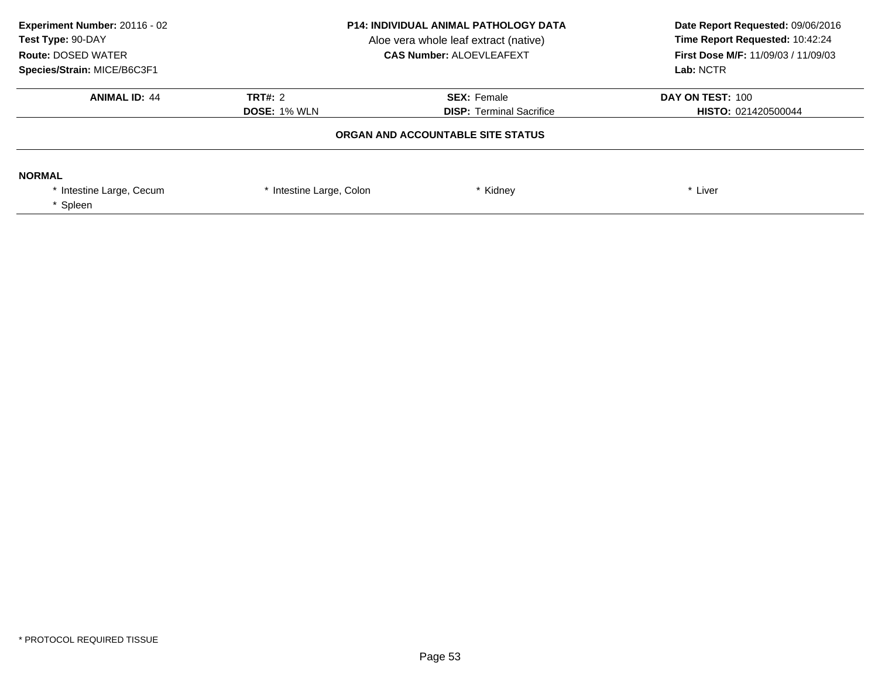| Experiment Number: 20116 - 02<br>Test Type: 90-DAY<br><b>Route: DOSED WATER</b><br>Species/Strain: MICE/B6C3F1 | <b>P14: INDIVIDUAL ANIMAL PATHOLOGY DATA</b><br>Aloe vera whole leaf extract (native)<br><b>CAS Number: ALOEVLEAFEXT</b> |                                                       | Date Report Requested: 09/06/2016<br>Time Report Requested: 10:42:24<br><b>First Dose M/F: 11/09/03 / 11/09/03</b><br>Lab: NCTR |
|----------------------------------------------------------------------------------------------------------------|--------------------------------------------------------------------------------------------------------------------------|-------------------------------------------------------|---------------------------------------------------------------------------------------------------------------------------------|
| <b>ANIMAL ID: 44</b>                                                                                           | <b>TRT#: 2</b><br><b>DOSE: 1% WLN</b>                                                                                    | <b>SEX: Female</b><br><b>DISP:</b> Terminal Sacrifice | DAY ON TEST: 100<br><b>HISTO: 021420500044</b>                                                                                  |
|                                                                                                                | ORGAN AND ACCOUNTABLE SITE STATUS                                                                                        |                                                       |                                                                                                                                 |
| <b>NORMAL</b><br>* Intestine Large, Cecum<br>Spleen                                                            | * Intestine Large, Colon                                                                                                 | Kidney                                                | * Liver                                                                                                                         |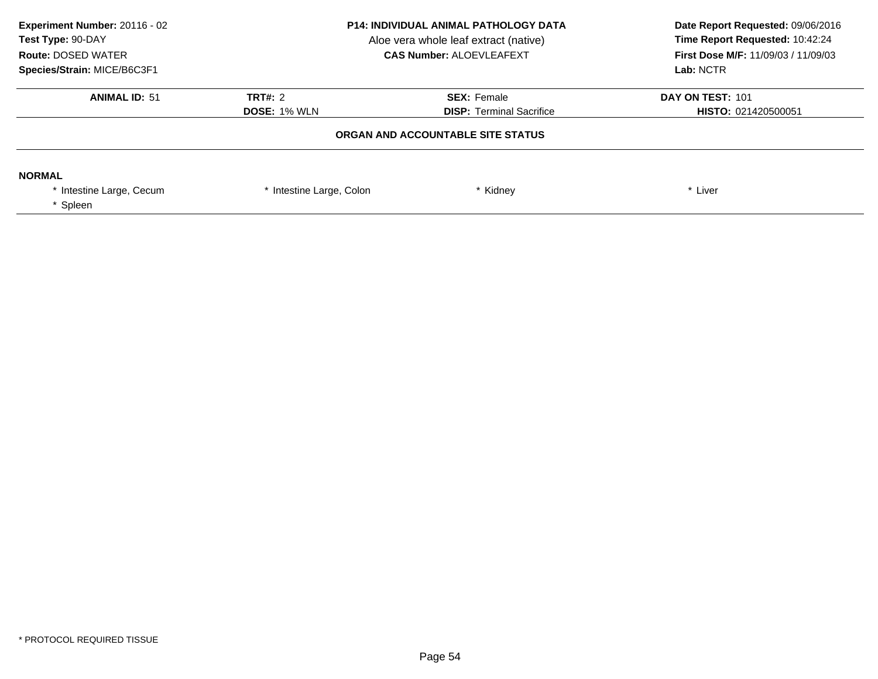| Experiment Number: 20116 - 02<br>Test Type: 90-DAY<br><b>Route: DOSED WATER</b><br>Species/Strain: MICE/B6C3F1 | <b>P14: INDIVIDUAL ANIMAL PATHOLOGY DATA</b><br>Aloe vera whole leaf extract (native)<br><b>CAS Number: ALOEVLEAFEXT</b> |                                                       | Date Report Requested: 09/06/2016<br>Time Report Requested: 10:42:24<br><b>First Dose M/F: 11/09/03 / 11/09/03</b><br>Lab: NCTR |  |
|----------------------------------------------------------------------------------------------------------------|--------------------------------------------------------------------------------------------------------------------------|-------------------------------------------------------|---------------------------------------------------------------------------------------------------------------------------------|--|
| <b>ANIMAL ID: 51</b>                                                                                           | TRT#: 2<br><b>DOSE: 1% WLN</b>                                                                                           | <b>SEX: Female</b><br><b>DISP:</b> Terminal Sacrifice | DAY ON TEST: 101<br><b>HISTO: 021420500051</b>                                                                                  |  |
| ORGAN AND ACCOUNTABLE SITE STATUS                                                                              |                                                                                                                          |                                                       |                                                                                                                                 |  |
| <b>NORMAL</b><br>* Intestine Large, Cecum<br>Spleen                                                            | * Intestine Large, Colon                                                                                                 | Kidney                                                | * Liver                                                                                                                         |  |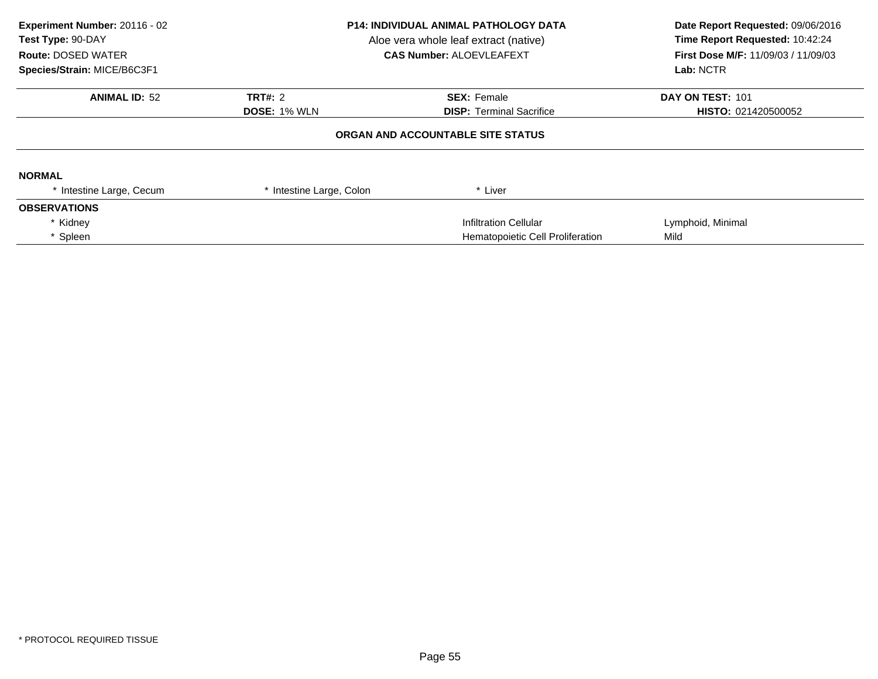| Experiment Number: 20116 - 02<br>Test Type: 90-DAY<br><b>Route: DOSED WATER</b><br>Species/Strain: MICE/B6C3F1 | <b>P14: INDIVIDUAL ANIMAL PATHOLOGY DATA</b><br>Aloe vera whole leaf extract (native)<br><b>CAS Number: ALOEVLEAFEXT</b> |                                   | Date Report Requested: 09/06/2016<br>Time Report Requested: 10:42:24<br>First Dose M/F: 11/09/03 / 11/09/03<br>Lab: NCTR |
|----------------------------------------------------------------------------------------------------------------|--------------------------------------------------------------------------------------------------------------------------|-----------------------------------|--------------------------------------------------------------------------------------------------------------------------|
| <b>ANIMAL ID: 52</b>                                                                                           | TRT#: 2                                                                                                                  | <b>SEX: Female</b>                | DAY ON TEST: 101                                                                                                         |
|                                                                                                                | <b>DOSE: 1% WLN</b>                                                                                                      | <b>DISP:</b> Terminal Sacrifice   | HISTO: 021420500052                                                                                                      |
|                                                                                                                |                                                                                                                          | ORGAN AND ACCOUNTABLE SITE STATUS |                                                                                                                          |
| <b>NORMAL</b>                                                                                                  |                                                                                                                          |                                   |                                                                                                                          |
| * Intestine Large, Cecum                                                                                       | Intestine Large, Colon                                                                                                   | * Liver                           |                                                                                                                          |
| <b>OBSERVATIONS</b>                                                                                            |                                                                                                                          |                                   |                                                                                                                          |
| * Kidney                                                                                                       |                                                                                                                          | <b>Infiltration Cellular</b>      | Lymphoid, Minimal                                                                                                        |
| * Spleen                                                                                                       |                                                                                                                          | Hematopoietic Cell Proliferation  | Mild                                                                                                                     |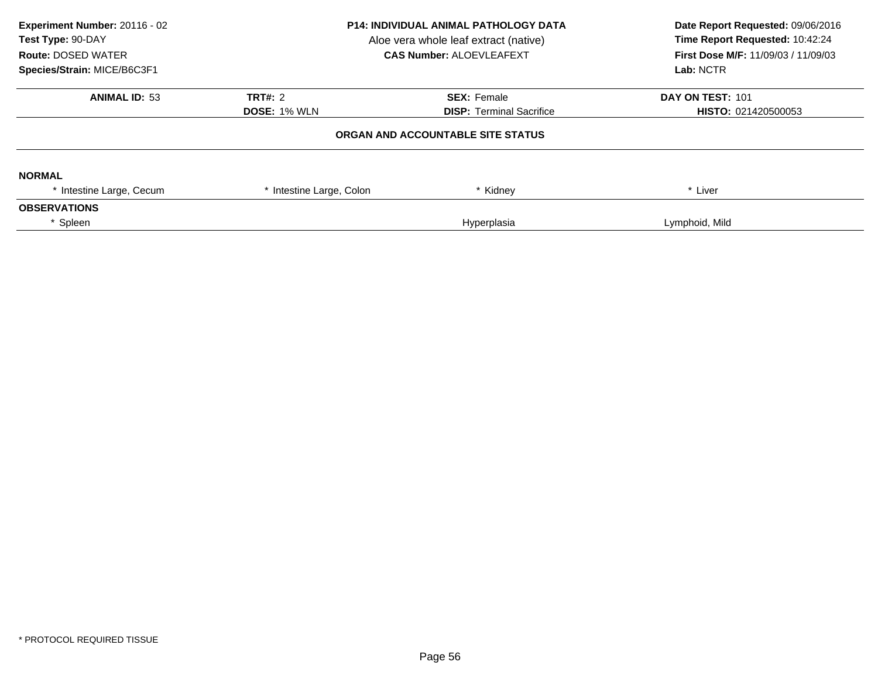| Experiment Number: 20116 - 02<br>Test Type: 90-DAY<br><b>Route: DOSED WATER</b><br>Species/Strain: MICE/B6C3F1 | <b>P14: INDIVIDUAL ANIMAL PATHOLOGY DATA</b><br>Aloe vera whole leaf extract (native)<br><b>CAS Number: ALOEVLEAFEXT</b> |                                   | Date Report Requested: 09/06/2016<br>Time Report Requested: 10:42:24<br>First Dose M/F: 11/09/03 / 11/09/03<br>Lab: NCTR |  |
|----------------------------------------------------------------------------------------------------------------|--------------------------------------------------------------------------------------------------------------------------|-----------------------------------|--------------------------------------------------------------------------------------------------------------------------|--|
| <b>ANIMAL ID: 53</b>                                                                                           | <b>TRT#: 2</b>                                                                                                           | <b>SEX: Female</b>                | DAY ON TEST: 101                                                                                                         |  |
|                                                                                                                | <b>DOSE: 1% WLN</b>                                                                                                      | <b>DISP: Terminal Sacrifice</b>   | <b>HISTO: 021420500053</b>                                                                                               |  |
|                                                                                                                |                                                                                                                          | ORGAN AND ACCOUNTABLE SITE STATUS |                                                                                                                          |  |
| <b>NORMAL</b>                                                                                                  |                                                                                                                          |                                   |                                                                                                                          |  |
| * Intestine Large, Cecum                                                                                       | * Intestine Large, Colon                                                                                                 | * Kidney                          | * Liver                                                                                                                  |  |
| <b>OBSERVATIONS</b>                                                                                            |                                                                                                                          |                                   |                                                                                                                          |  |
| * Spleen                                                                                                       |                                                                                                                          | Hyperplasia                       | Lymphoid, Mild                                                                                                           |  |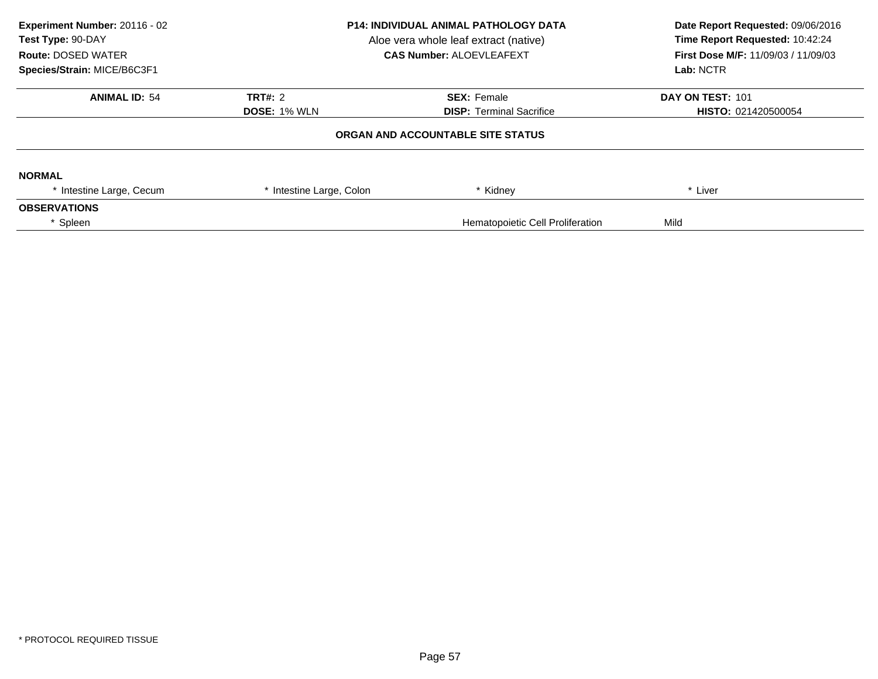| Experiment Number: 20116 - 02<br>Test Type: 90-DAY<br><b>Route: DOSED WATER</b><br>Species/Strain: MICE/B6C3F1 | <b>P14: INDIVIDUAL ANIMAL PATHOLOGY DATA</b><br>Aloe vera whole leaf extract (native)<br><b>CAS Number: ALOEVLEAFEXT</b> |                                   | Date Report Requested: 09/06/2016<br>Time Report Requested: 10:42:24<br>First Dose M/F: 11/09/03 / 11/09/03<br>Lab: NCTR |
|----------------------------------------------------------------------------------------------------------------|--------------------------------------------------------------------------------------------------------------------------|-----------------------------------|--------------------------------------------------------------------------------------------------------------------------|
| <b>ANIMAL ID: 54</b>                                                                                           | <b>TRT#: 2</b>                                                                                                           | <b>SEX: Female</b>                | DAY ON TEST: 101                                                                                                         |
|                                                                                                                | <b>DOSE: 1% WLN</b>                                                                                                      | <b>DISP: Terminal Sacrifice</b>   | HISTO: 021420500054                                                                                                      |
|                                                                                                                |                                                                                                                          | ORGAN AND ACCOUNTABLE SITE STATUS |                                                                                                                          |
| <b>NORMAL</b>                                                                                                  |                                                                                                                          |                                   |                                                                                                                          |
| * Intestine Large, Cecum                                                                                       | * Intestine Large, Colon                                                                                                 | * Kidney                          | * Liver                                                                                                                  |
| <b>OBSERVATIONS</b>                                                                                            |                                                                                                                          |                                   |                                                                                                                          |
| Spleen                                                                                                         |                                                                                                                          | Hematopoietic Cell Proliferation  | Mild                                                                                                                     |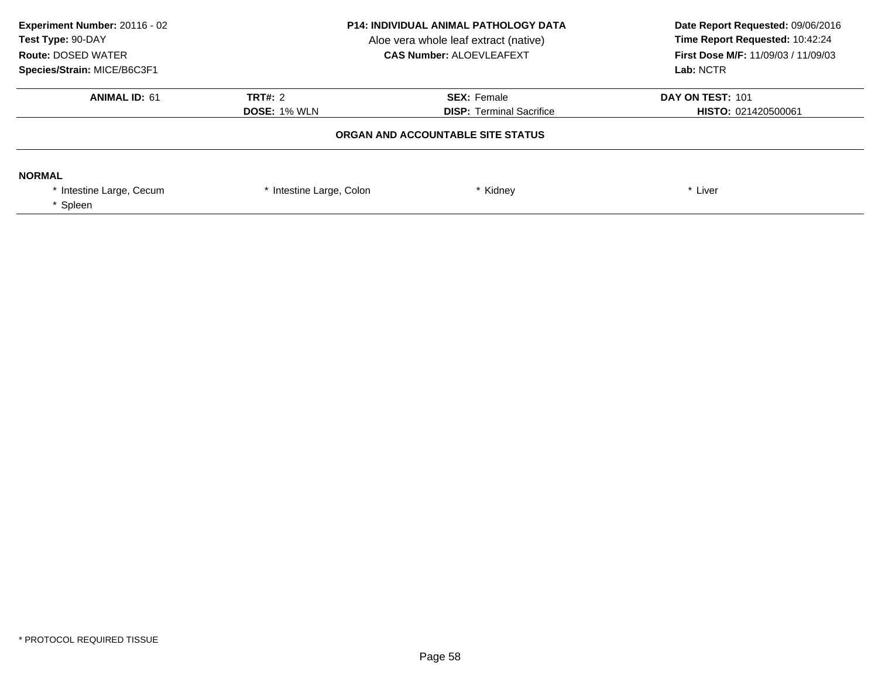| Experiment Number: 20116 - 02<br>Test Type: 90-DAY<br><b>Route: DOSED WATER</b><br>Species/Strain: MICE/B6C3F1 | <b>P14: INDIVIDUAL ANIMAL PATHOLOGY DATA</b><br>Aloe vera whole leaf extract (native)<br><b>CAS Number: ALOEVLEAFEXT</b> |                                                       | Date Report Requested: 09/06/2016<br>Time Report Requested: 10:42:24<br><b>First Dose M/F: 11/09/03 / 11/09/03</b><br>Lab: NCTR |
|----------------------------------------------------------------------------------------------------------------|--------------------------------------------------------------------------------------------------------------------------|-------------------------------------------------------|---------------------------------------------------------------------------------------------------------------------------------|
| <b>ANIMAL ID: 61</b>                                                                                           | <b>TRT#: 2</b><br><b>DOSE: 1% WLN</b>                                                                                    | <b>SEX: Female</b><br><b>DISP:</b> Terminal Sacrifice | DAY ON TEST: 101<br>HISTO: 021420500061                                                                                         |
|                                                                                                                |                                                                                                                          | ORGAN AND ACCOUNTABLE SITE STATUS                     |                                                                                                                                 |
| <b>NORMAL</b><br>* Intestine Large, Cecum<br>Spleen                                                            | * Intestine Large, Colon                                                                                                 | Kidney                                                | * Liver                                                                                                                         |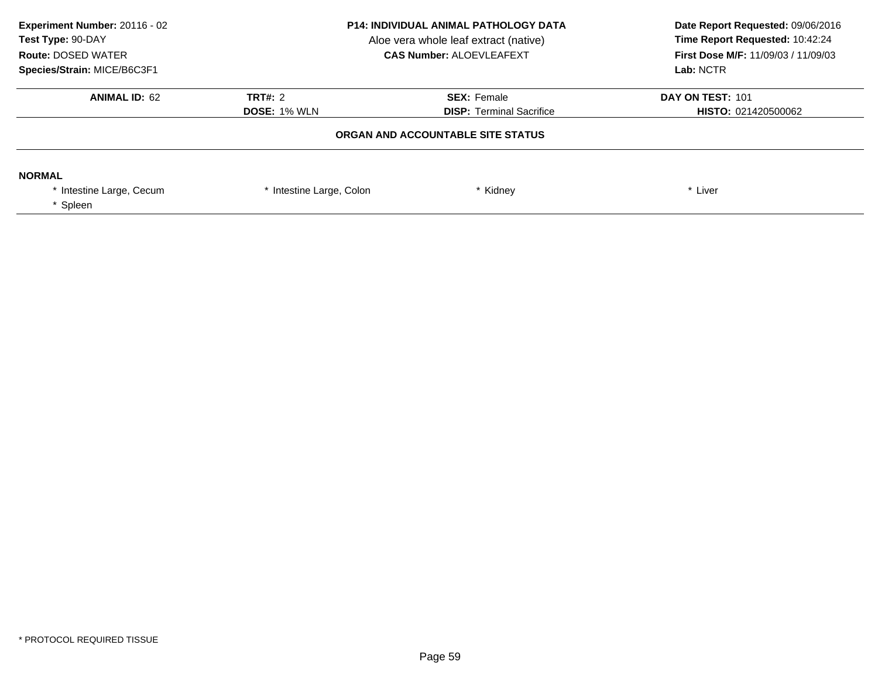| Experiment Number: 20116 - 02<br>Test Type: 90-DAY<br><b>Route: DOSED WATER</b><br>Species/Strain: MICE/B6C3F1 | <b>P14: INDIVIDUAL ANIMAL PATHOLOGY DATA</b><br>Aloe vera whole leaf extract (native)<br><b>CAS Number: ALOEVLEAFEXT</b> |                                                       | Date Report Requested: 09/06/2016<br>Time Report Requested: 10:42:24<br>First Dose M/F: 11/09/03 / 11/09/03<br>Lab: NCTR |
|----------------------------------------------------------------------------------------------------------------|--------------------------------------------------------------------------------------------------------------------------|-------------------------------------------------------|--------------------------------------------------------------------------------------------------------------------------|
| <b>ANIMAL ID: 62</b>                                                                                           | <b>TRT#: 2</b><br><b>DOSE: 1% WLN</b>                                                                                    | <b>SEX: Female</b><br><b>DISP: Terminal Sacrifice</b> | DAY ON TEST: 101<br><b>HISTO: 021420500062</b>                                                                           |
|                                                                                                                | ORGAN AND ACCOUNTABLE SITE STATUS                                                                                        |                                                       |                                                                                                                          |
| <b>NORMAL</b><br>* Intestine Large, Cecum<br>Spleen                                                            | * Intestine Large, Colon                                                                                                 | * Kidney                                              | * Liver                                                                                                                  |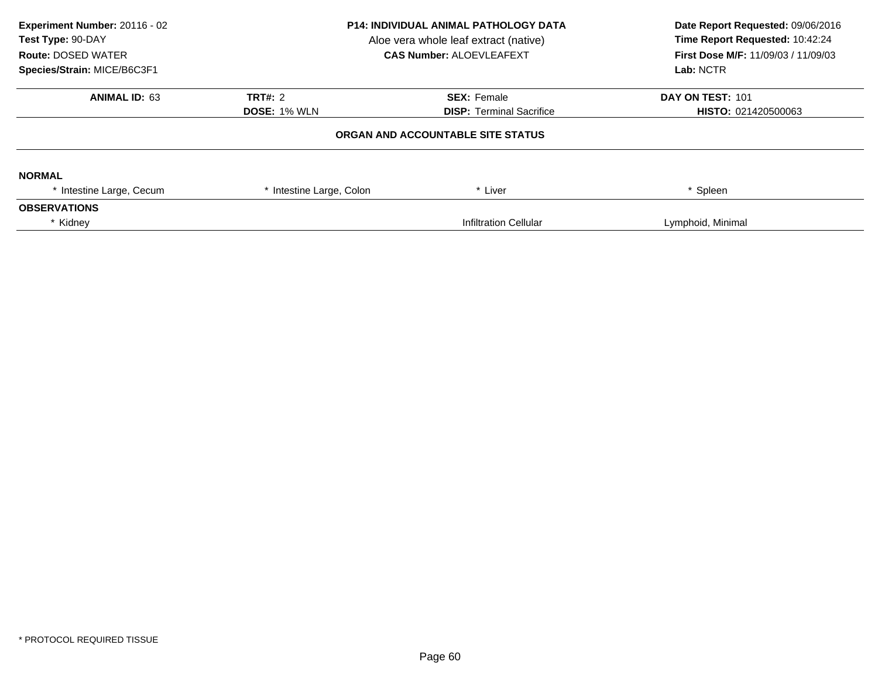| Experiment Number: 20116 - 02<br>Test Type: 90-DAY<br><b>Route: DOSED WATER</b><br>Species/Strain: MICE/B6C3F1 | <b>P14: INDIVIDUAL ANIMAL PATHOLOGY DATA</b><br>Aloe vera whole leaf extract (native)<br><b>CAS Number: ALOEVLEAFEXT</b> |                                   | Date Report Requested: 09/06/2016<br>Time Report Requested: 10:42:24<br>First Dose M/F: 11/09/03 / 11/09/03<br>Lab: NCTR |
|----------------------------------------------------------------------------------------------------------------|--------------------------------------------------------------------------------------------------------------------------|-----------------------------------|--------------------------------------------------------------------------------------------------------------------------|
| <b>ANIMAL ID: 63</b>                                                                                           | <b>TRT#: 2</b>                                                                                                           | <b>SEX: Female</b>                | DAY ON TEST: 101                                                                                                         |
|                                                                                                                | <b>DOSE: 1% WLN</b>                                                                                                      | <b>DISP: Terminal Sacrifice</b>   | <b>HISTO: 021420500063</b>                                                                                               |
|                                                                                                                |                                                                                                                          | ORGAN AND ACCOUNTABLE SITE STATUS |                                                                                                                          |
| <b>NORMAL</b>                                                                                                  |                                                                                                                          |                                   |                                                                                                                          |
| * Intestine Large, Cecum                                                                                       | * Intestine Large, Colon                                                                                                 | * Liver                           | * Spleen                                                                                                                 |
| <b>OBSERVATIONS</b>                                                                                            |                                                                                                                          |                                   |                                                                                                                          |
| * Kidney                                                                                                       |                                                                                                                          | Infiltration Cellular             | Lymphoid, Minimal                                                                                                        |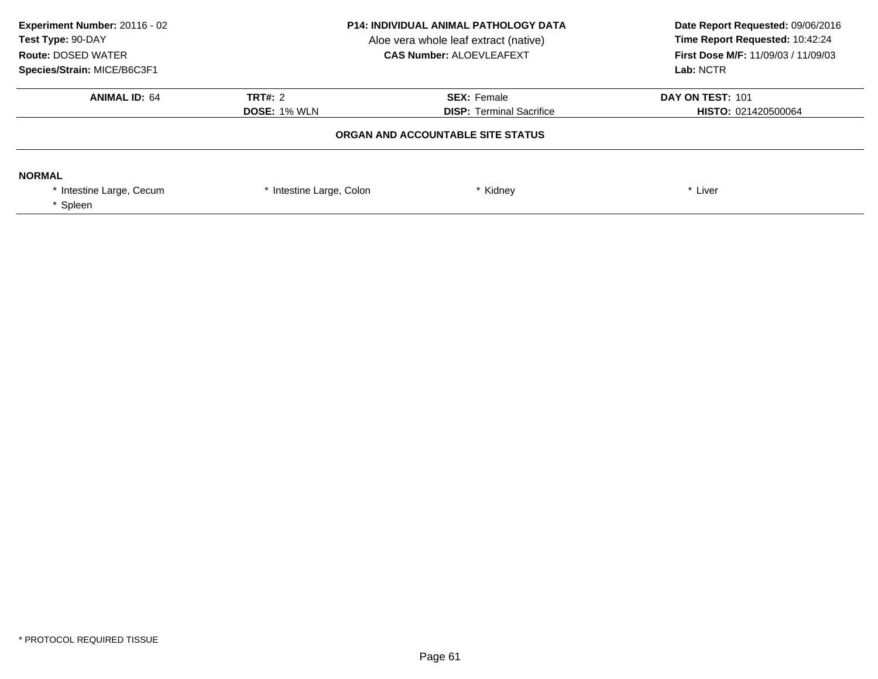| Experiment Number: 20116 - 02<br>Test Type: 90-DAY<br><b>Route: DOSED WATER</b><br>Species/Strain: MICE/B6C3F1 | <b>P14: INDIVIDUAL ANIMAL PATHOLOGY DATA</b><br>Aloe vera whole leaf extract (native)<br><b>CAS Number: ALOEVLEAFEXT</b> |                                                       | Date Report Requested: 09/06/2016<br>Time Report Requested: 10:42:24<br>First Dose M/F: 11/09/03 / 11/09/03<br>Lab: NCTR |
|----------------------------------------------------------------------------------------------------------------|--------------------------------------------------------------------------------------------------------------------------|-------------------------------------------------------|--------------------------------------------------------------------------------------------------------------------------|
| <b>ANIMAL ID: 64</b>                                                                                           | <b>TRT#: 2</b><br><b>DOSE: 1% WLN</b>                                                                                    | <b>SEX: Female</b><br><b>DISP: Terminal Sacrifice</b> | DAY ON TEST: 101<br>HISTO: 021420500064                                                                                  |
|                                                                                                                |                                                                                                                          | ORGAN AND ACCOUNTABLE SITE STATUS                     |                                                                                                                          |
| <b>NORMAL</b><br>* Intestine Large, Cecum<br>* Spleen                                                          | * Intestine Large, Colon                                                                                                 | * Kidney                                              | * Liver                                                                                                                  |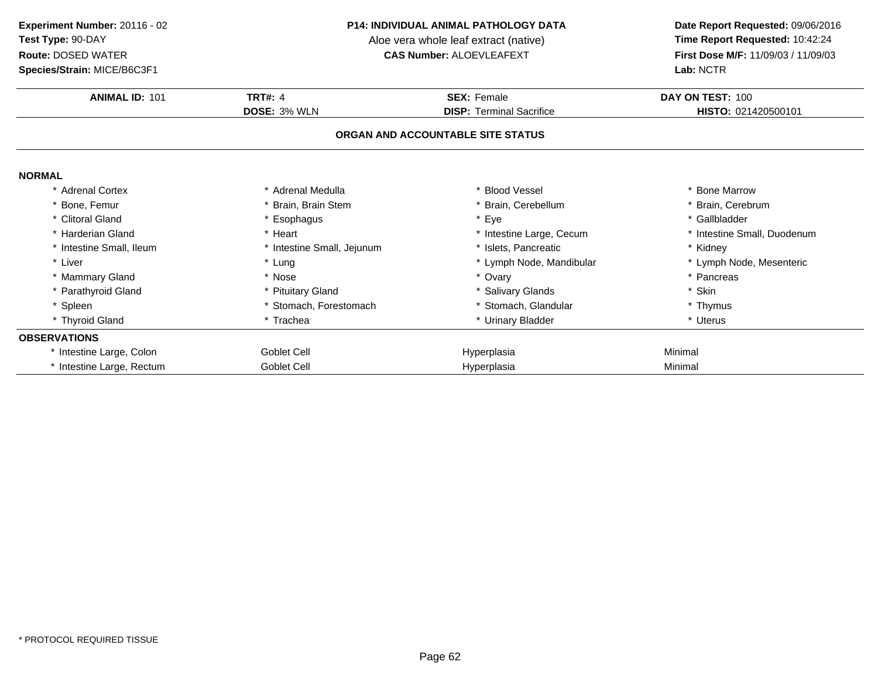**Species/Strain:** MICE/B6C3F1

#### **P14: INDIVIDUAL ANIMAL PATHOLOGY DATA**

Aloe vera whole leaf extract (native)<br>**CAS Number:** ALOEVLEAFEXT

| <b>ANIMAL ID: 101</b>     | <b>TRT#: 4</b>             | <b>SEX: Female</b>                | DAY ON TEST: 100            |
|---------------------------|----------------------------|-----------------------------------|-----------------------------|
|                           | <b>DOSE: 3% WLN</b>        | <b>DISP: Terminal Sacrifice</b>   | HISTO: 021420500101         |
|                           |                            | ORGAN AND ACCOUNTABLE SITE STATUS |                             |
| <b>NORMAL</b>             |                            |                                   |                             |
| * Adrenal Cortex          | * Adrenal Medulla          | * Blood Vessel                    | * Bone Marrow               |
| * Bone, Femur             | Brain, Brain Stem          | * Brain, Cerebellum               | * Brain, Cerebrum           |
| * Clitoral Gland          | * Esophagus                | * Eye                             | * Gallbladder               |
| * Harderian Gland         | * Heart                    | * Intestine Large, Cecum          | * Intestine Small, Duodenum |
| * Intestine Small, Ileum  | * Intestine Small, Jejunum | * Islets, Pancreatic              | * Kidney                    |
| * Liver                   | * Lung                     | * Lymph Node, Mandibular          | * Lymph Node, Mesenteric    |
| * Mammary Gland           | * Nose                     | * Ovary                           | * Pancreas                  |
| * Parathyroid Gland       | * Pituitary Gland          | * Salivary Glands                 | * Skin                      |
| * Spleen                  | * Stomach, Forestomach     | Stomach, Glandular                | * Thymus                    |
| * Thyroid Gland           | * Trachea                  | * Urinary Bladder                 | * Uterus                    |
| <b>OBSERVATIONS</b>       |                            |                                   |                             |
| * Intestine Large, Colon  | Goblet Cell                | Hyperplasia                       | Minimal                     |
| * Intestine Large, Rectum | Goblet Cell                | Hyperplasia                       | Minimal                     |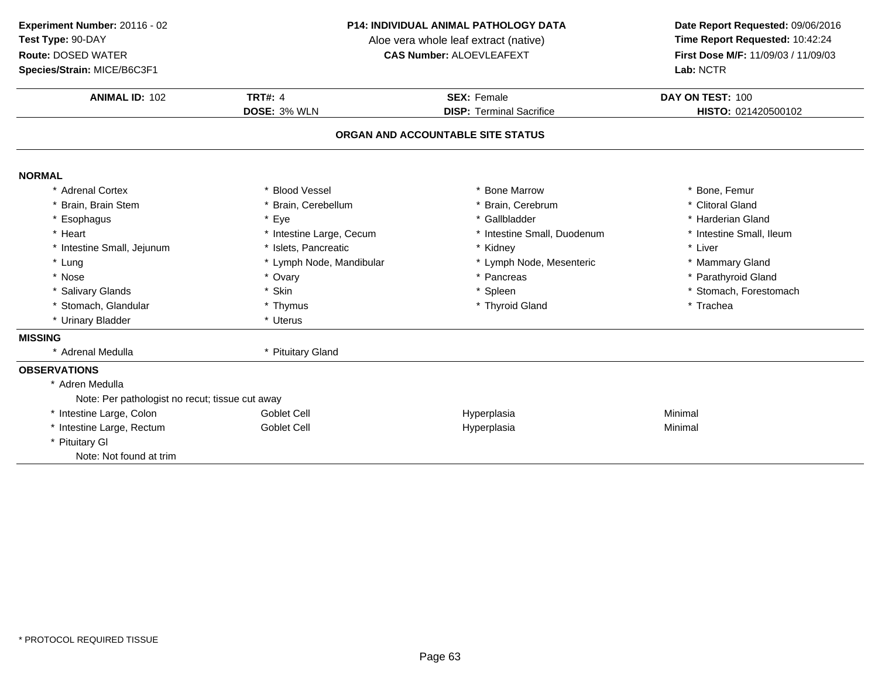**ANIMAL ID:**: 102 **Experiment Number:** 20116 - 02**Test Type:** 90-DAY**Route:** DOSED WATER**Species/Strain:** MICE/B6C3F1**Lab:** NCTR

### **P14: INDIVIDUAL ANIMAL PATHOLOGY DATA**

Aloe vera whole leaf extract (native)<br>**CAS Number:** ALOEVLEAFEXT

| <b>ANIMAL ID: 102</b>                           | <b>TRT#: 4</b>           | <b>SEX: Female</b>              | DAY ON TEST: 100         |  |  |
|-------------------------------------------------|--------------------------|---------------------------------|--------------------------|--|--|
|                                                 | DOSE: 3% WLN             | <b>DISP: Terminal Sacrifice</b> | HISTO: 021420500102      |  |  |
| ORGAN AND ACCOUNTABLE SITE STATUS               |                          |                                 |                          |  |  |
| <b>NORMAL</b>                                   |                          |                                 |                          |  |  |
| * Adrenal Cortex                                | * Blood Vessel           | * Bone Marrow                   | * Bone, Femur            |  |  |
| * Brain, Brain Stem                             | Brain, Cerebellum        | * Brain, Cerebrum               | * Clitoral Gland         |  |  |
| * Esophagus                                     | * Eye                    | * Gallbladder                   | * Harderian Gland        |  |  |
| * Heart                                         | * Intestine Large, Cecum | * Intestine Small, Duodenum     | * Intestine Small, Ileum |  |  |
| * Intestine Small, Jejunum                      | * Islets, Pancreatic     | * Kidney                        | * Liver                  |  |  |
| * Lung                                          | * Lymph Node, Mandibular | * Lymph Node, Mesenteric        | * Mammary Gland          |  |  |
| * Nose                                          | * Ovary                  | * Pancreas                      | * Parathyroid Gland      |  |  |
| * Salivary Glands                               | * Skin                   | * Spleen                        | * Stomach, Forestomach   |  |  |
| * Stomach, Glandular                            | * Thymus                 | * Thyroid Gland                 | * Trachea                |  |  |
| * Urinary Bladder                               | * Uterus                 |                                 |                          |  |  |
| <b>MISSING</b>                                  |                          |                                 |                          |  |  |
| Adrenal Medulla                                 | * Pituitary Gland        |                                 |                          |  |  |
| <b>OBSERVATIONS</b>                             |                          |                                 |                          |  |  |
| * Adren Medulla                                 |                          |                                 |                          |  |  |
| Note: Per pathologist no recut; tissue cut away |                          |                                 |                          |  |  |
| * Intestine Large, Colon                        | <b>Goblet Cell</b>       | Hyperplasia                     | Minimal                  |  |  |
| * Intestine Large, Rectum                       | <b>Goblet Cell</b>       | Hyperplasia                     | Minimal                  |  |  |
| * Pituitary GI                                  |                          |                                 |                          |  |  |
| Note: Not found at trim                         |                          |                                 |                          |  |  |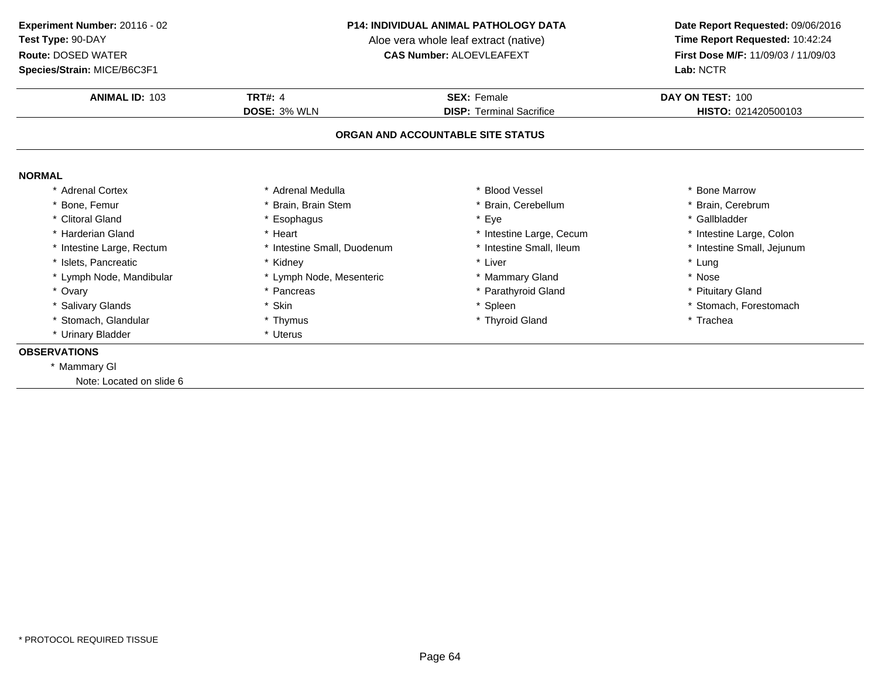**Species/Strain:** MICE/B6C3F1

#### **P14: INDIVIDUAL ANIMAL PATHOLOGY DATA**

Aloe vera whole leaf extract (native)<br>**CAS Number:** ALOEVLEAFEXT

| <b>ANIMAL ID: 103</b>             | <b>TRT#: 4</b>              | <b>SEX: Female</b>              | DAY ON TEST: 100           |  |  |
|-----------------------------------|-----------------------------|---------------------------------|----------------------------|--|--|
|                                   | <b>DOSE: 3% WLN</b>         | <b>DISP:</b> Terminal Sacrifice | HISTO: 021420500103        |  |  |
| ORGAN AND ACCOUNTABLE SITE STATUS |                             |                                 |                            |  |  |
| <b>NORMAL</b>                     |                             |                                 |                            |  |  |
| * Adrenal Cortex                  | * Adrenal Medulla           | * Blood Vessel                  | * Bone Marrow              |  |  |
| * Bone, Femur                     | * Brain, Brain Stem         | * Brain, Cerebellum             | * Brain, Cerebrum          |  |  |
| * Clitoral Gland                  | * Esophagus                 | * Eye                           | * Gallbladder              |  |  |
| * Harderian Gland                 | * Heart                     | * Intestine Large, Cecum        | * Intestine Large, Colon   |  |  |
| * Intestine Large, Rectum         | * Intestine Small, Duodenum | * Intestine Small, Ileum        | * Intestine Small, Jejunum |  |  |
| * Islets, Pancreatic              | * Kidney                    | * Liver                         | * Lung                     |  |  |
| * Lymph Node, Mandibular          | * Lymph Node, Mesenteric    | * Mammary Gland                 | * Nose                     |  |  |
| * Ovary                           | * Pancreas                  | * Parathyroid Gland             | * Pituitary Gland          |  |  |
| * Salivary Glands                 | * Skin                      | * Spleen                        | * Stomach, Forestomach     |  |  |
| * Stomach, Glandular              | * Thymus                    | * Thyroid Gland                 | * Trachea                  |  |  |
| * Urinary Bladder                 | * Uterus                    |                                 |                            |  |  |
| <b>OBSERVATIONS</b>               |                             |                                 |                            |  |  |
| * Mammary GI                      |                             |                                 |                            |  |  |
| Note: Located on slide 6          |                             |                                 |                            |  |  |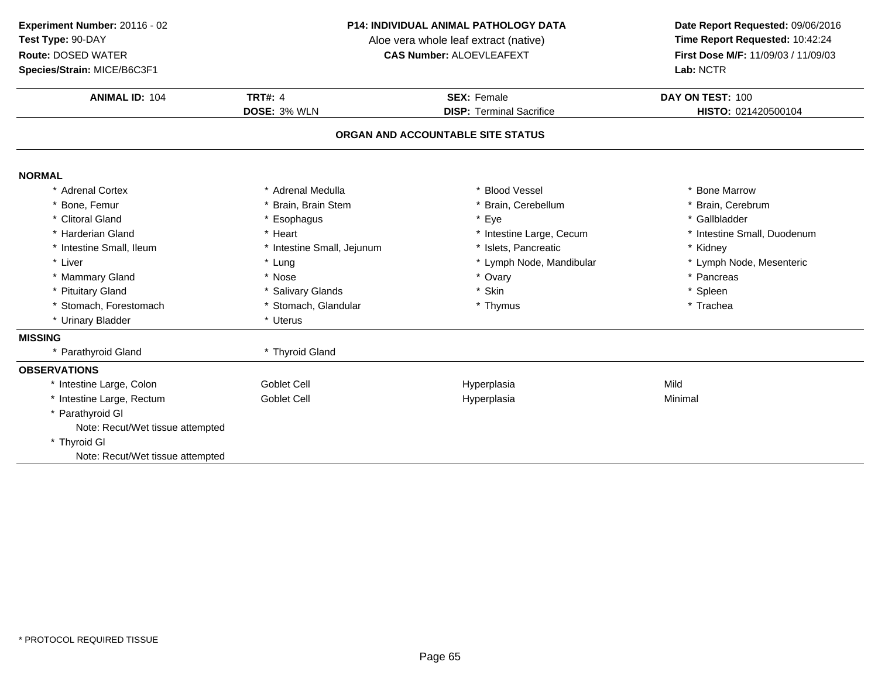**Species/Strain:** MICE/B6C3F1

#### **P14: INDIVIDUAL ANIMAL PATHOLOGY DATA**

Aloe vera whole leaf extract (native)<br>**CAS Number:** ALOEVLEAFEXT

| <b>ANIMAL ID: 104</b>             | <b>TRT#: 4</b>             | <b>SEX: Female</b>              | DAY ON TEST: 100            |  |  |  |
|-----------------------------------|----------------------------|---------------------------------|-----------------------------|--|--|--|
|                                   | DOSE: 3% WLN               | <b>DISP: Terminal Sacrifice</b> | HISTO: 021420500104         |  |  |  |
| ORGAN AND ACCOUNTABLE SITE STATUS |                            |                                 |                             |  |  |  |
| <b>NORMAL</b>                     |                            |                                 |                             |  |  |  |
| * Adrenal Cortex                  | * Adrenal Medulla          | <b>Blood Vessel</b>             | * Bone Marrow               |  |  |  |
| * Bone, Femur                     | * Brain, Brain Stem        | Brain, Cerebellum               | * Brain, Cerebrum           |  |  |  |
| * Clitoral Gland                  | * Esophagus                | * Eye                           | * Gallbladder               |  |  |  |
| * Harderian Gland                 | * Heart                    | * Intestine Large, Cecum        | * Intestine Small, Duodenum |  |  |  |
| * Intestine Small, Ileum          | * Intestine Small, Jejunum | * Islets, Pancreatic            | * Kidney                    |  |  |  |
| * Liver                           | * Lung                     | * Lymph Node, Mandibular        | * Lymph Node, Mesenteric    |  |  |  |
| * Mammary Gland                   | * Nose                     | * Ovary                         | * Pancreas                  |  |  |  |
| * Pituitary Gland                 | * Salivary Glands          | * Skin                          | * Spleen                    |  |  |  |
| * Stomach, Forestomach            | * Stomach, Glandular       | * Thymus                        | * Trachea                   |  |  |  |
| * Urinary Bladder                 | * Uterus                   |                                 |                             |  |  |  |
| <b>MISSING</b>                    |                            |                                 |                             |  |  |  |
| * Parathyroid Gland               | * Thyroid Gland            |                                 |                             |  |  |  |
| <b>OBSERVATIONS</b>               |                            |                                 |                             |  |  |  |
| * Intestine Large, Colon          | <b>Goblet Cell</b>         | Hyperplasia                     | Mild                        |  |  |  |
| * Intestine Large, Rectum         | <b>Goblet Cell</b>         | Hyperplasia                     | Minimal                     |  |  |  |
| * Parathyroid GI                  |                            |                                 |                             |  |  |  |
| Note: Recut/Wet tissue attempted  |                            |                                 |                             |  |  |  |
| * Thyroid GI                      |                            |                                 |                             |  |  |  |
| Note: Recut/Wet tissue attempted  |                            |                                 |                             |  |  |  |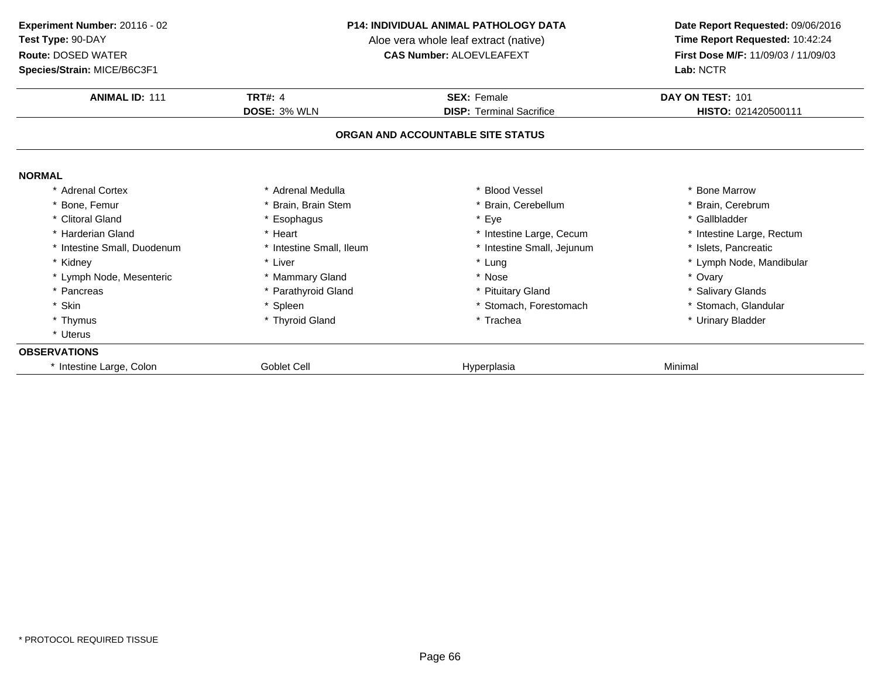**ANIMAL ID:** <sup>111</sup> **TRT#:** <sup>4</sup> **SEX:** Female **DAY ON TEST:** <sup>101</sup> **DOSE:** 3% WLN **DISP:** Terminal Sacrifice **HISTO:** <sup>021420500111</sup> **ORGAN AND ACCOUNTABLE SITE STATUSNORMAL** \* Adrenal Cortex \* Adrenal Medullaa the second vessel that the second vessel is the second version of the second version of the second version of  $\ast$  Bone Marrow \* Brain, Cerebrum \* Bone, Femur \* Brain, Brain Stem \* Brain, Cerebellum \* Brain, Cerebrum \* Brain, Cerebrum \* Brain, Cerebrum \* Brain, Cerebrum \* Gallbladder \* Clitoral Gland \* Esophagus \* Eye \* Gallbladder \* Harderian Gland\* Heart \* Heart \* Intestine Large, Cecum<br>
\* Intestine Small, Ileum \* \* Intestine Small, Jejunun \* Intestine Large, Rectum<br>\* Islets, Pancreatic \* Intestine Small, Duodenum\* Intestine Small, Ileum \* 117 \* Intestine Small, Jejunum<br>\* Liver \* Lung \* Kidney \* Liver \* Lung\* Lung  $\quad$  \* Lymph Node, Mandibular \* Nose \* Lymph Node, Mesenteric \* Mammary Gland \* Nose \* Ovary \* Pancreas \* Parathyroid Gland\* Pituitary Gland<br>
\* Stomach, Forestomach<br>
\* Stomach, Glandular \* Skin\* Spleen \* Stomach, Forestomach \* Stomach, Forestomach \* Theories \* Stomach \* Trachea \* Thymus \* Thyroid Gland\* Urinary Bladder \* Uterus**OBSERVATIONS** \* Intestine Large, Colon Goblet Cell Hyperplasia Minimal **Experiment Number:** 20116 - 02 **P14: INDIVIDUAL ANIMAL PATHOLOGY DATA Date Report Requested:** 09/06/2016 **Test Type:** 90-DAYAloe vera whole leaf extract (native)<br>**CAS Number:** ALOEVLEAFEXT **Route:** DOSED WATER**First Dose M/F:** 11/09/03 / 11/09/03<br>**Lab:** NCTR **Species/Strain:** MICE/B6C3F1**Lab:** NCTR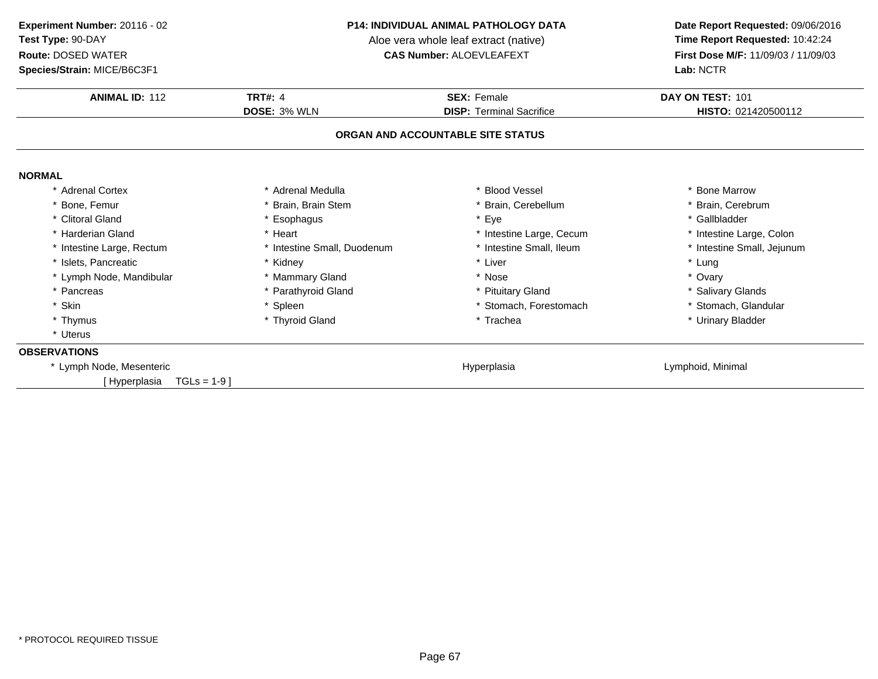**ANIMAL ID:** <sup>112</sup> **TRT#:** <sup>4</sup> **SEX:** Female **DAY ON TEST:** <sup>101</sup> **DOSE:** 3% WLN **DISP:** Terminal Sacrifice **HISTO:** <sup>021420500112</sup> **ORGAN AND ACCOUNTABLE SITE STATUSNORMAL** \* Adrenal Cortex \* Adrenal Medullaa the second vessel that the second vessel is the second version of the second version of the second version of  $\ast$  Bone Marrow \* Brain, Cerebrum \* Bone, Femur \* Brain, Brain Stem \* Brain, Cerebellum \* Brain, Cerebrum \* Brain, Cerebrum \* Brain, Cerebrum \* Brain, Cerebrum \* Gallbladder \* Clitoral Gland \* Esophagus \* Eye \* Gallbladder \* Harderian Gland\* Heart \* Heart \* Intestine Large, Cecum<br>\* Intestine Small, Duodenum \* \* Intestine Small, Ileum \* Intestine Large, Colon<br>\* Intestine Small, Jejunum \* Intestine Large, Rectum\* Intestine Small, Duodenum \* 1992 \* 11testine Small, Ileum \* 11testine Small, Ileum \* 11testine v \* 11testine<br>\* Kidney \* 11testine v \* 11testine \* 12ter \* 12ter \* 12ter \* 12ter \* 12ter \* 12ter \* 12ter \* 12ter \* 12ter \* 1 \* Islets, Pancreaticc \* Kidney \* Kidney \* Liver \* Liver \* Liver \* Lung \* Ovary \* Lymph Node, Mandibular \* \* Mammary Gland \* Nose \* Ovary \* Pancreas \* Parathyroid Gland\* Pituitary Gland<br>
\* Stomach. Forestomach<br>
\* Stomach. Glandular \* Skin\* Spleen \* Stomach, Forestomach \* Stomach, Forestomach \* That is a street of the street of the street of the street of the street of the street of the street of the street of the street of the street of the street of the s \* Thymus \* Thyroid Gland\* Urinary Bladder \* Uterus**OBSERVATIONS** \* Lymph Node, Mesentericc and the contract of the contract of the contract of the Hyperplasia Lymphoid, Minimal [ Hyperplasia TGLs = 1-9 ]**Experiment Number:** 20116 - 02 **P14: INDIVIDUAL ANIMAL PATHOLOGY DATA Date Report Requested:** 09/06/2016 **Test Type:** 90-DAYAloe vera whole leaf extract (native)<br>**CAS Number:** ALOEVLEAFEXT **Route:** DOSED WATER**First Dose M/F:** 11/09/03 / 11/09/03<br>**Lab:** NCTR **Species/Strain:** MICE/B6C3F1**Lab:** NCTR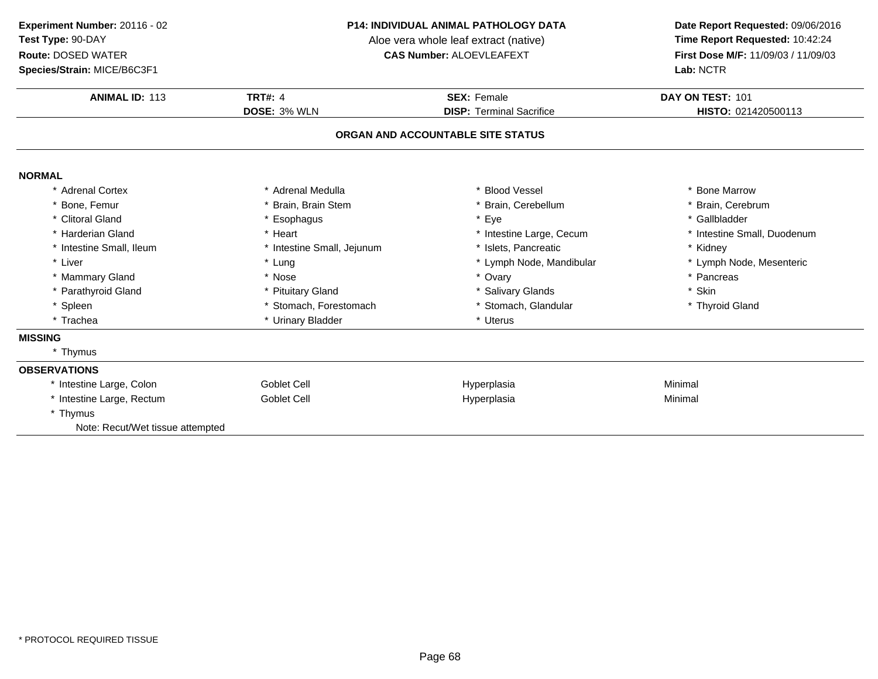**ANIMAL ID:** <sup>113</sup> **TRT#:** <sup>4</sup> **SEX:** Female **DAY ON TEST:** <sup>101</sup> **DOSE:** 3% WLN **DISP:** Terminal Sacrifice **HISTO:** <sup>021420500113</sup> **ORGAN AND ACCOUNTABLE SITE STATUSNORMAL** \* Adrenal Cortex \* Adrenal Medullaa the second vessel that the second vessel is the second version of the second version of the second version of  $\ast$  Bone Marrow \* Brain, Cerebrum \* Bone, Femur \* Brain, Brain Stem \* Brain, Cerebellum \* Brain, Cerebrum \* Brain, Cerebrum \* Brain, Cerebrum \* Brain, Cerebrum \* Gallbladder \* Clitoral Gland \* Esophagus \* Eye \* Gallbladder \* Harderian Gland\* Heart \* Heart \* Intestine Large, Cecum<br>
\* Intestine Small, Jejunum \* \* Islets, Pancreatic \* Intestine Small, Duodenum<br>\* Kidney \* Intestine Small, Ileum\* Intestine Small, Jejunum \* 1slets, Pancreatic \* 1990 \* Kidney \* Kidney<br>
\* Lung \* Kung \* Lymph Node, Mandibular \* Kung \* Lymph Node, Mesenteric \* Liver Liver \* Lung \* Lymph Node, Mandibular \* Lymph Node, Mesenteric \* Mammary Gland \* Nose \* Ovary \* Pancreas \* Parathyroid Gland\* Pituitary Gland \* \* Salivary Glands \* Salivary Glands \* \* Skin \* Skin \* Stromach, Forestomach \* \* Stomach, Glandular \* \* Thyroid Gland \* Spleenn tha that is to the stomach, Forestomach that the stomach, Stomach, Glandular that the story of the Stomach, Stomach, Glandular that the story of the Stomach, Stomach, Glandular that the story of the Stomach, Stomach, Gla \* Trachea \* Urinary Bladder \* Uterus **Experiment Number:** 20116 - 02 **P14: INDIVIDUAL ANIMAL PATHOLOGY DATA Date Report Requested:** 09/06/2016 **Test Type:** 90-DAYAloe vera whole leaf extract (native)<br>**CAS Number:** ALOEVLEAFEXT **Route:** DOSED WATER**First Dose M/F:** 11/09/03 / 11/09/03<br>**Lab:** NCTR **Species/Strain:** MICE/B6C3F1**Lab:** NCTR

#### **MISSING**

### \* Thymus**OBSERVATIONS** \* Intestine Large, Colon Goblet Cell Hyperplasia Minimal \* Intestine Large, Rectum Goblet Cell Hyperplasia Minimal \* ThymusNote: Recut/Wet tissue attempted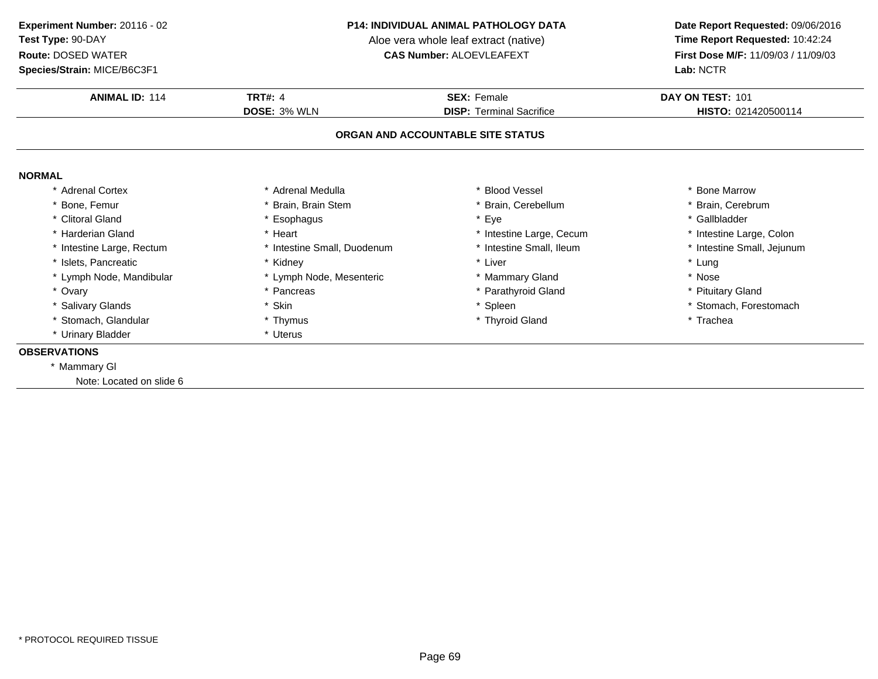**Species/Strain:** MICE/B6C3F1

#### **P14: INDIVIDUAL ANIMAL PATHOLOGY DATA**

Aloe vera whole leaf extract (native)<br>**CAS Number:** ALOEVLEAFEXT

| DOSE: 3% WLN | <b>DISP: Terminal Sacrifice</b>                                                                                                              | HISTO: 021420500114               |  |  |  |  |  |
|--------------|----------------------------------------------------------------------------------------------------------------------------------------------|-----------------------------------|--|--|--|--|--|
|              |                                                                                                                                              |                                   |  |  |  |  |  |
|              |                                                                                                                                              | ORGAN AND ACCOUNTABLE SITE STATUS |  |  |  |  |  |
|              |                                                                                                                                              |                                   |  |  |  |  |  |
|              | * Blood Vessel                                                                                                                               | * Bone Marrow                     |  |  |  |  |  |
|              | * Brain, Cerebellum                                                                                                                          | * Brain, Cerebrum                 |  |  |  |  |  |
|              | * Eye                                                                                                                                        | * Gallbladder                     |  |  |  |  |  |
|              | * Intestine Large, Cecum                                                                                                                     | * Intestine Large, Colon          |  |  |  |  |  |
|              | * Intestine Small, Ileum                                                                                                                     | * Intestine Small, Jejunum        |  |  |  |  |  |
|              | * Liver                                                                                                                                      | * Lung                            |  |  |  |  |  |
|              | * Mammary Gland                                                                                                                              | * Nose                            |  |  |  |  |  |
|              | * Parathyroid Gland                                                                                                                          | * Pituitary Gland                 |  |  |  |  |  |
|              | * Spleen                                                                                                                                     | * Stomach, Forestomach            |  |  |  |  |  |
|              | * Thyroid Gland                                                                                                                              | * Trachea                         |  |  |  |  |  |
|              |                                                                                                                                              |                                   |  |  |  |  |  |
|              | * Adrenal Medulla<br>* Brain, Brain Stem<br>* Esophagus<br>* Intestine Small, Duodenum<br>* Lymph Node, Mesenteric<br>* Pancreas<br>* Thymus |                                   |  |  |  |  |  |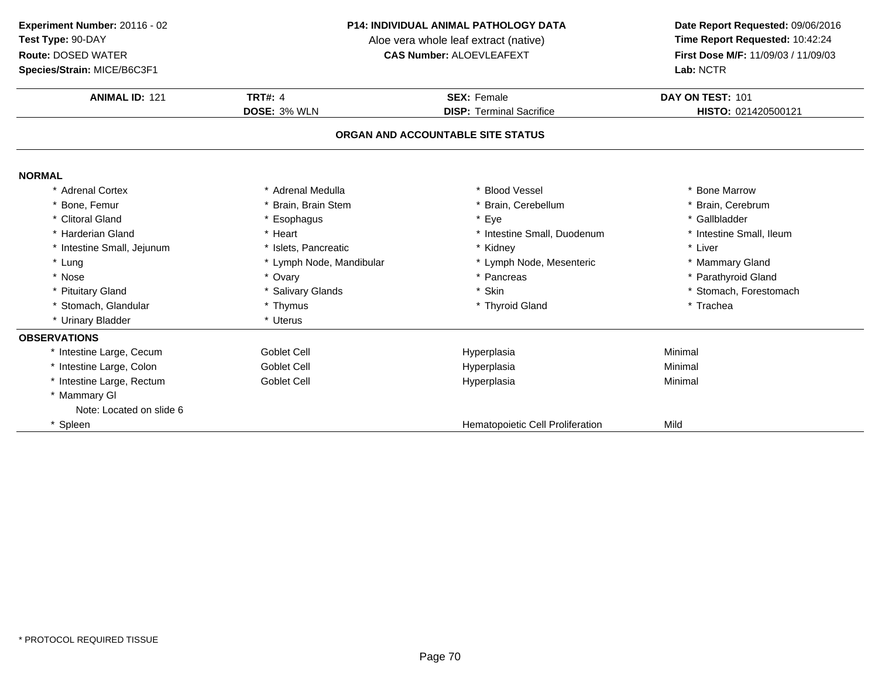### **Species/Strain:** MICE/B6C3F1

#### **P14: INDIVIDUAL ANIMAL PATHOLOGY DATA**

Aloe vera whole leaf extract (native)<br>**CAS Number:** ALOEVLEAFEXT

| <b>ANIMAL ID: 121</b>             | <b>TRT#: 4</b>           | <b>SEX: Female</b>               | DAY ON TEST: 101         |  |  |  |
|-----------------------------------|--------------------------|----------------------------------|--------------------------|--|--|--|
|                                   | <b>DOSE: 3% WLN</b>      | <b>DISP: Terminal Sacrifice</b>  | HISTO: 021420500121      |  |  |  |
| ORGAN AND ACCOUNTABLE SITE STATUS |                          |                                  |                          |  |  |  |
| <b>NORMAL</b>                     |                          |                                  |                          |  |  |  |
| * Adrenal Cortex                  | * Adrenal Medulla        | * Blood Vessel                   | * Bone Marrow            |  |  |  |
| * Bone, Femur                     | * Brain, Brain Stem      | * Brain, Cerebellum              | * Brain, Cerebrum        |  |  |  |
| * Clitoral Gland                  | * Esophagus              | * Eye                            | * Gallbladder            |  |  |  |
| * Harderian Gland                 | * Heart                  | * Intestine Small, Duodenum      | * Intestine Small, Ileum |  |  |  |
| * Intestine Small, Jejunum        | * Islets, Pancreatic     | * Kidney                         | * Liver                  |  |  |  |
| * Lung                            | * Lymph Node, Mandibular | * Lymph Node, Mesenteric         | * Mammary Gland          |  |  |  |
| * Nose                            | * Ovary                  | * Pancreas                       | * Parathyroid Gland      |  |  |  |
| * Pituitary Gland                 | * Salivary Glands        | * Skin                           | * Stomach, Forestomach   |  |  |  |
| * Stomach, Glandular              | * Thymus                 | * Thyroid Gland                  | * Trachea                |  |  |  |
| * Urinary Bladder                 | * Uterus                 |                                  |                          |  |  |  |
| <b>OBSERVATIONS</b>               |                          |                                  |                          |  |  |  |
| * Intestine Large, Cecum          | Goblet Cell              | Hyperplasia                      | Minimal                  |  |  |  |
| * Intestine Large, Colon          | Goblet Cell              | Hyperplasia                      | Minimal                  |  |  |  |
| * Intestine Large, Rectum         | Goblet Cell              | Hyperplasia                      | Minimal                  |  |  |  |
| * Mammary GI                      |                          |                                  |                          |  |  |  |
| Note: Located on slide 6          |                          |                                  |                          |  |  |  |
| * Spleen                          |                          | Hematopoietic Cell Proliferation | Mild                     |  |  |  |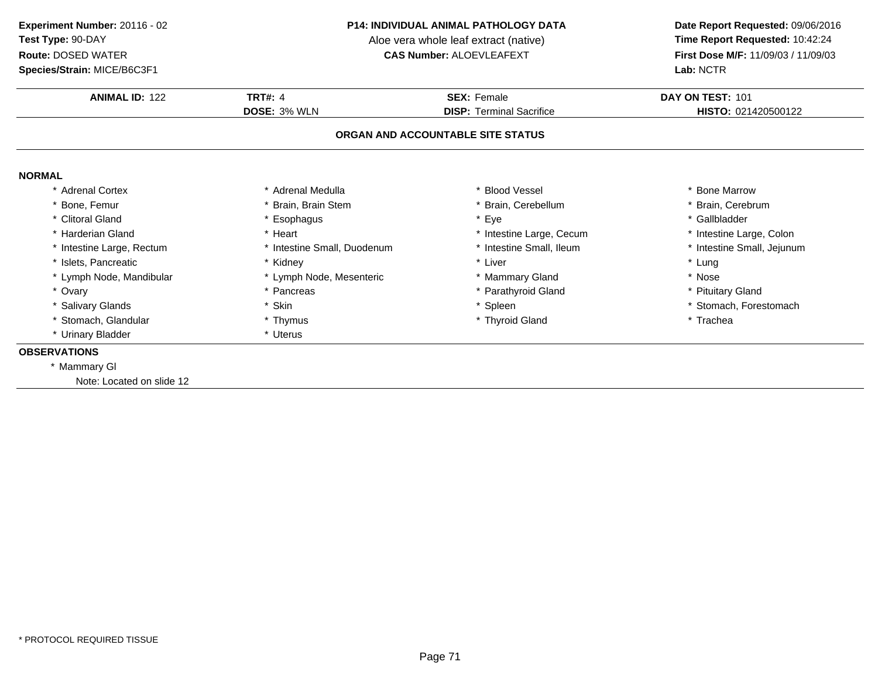**Species/Strain:** MICE/B6C3F1

#### **P14: INDIVIDUAL ANIMAL PATHOLOGY DATA**

Aloe vera whole leaf extract (native)<br>**CAS Number:** ALOEVLEAFEXT

| <b>ANIMAL ID: 122</b>             | <b>TRT#: 4</b>              | <b>SEX: Female</b>              | DAY ON TEST: 101           |  |  |
|-----------------------------------|-----------------------------|---------------------------------|----------------------------|--|--|
|                                   | DOSE: 3% WLN                | <b>DISP: Terminal Sacrifice</b> | HISTO: 021420500122        |  |  |
| ORGAN AND ACCOUNTABLE SITE STATUS |                             |                                 |                            |  |  |
| <b>NORMAL</b>                     |                             |                                 |                            |  |  |
| * Adrenal Cortex                  | * Adrenal Medulla           | * Blood Vessel                  | * Bone Marrow              |  |  |
| * Bone, Femur                     | * Brain, Brain Stem         | * Brain, Cerebellum             | * Brain, Cerebrum          |  |  |
| * Clitoral Gland                  | * Esophagus                 | * Eye                           | * Gallbladder              |  |  |
| * Harderian Gland                 | * Heart                     | * Intestine Large, Cecum        | * Intestine Large, Colon   |  |  |
| * Intestine Large, Rectum         | * Intestine Small, Duodenum | * Intestine Small, Ileum        | * Intestine Small, Jejunum |  |  |
| * Islets, Pancreatic              | * Kidney                    | * Liver                         | * Lung                     |  |  |
| * Lymph Node, Mandibular          | * Lymph Node, Mesenteric    | * Mammary Gland                 | * Nose                     |  |  |
| * Ovary                           | * Pancreas                  | * Parathyroid Gland             | * Pituitary Gland          |  |  |
| * Salivary Glands                 | * Skin                      | * Spleen                        | * Stomach, Forestomach     |  |  |
| * Stomach, Glandular              | * Thymus                    | * Thyroid Gland                 | * Trachea                  |  |  |
|                                   | * Uterus                    |                                 |                            |  |  |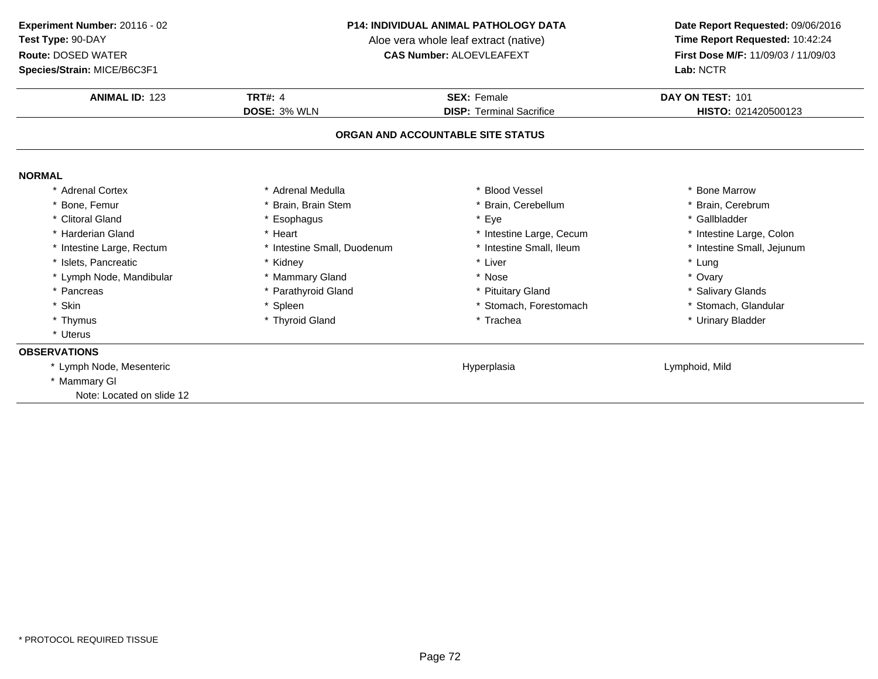**Species/Strain:** MICE/B6C3F1

#### **P14: INDIVIDUAL ANIMAL PATHOLOGY DATA**

Aloe vera whole leaf extract (native)<br>**CAS Number:** ALOEVLEAFEXT

| <b>ANIMAL ID: 123</b>             | <b>TRT#: 4</b>              | <b>SEX: Female</b>              | DAY ON TEST: 101           |  |  |
|-----------------------------------|-----------------------------|---------------------------------|----------------------------|--|--|
|                                   | DOSE: 3% WLN                | <b>DISP: Terminal Sacrifice</b> | HISTO: 021420500123        |  |  |
| ORGAN AND ACCOUNTABLE SITE STATUS |                             |                                 |                            |  |  |
| <b>NORMAL</b>                     |                             |                                 |                            |  |  |
| Adrenal Cortex                    | * Adrenal Medulla           | * Blood Vessel                  | * Bone Marrow              |  |  |
| * Bone, Femur                     | * Brain, Brain Stem         | * Brain, Cerebellum             | * Brain, Cerebrum          |  |  |
| * Clitoral Gland                  | * Esophagus                 | * Eye                           | * Gallbladder              |  |  |
| * Harderian Gland                 | * Heart                     | * Intestine Large, Cecum        | * Intestine Large, Colon   |  |  |
| * Intestine Large, Rectum         | * Intestine Small, Duodenum | * Intestine Small, Ileum        | * Intestine Small, Jejunum |  |  |
| * Islets, Pancreatic              | * Kidney                    | * Liver                         | * Lung                     |  |  |
| * Lymph Node, Mandibular          | * Mammary Gland             | * Nose                          | * Ovary                    |  |  |
| * Pancreas                        | * Parathyroid Gland         | * Pituitary Gland               | * Salivary Glands          |  |  |
| * Skin                            | * Spleen                    | * Stomach, Forestomach          | * Stomach, Glandular       |  |  |
| * Thymus                          | * Thyroid Gland             | * Trachea                       | * Urinary Bladder          |  |  |
| * Uterus                          |                             |                                 |                            |  |  |
| <b>OBSERVATIONS</b>               |                             |                                 |                            |  |  |
| * Lymph Node, Mesenteric          |                             | Hyperplasia                     | Lymphoid, Mild             |  |  |
| * Mammary GI                      |                             |                                 |                            |  |  |
| Note: Located on slide 12         |                             |                                 |                            |  |  |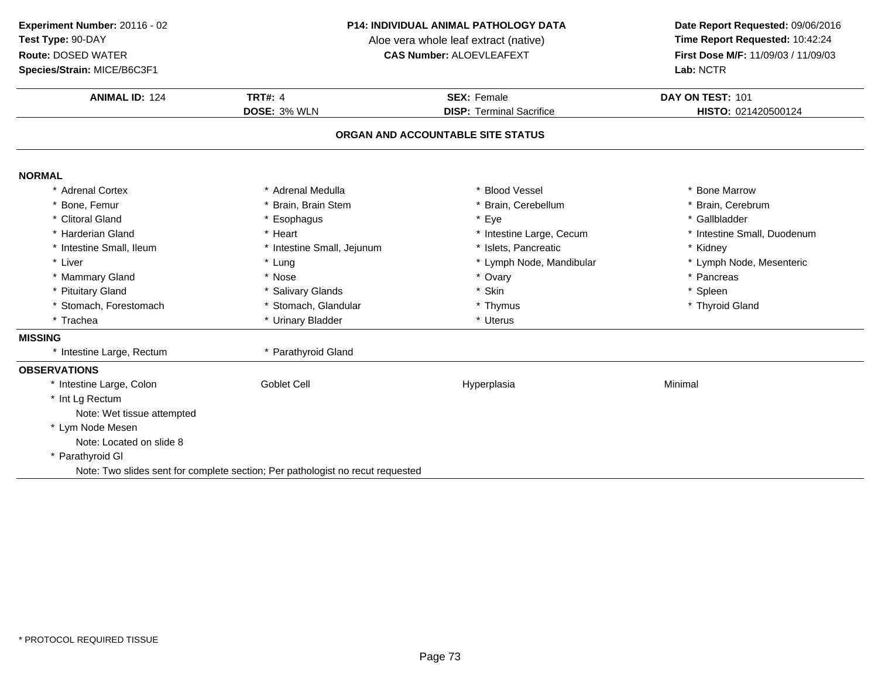**Species/Strain:** MICE/B6C3F1

### **P14: INDIVIDUAL ANIMAL PATHOLOGY DATA**

Aloe vera whole leaf extract (native)<br>**CAS Number:** ALOEVLEAFEXT

| <b>ANIMAL ID: 124</b>      | <b>TRT#: 4</b>                                                                 | <b>SEX: Female</b>                | DAY ON TEST: 101<br>HISTO: 021420500124 |
|----------------------------|--------------------------------------------------------------------------------|-----------------------------------|-----------------------------------------|
|                            | DOSE: 3% WLN                                                                   | <b>DISP: Terminal Sacrifice</b>   |                                         |
|                            |                                                                                | ORGAN AND ACCOUNTABLE SITE STATUS |                                         |
| <b>NORMAL</b>              |                                                                                |                                   |                                         |
| * Adrenal Cortex           | * Adrenal Medulla                                                              | * Blood Vessel                    | * Bone Marrow                           |
| * Bone, Femur              | * Brain, Brain Stem                                                            | * Brain, Cerebellum               | * Brain, Cerebrum                       |
| * Clitoral Gland           | * Esophagus                                                                    | * Eye                             | * Gallbladder                           |
| * Harderian Gland          | * Heart                                                                        | * Intestine Large, Cecum          | * Intestine Small, Duodenum             |
| * Intestine Small, Ileum   | * Intestine Small, Jejunum                                                     | * Islets, Pancreatic              | * Kidney                                |
| * Liver                    | * Lung                                                                         | * Lymph Node, Mandibular          | * Lymph Node, Mesenteric                |
| * Mammary Gland            | * Nose                                                                         | * Ovary                           | * Pancreas                              |
| * Pituitary Gland          | * Salivary Glands                                                              | * Skin                            | * Spleen                                |
| * Stomach, Forestomach     | * Stomach, Glandular                                                           | * Thymus                          | * Thyroid Gland                         |
| * Trachea                  | * Urinary Bladder                                                              | * Uterus                          |                                         |
| <b>MISSING</b>             |                                                                                |                                   |                                         |
| * Intestine Large, Rectum  | * Parathyroid Gland                                                            |                                   |                                         |
| <b>OBSERVATIONS</b>        |                                                                                |                                   |                                         |
| * Intestine Large, Colon   | <b>Goblet Cell</b>                                                             | Hyperplasia                       | Minimal                                 |
| * Int Lg Rectum            |                                                                                |                                   |                                         |
| Note: Wet tissue attempted |                                                                                |                                   |                                         |
| * Lym Node Mesen           |                                                                                |                                   |                                         |
| Note: Located on slide 8   |                                                                                |                                   |                                         |
| * Parathyroid GI           |                                                                                |                                   |                                         |
|                            | Note: Two slides sent for complete section; Per pathologist no recut requested |                                   |                                         |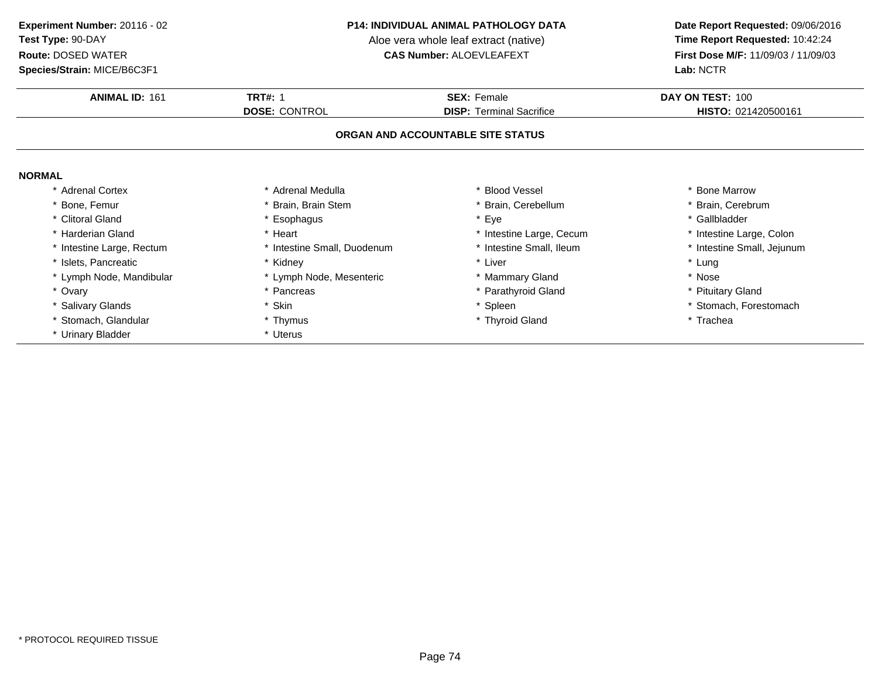**Species/Strain:** MICE/B6C3F1

### **P14: INDIVIDUAL ANIMAL PATHOLOGY DATA**

Aloe vera whole leaf extract (native)<br>**CAS Number:** ALOEVLEAFEXT

| <b>ANIMAL ID: 161</b>     | <b>TRT#: 1</b>              | <b>SEX: Female</b>                | DAY ON TEST: 100           |
|---------------------------|-----------------------------|-----------------------------------|----------------------------|
|                           | <b>DOSE: CONTROL</b>        | <b>DISP: Terminal Sacrifice</b>   | HISTO: 021420500161        |
|                           |                             | ORGAN AND ACCOUNTABLE SITE STATUS |                            |
| <b>NORMAL</b>             |                             |                                   |                            |
| * Adrenal Cortex          | * Adrenal Medulla           | * Blood Vessel                    | <b>Bone Marrow</b>         |
| Bone, Femur               | Brain, Brain Stem           | * Brain, Cerebellum               | Brain, Cerebrum            |
| * Clitoral Gland          | * Esophagus                 | * Eye                             | * Gallbladder              |
| Harderian Gland           | * Heart                     | * Intestine Large, Cecum          | * Intestine Large, Colon   |
| * Intestine Large, Rectum | * Intestine Small, Duodenum | * Intestine Small, Ileum          | * Intestine Small, Jejunum |
| * Islets, Pancreatic      | * Kidney                    | * Liver                           | * Lung                     |
| * Lymph Node, Mandibular  | * Lymph Node, Mesenteric    | * Mammary Gland                   | * Nose                     |
| * Ovary                   | * Pancreas                  | * Parathyroid Gland               | * Pituitary Gland          |
| * Salivary Glands         | * Skin                      | * Spleen                          | * Stomach, Forestomach     |
| Stomach, Glandular        | * Thymus                    | * Thyroid Gland                   | * Trachea                  |
| * Urinary Bladder         | * Uterus                    |                                   |                            |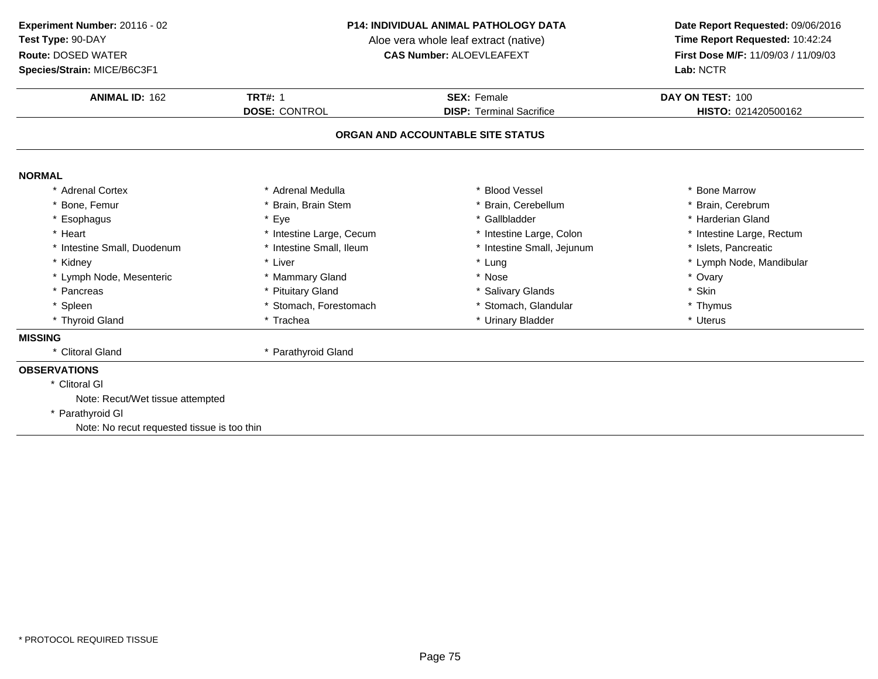# **Species/Strain:** MICE/B6C3F1

### **P14: INDIVIDUAL ANIMAL PATHOLOGY DATA**

Aloe vera whole leaf extract (native)<br>**CAS Number:** ALOEVLEAFEXT

| <b>ANIMAL ID: 162</b>                       | <b>TRT#: 1</b>           | <b>SEX: Female</b>                | DAY ON TEST: 100          |
|---------------------------------------------|--------------------------|-----------------------------------|---------------------------|
|                                             | <b>DOSE: CONTROL</b>     | <b>DISP: Terminal Sacrifice</b>   | HISTO: 021420500162       |
|                                             |                          | ORGAN AND ACCOUNTABLE SITE STATUS |                           |
| <b>NORMAL</b>                               |                          |                                   |                           |
| <b>Adrenal Cortex</b>                       | * Adrenal Medulla        | <b>Blood Vessel</b>               | * Bone Marrow             |
| Bone, Femur                                 | Brain, Brain Stem        | Brain, Cerebellum                 | * Brain, Cerebrum         |
| * Esophagus                                 | * Eye                    | * Gallbladder                     | * Harderian Gland         |
| * Heart                                     | * Intestine Large, Cecum | * Intestine Large, Colon          | * Intestine Large, Rectum |
| * Intestine Small, Duodenum                 | * Intestine Small, Ileum | * Intestine Small, Jejunum        | * Islets, Pancreatic      |
| * Kidney                                    | * Liver                  | * Lung                            | * Lymph Node, Mandibular  |
| * Lymph Node, Mesenteric                    | * Mammary Gland          | * Nose                            | * Ovary                   |
| * Pancreas                                  | * Pituitary Gland        | * Salivary Glands                 | * Skin                    |
| * Spleen                                    | * Stomach, Forestomach   | * Stomach, Glandular              | * Thymus                  |
| * Thyroid Gland                             | * Trachea                | * Urinary Bladder                 | * Uterus                  |
| <b>MISSING</b>                              |                          |                                   |                           |
| * Clitoral Gland                            | * Parathyroid Gland      |                                   |                           |
| <b>OBSERVATIONS</b>                         |                          |                                   |                           |
| * Clitoral GI                               |                          |                                   |                           |
| Note: Recut/Wet tissue attempted            |                          |                                   |                           |
| * Parathyroid GI                            |                          |                                   |                           |
| Note: No recut requested tissue is too thin |                          |                                   |                           |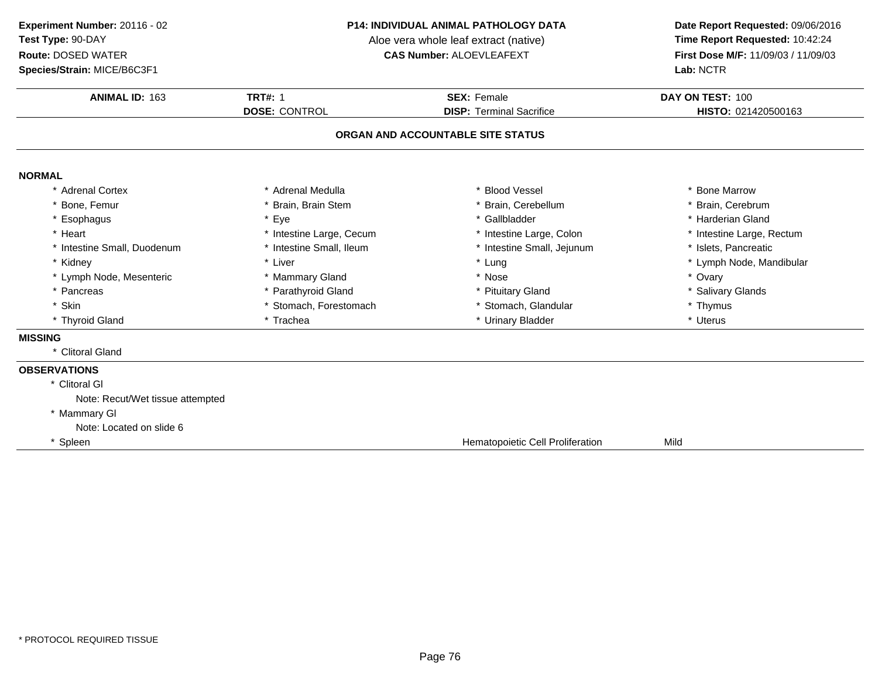# **Species/Strain:** MICE/B6C3F1

### **P14: INDIVIDUAL ANIMAL PATHOLOGY DATA**

Aloe vera whole leaf extract (native)<br>**CAS Number:** ALOEVLEAFEXT

| <b>ANIMAL ID: 163</b>            | <b>TRT#: 1</b>           | <b>SEX: Female</b>                | DAY ON TEST: 100          |
|----------------------------------|--------------------------|-----------------------------------|---------------------------|
|                                  | <b>DOSE: CONTROL</b>     | <b>DISP: Terminal Sacrifice</b>   | HISTO: 021420500163       |
|                                  |                          | ORGAN AND ACCOUNTABLE SITE STATUS |                           |
| <b>NORMAL</b>                    |                          |                                   |                           |
| * Adrenal Cortex                 | * Adrenal Medulla        | * Blood Vessel                    | * Bone Marrow             |
| * Bone, Femur                    | * Brain, Brain Stem      | * Brain, Cerebellum               | * Brain, Cerebrum         |
| * Esophagus                      | * Eye                    | * Gallbladder                     | * Harderian Gland         |
| * Heart                          | * Intestine Large, Cecum | * Intestine Large, Colon          | * Intestine Large, Rectum |
| * Intestine Small, Duodenum      | * Intestine Small, Ileum | * Intestine Small, Jejunum        | * Islets, Pancreatic      |
| * Kidney                         | * Liver                  | * Lung                            | * Lymph Node, Mandibular  |
| * Lymph Node, Mesenteric         | * Mammary Gland          | * Nose                            | * Ovary                   |
| * Pancreas                       | * Parathyroid Gland      | * Pituitary Gland                 | * Salivary Glands         |
| * Skin                           | * Stomach, Forestomach   | * Stomach, Glandular              | * Thymus                  |
| * Thyroid Gland                  | * Trachea                | * Urinary Bladder                 | * Uterus                  |
| <b>MISSING</b>                   |                          |                                   |                           |
| * Clitoral Gland                 |                          |                                   |                           |
| <b>OBSERVATIONS</b>              |                          |                                   |                           |
| * Clitoral GI                    |                          |                                   |                           |
| Note: Recut/Wet tissue attempted |                          |                                   |                           |
| * Mammary GI                     |                          |                                   |                           |
| Note: Located on slide 6         |                          |                                   |                           |
| * Spleen                         |                          | Hematopoietic Cell Proliferation  | Mild                      |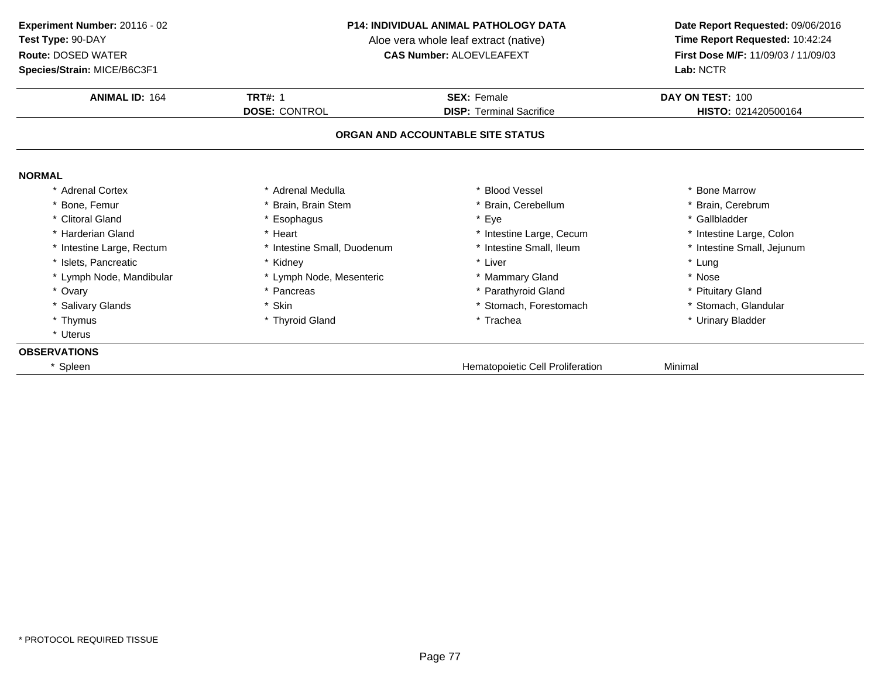### **Species/Strain:** MICE/B6C3F1

### **P14: INDIVIDUAL ANIMAL PATHOLOGY DATA**

Aloe vera whole leaf extract (native)<br>**CAS Number:** ALOEVLEAFEXT

| <b>ANIMAL ID: 164</b>    | <b>TRT#: 1</b>              | <b>SEX: Female</b>                | DAY ON TEST: 100           |
|--------------------------|-----------------------------|-----------------------------------|----------------------------|
|                          | <b>DOSE: CONTROL</b>        | <b>DISP: Terminal Sacrifice</b>   | HISTO: 021420500164        |
|                          |                             | ORGAN AND ACCOUNTABLE SITE STATUS |                            |
| <b>NORMAL</b>            |                             |                                   |                            |
| <b>Adrenal Cortex</b>    | * Adrenal Medulla           | * Blood Vessel                    | * Bone Marrow              |
| * Bone, Femur            | * Brain, Brain Stem         | * Brain, Cerebellum               | * Brain, Cerebrum          |
| * Clitoral Gland         | * Esophagus                 | * Eye                             | * Gallbladder              |
| * Harderian Gland        | * Heart                     | * Intestine Large, Cecum          | * Intestine Large, Colon   |
| Intestine Large, Rectum  | * Intestine Small, Duodenum | * Intestine Small, Ileum          | * Intestine Small, Jejunum |
| Islets, Pancreatic       | * Kidney                    | * Liver                           | * Lung                     |
| * Lymph Node, Mandibular | * Lymph Node, Mesenteric    | * Mammary Gland                   | * Nose                     |
| * Ovary                  | * Pancreas                  | * Parathyroid Gland               | * Pituitary Gland          |
| * Salivary Glands        | * Skin                      | * Stomach, Forestomach            | * Stomach, Glandular       |
| * Thymus                 | * Thyroid Gland             | * Trachea                         | * Urinary Bladder          |
| * Uterus                 |                             |                                   |                            |
| <b>OBSERVATIONS</b>      |                             |                                   |                            |
| Spleen                   |                             | Hematopoietic Cell Proliferation  | Minimal                    |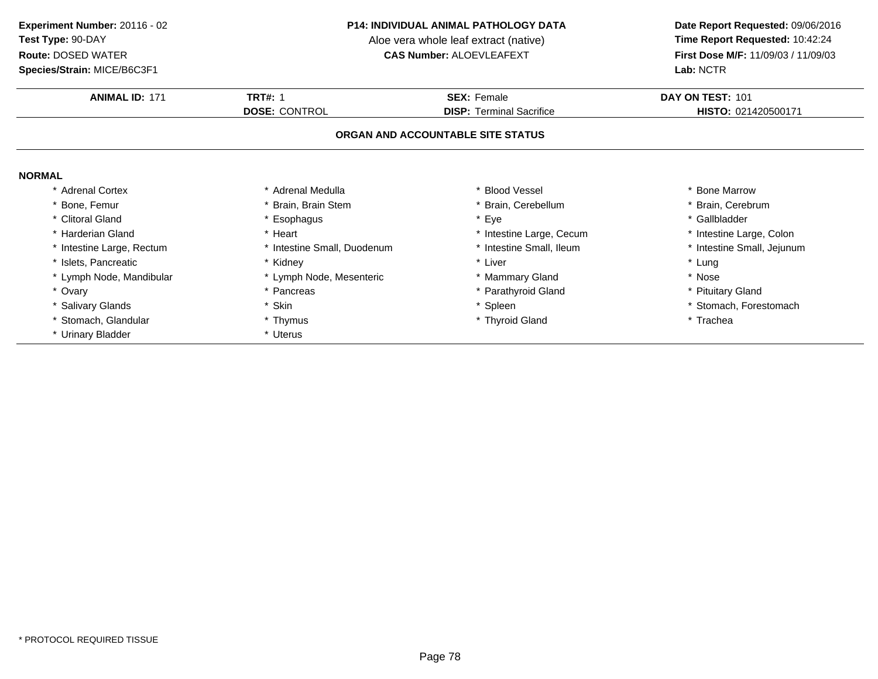**Species/Strain:** MICE/B6C3F1

### **P14: INDIVIDUAL ANIMAL PATHOLOGY DATA**

Aloe vera whole leaf extract (native)<br>**CAS Number:** ALOEVLEAFEXT

| <b>ANIMAL ID: 171</b>     | <b>TRT#: 1</b>              | <b>SEX: Female</b>                | DAY ON TEST: 101           |
|---------------------------|-----------------------------|-----------------------------------|----------------------------|
|                           | <b>DOSE: CONTROL</b>        | <b>DISP:</b> Terminal Sacrifice   | HISTO: 021420500171        |
|                           |                             | ORGAN AND ACCOUNTABLE SITE STATUS |                            |
| <b>NORMAL</b>             |                             |                                   |                            |
| <b>Adrenal Cortex</b>     | * Adrenal Medulla           | * Blood Vessel                    | * Bone Marrow              |
| <sup>'</sup> Bone, Femur  | Brain, Brain Stem           | Brain, Cerebellum                 | * Brain, Cerebrum          |
| * Clitoral Gland          | Esophagus                   | * Eye                             | * Gallbladder              |
| * Harderian Gland         | Heart                       | * Intestine Large, Cecum          | * Intestine Large, Colon   |
| * Intestine Large, Rectum | * Intestine Small, Duodenum | * Intestine Small, Ileum          | * Intestine Small, Jejunum |
| * Islets, Pancreatic      | Kidney                      | * Liver                           | * Lung                     |
| * Lymph Node, Mandibular  | Lymph Node, Mesenteric      | * Mammary Gland                   | * Nose                     |
| * Ovary                   | Pancreas                    | * Parathyroid Gland               | * Pituitary Gland          |
| * Salivary Glands         | * Skin                      | * Spleen                          | * Stomach, Forestomach     |
| Stomach, Glandular        | * Thymus                    | * Thyroid Gland                   | * Trachea                  |
| * Urinary Bladder         | * Uterus                    |                                   |                            |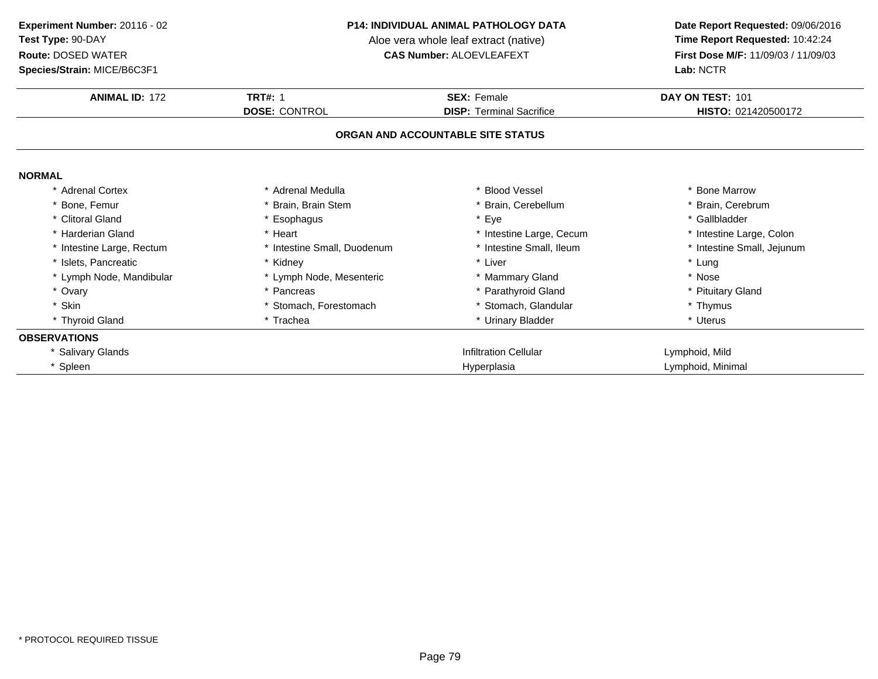### **Species/Strain:** MICE/B6C3F1

### **P14: INDIVIDUAL ANIMAL PATHOLOGY DATA**

Aloe vera whole leaf extract (native)<br>**CAS Number:** ALOEVLEAFEXT

| <b>ANIMAL ID: 172</b>     | <b>TRT#: 1</b>              | <b>SEX: Female</b>                | DAY ON TEST: 101           |
|---------------------------|-----------------------------|-----------------------------------|----------------------------|
|                           | <b>DOSE: CONTROL</b>        | <b>DISP: Terminal Sacrifice</b>   | HISTO: 021420500172        |
|                           |                             | ORGAN AND ACCOUNTABLE SITE STATUS |                            |
| <b>NORMAL</b>             |                             |                                   |                            |
| * Adrenal Cortex          | * Adrenal Medulla           | * Blood Vessel                    | * Bone Marrow              |
| * Bone, Femur             | * Brain, Brain Stem         | Brain, Cerebellum                 | * Brain, Cerebrum          |
| * Clitoral Gland          | * Esophagus                 | * Eye                             | * Gallbladder              |
| * Harderian Gland         | * Heart                     | * Intestine Large, Cecum          | * Intestine Large, Colon   |
| * Intestine Large, Rectum | * Intestine Small, Duodenum | * Intestine Small, Ileum          | * Intestine Small, Jejunum |
| * Islets, Pancreatic      | * Kidney                    | * Liver                           | * Lung                     |
| * Lymph Node, Mandibular  | * Lymph Node, Mesenteric    | * Mammary Gland                   | * Nose                     |
| * Ovary                   | * Pancreas                  | * Parathyroid Gland               | * Pituitary Gland          |
| * Skin                    | * Stomach, Forestomach      | * Stomach, Glandular              | * Thymus                   |
| * Thyroid Gland           | * Trachea                   | * Urinary Bladder                 | * Uterus                   |
| <b>OBSERVATIONS</b>       |                             |                                   |                            |
| * Salivary Glands         |                             | <b>Infiltration Cellular</b>      | Lymphoid, Mild             |
| * Spleen                  |                             | Hyperplasia                       | Lymphoid, Minimal          |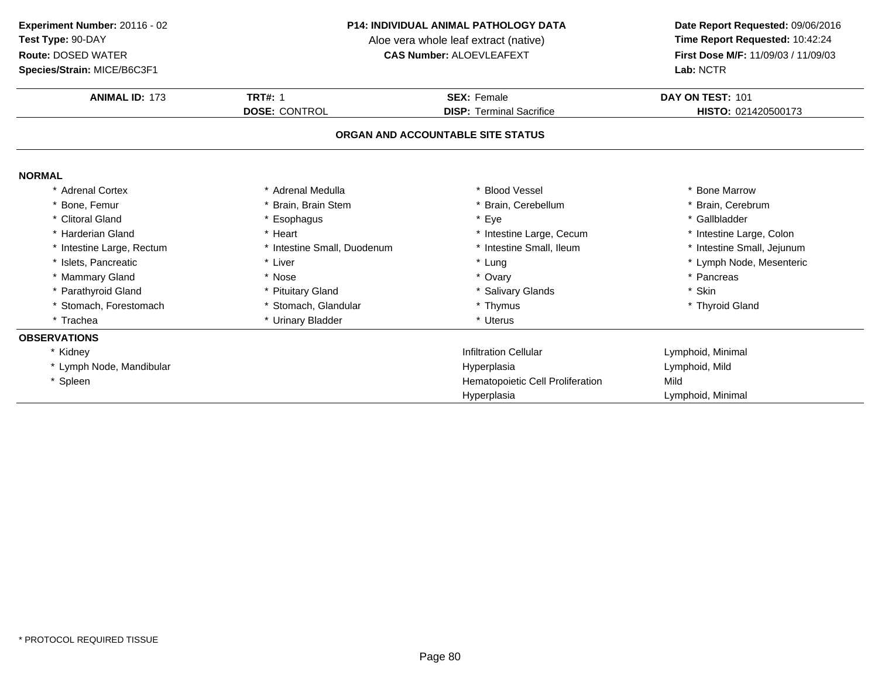**Species/Strain:** MICE/B6C3F1

### **P14: INDIVIDUAL ANIMAL PATHOLOGY DATA**

Aloe vera whole leaf extract (native)<br>**CAS Number:** ALOEVLEAFEXT

| <b>ANIMAL ID: 173</b>             | <b>TRT#: 1</b>              | <b>SEX: Female</b>               | DAY ON TEST: 101           |  |  |
|-----------------------------------|-----------------------------|----------------------------------|----------------------------|--|--|
|                                   | <b>DOSE: CONTROL</b>        | <b>DISP: Terminal Sacrifice</b>  | HISTO: 021420500173        |  |  |
| ORGAN AND ACCOUNTABLE SITE STATUS |                             |                                  |                            |  |  |
| <b>NORMAL</b>                     |                             |                                  |                            |  |  |
| * Adrenal Cortex                  | * Adrenal Medulla           | <b>Blood Vessel</b>              | * Bone Marrow              |  |  |
| * Bone, Femur                     | * Brain, Brain Stem         | * Brain, Cerebellum              | * Brain, Cerebrum          |  |  |
| * Clitoral Gland                  | * Esophagus                 | * Eye                            | * Gallbladder              |  |  |
| * Harderian Gland                 | * Heart                     | * Intestine Large, Cecum         | * Intestine Large, Colon   |  |  |
| * Intestine Large, Rectum         | * Intestine Small, Duodenum | * Intestine Small, Ileum         | * Intestine Small, Jejunum |  |  |
| * Islets, Pancreatic              | * Liver                     | * Lung                           | * Lymph Node, Mesenteric   |  |  |
| * Mammary Gland                   | * Nose                      | * Ovary                          | * Pancreas                 |  |  |
| * Parathyroid Gland               | * Pituitary Gland           | * Salivary Glands                | * Skin                     |  |  |
| * Stomach, Forestomach            | * Stomach, Glandular        | * Thymus                         | * Thyroid Gland            |  |  |
| * Trachea                         | * Urinary Bladder           | * Uterus                         |                            |  |  |
| <b>OBSERVATIONS</b>               |                             |                                  |                            |  |  |
| * Kidney                          |                             | <b>Infiltration Cellular</b>     | Lymphoid, Minimal          |  |  |
| * Lymph Node, Mandibular          |                             | Hyperplasia                      | Lymphoid, Mild             |  |  |
| * Spleen                          |                             | Hematopoietic Cell Proliferation | Mild                       |  |  |
|                                   |                             | Hyperplasia                      | Lymphoid, Minimal          |  |  |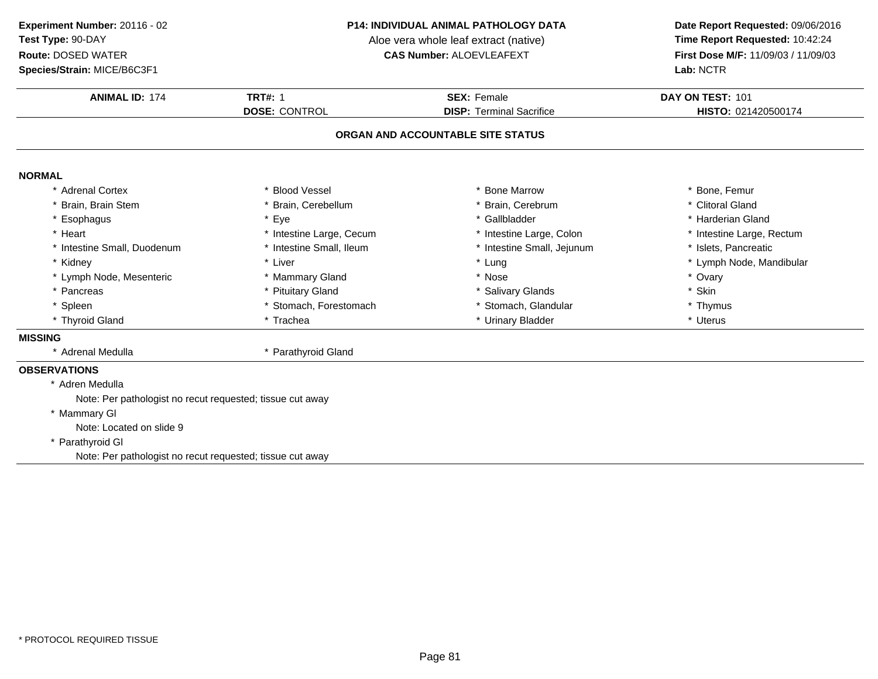# **Species/Strain:** MICE/B6C3F1

### **P14: INDIVIDUAL ANIMAL PATHOLOGY DATA**

Aloe vera whole leaf extract (native)<br>**CAS Number:** ALOEVLEAFEXT

| <b>ANIMAL ID: 174</b>                                     | <b>TRT#: 1</b>           | <b>SEX: Female</b>                | DAY ON TEST: 101          |
|-----------------------------------------------------------|--------------------------|-----------------------------------|---------------------------|
|                                                           | <b>DOSE: CONTROL</b>     | <b>DISP: Terminal Sacrifice</b>   | HISTO: 021420500174       |
|                                                           |                          | ORGAN AND ACCOUNTABLE SITE STATUS |                           |
| <b>NORMAL</b>                                             |                          |                                   |                           |
| * Adrenal Cortex                                          | <b>Blood Vessel</b>      | * Bone Marrow                     | * Bone, Femur             |
| * Brain, Brain Stem                                       | * Brain, Cerebellum      | * Brain, Cerebrum                 | * Clitoral Gland          |
| * Esophagus                                               | * Eye                    | * Gallbladder                     | * Harderian Gland         |
| * Heart                                                   | * Intestine Large, Cecum | * Intestine Large, Colon          | * Intestine Large, Rectum |
| * Intestine Small, Duodenum                               | * Intestine Small, Ileum | * Intestine Small, Jejunum        | * Islets, Pancreatic      |
| * Kidney                                                  | * Liver                  | * Lung                            | * Lymph Node, Mandibular  |
| * Lymph Node, Mesenteric                                  | * Mammary Gland          | * Nose                            | * Ovary                   |
| * Pancreas                                                | * Pituitary Gland        | * Salivary Glands                 | * Skin                    |
| * Spleen                                                  | Stomach, Forestomach     | * Stomach, Glandular              | * Thymus                  |
| * Thyroid Gland                                           | * Trachea                | * Urinary Bladder                 | * Uterus                  |
| <b>MISSING</b>                                            |                          |                                   |                           |
| * Adrenal Medulla                                         | * Parathyroid Gland      |                                   |                           |
| <b>OBSERVATIONS</b>                                       |                          |                                   |                           |
| * Adren Medulla                                           |                          |                                   |                           |
| Note: Per pathologist no recut requested; tissue cut away |                          |                                   |                           |
| * Mammary GI                                              |                          |                                   |                           |
| Note: Located on slide 9                                  |                          |                                   |                           |
| * Parathyroid GI                                          |                          |                                   |                           |
| Note: Per pathologist no recut requested; tissue cut away |                          |                                   |                           |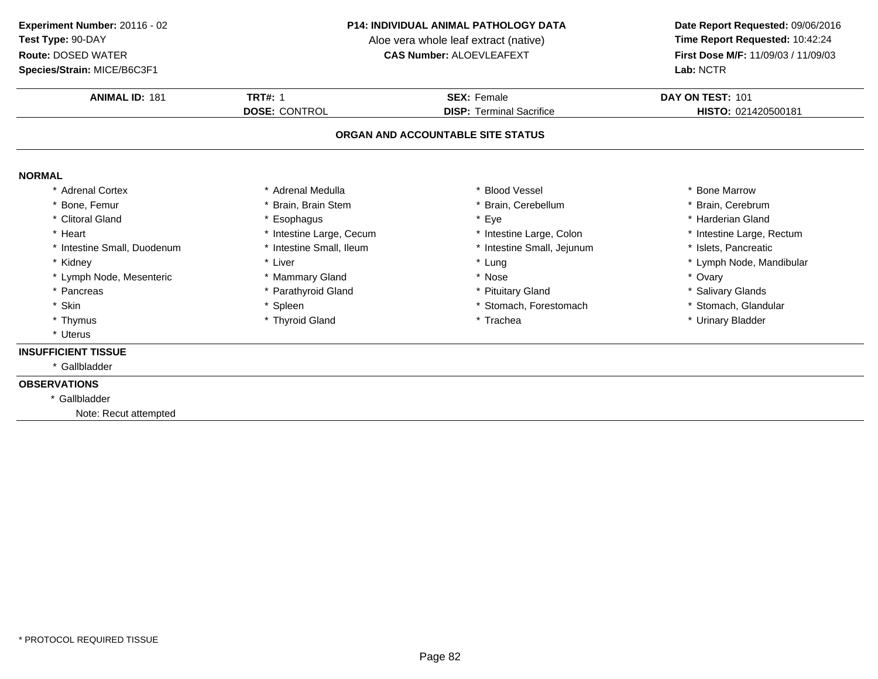# **Species/Strain:** MICE/B6C3F1

### **P14: INDIVIDUAL ANIMAL PATHOLOGY DATA**

Aloe vera whole leaf extract (native)<br>**CAS Number:** ALOEVLEAFEXT

| <b>ANIMAL ID: 181</b>       | <b>TRT#: 1</b>           | <b>SEX: Female</b>                | DAY ON TEST: 101          |
|-----------------------------|--------------------------|-----------------------------------|---------------------------|
|                             | <b>DOSE: CONTROL</b>     | <b>DISP: Terminal Sacrifice</b>   | HISTO: 021420500181       |
|                             |                          | ORGAN AND ACCOUNTABLE SITE STATUS |                           |
| <b>NORMAL</b>               |                          |                                   |                           |
| * Adrenal Cortex            | * Adrenal Medulla        | <b>Blood Vessel</b>               | * Bone Marrow             |
| * Bone, Femur               | * Brain, Brain Stem      | Brain, Cerebellum                 | * Brain, Cerebrum         |
| * Clitoral Gland            | * Esophagus              | Eye                               | * Harderian Gland         |
| * Heart                     | * Intestine Large, Cecum | * Intestine Large, Colon          | * Intestine Large, Rectum |
| * Intestine Small, Duodenum | * Intestine Small, Ileum | * Intestine Small, Jejunum        | * Islets, Pancreatic      |
| * Kidney                    | * Liver                  | * Lung                            | * Lymph Node, Mandibular  |
| * Lymph Node, Mesenteric    | * Mammary Gland          | * Nose                            | * Ovary                   |
| * Pancreas                  | * Parathyroid Gland      | * Pituitary Gland                 | * Salivary Glands         |
| * Skin                      | * Spleen                 | * Stomach, Forestomach            | * Stomach, Glandular      |
| * Thymus                    | * Thyroid Gland          | * Trachea                         | * Urinary Bladder         |
| * Uterus                    |                          |                                   |                           |
| <b>INSUFFICIENT TISSUE</b>  |                          |                                   |                           |
| * Gallbladder               |                          |                                   |                           |
| <b>OBSERVATIONS</b>         |                          |                                   |                           |
| * Gallbladder               |                          |                                   |                           |
| Note: Recut attempted       |                          |                                   |                           |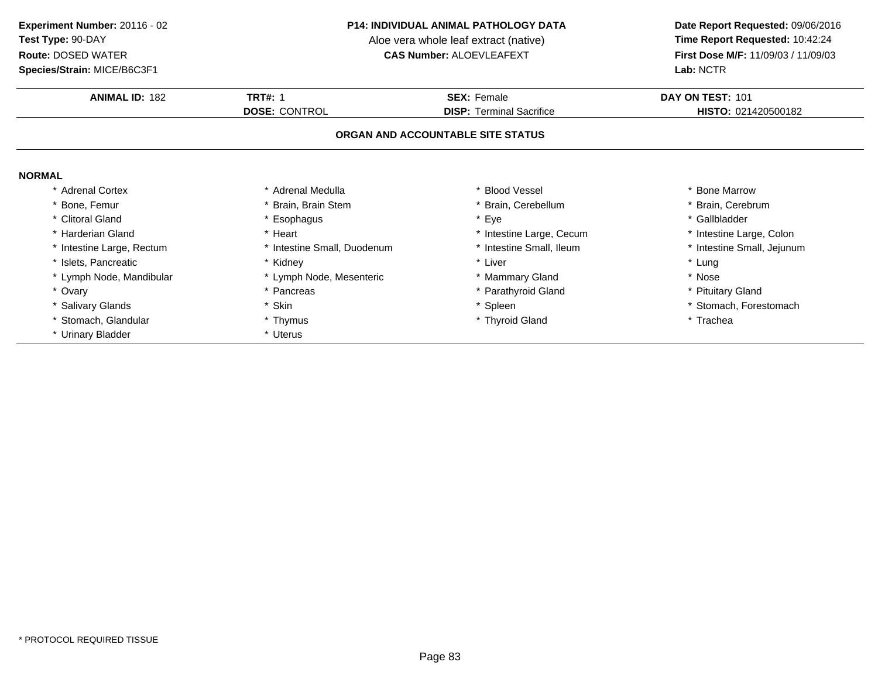**Species/Strain:** MICE/B6C3F1

### **P14: INDIVIDUAL ANIMAL PATHOLOGY DATA**

Aloe vera whole leaf extract (native)<br>**CAS Number:** ALOEVLEAFEXT

| <b>ANIMAL ID: 182</b>     | <b>TRT#: 1</b>              | <b>SEX: Female</b>                | DAY ON TEST: 101           |
|---------------------------|-----------------------------|-----------------------------------|----------------------------|
|                           | <b>DOSE: CONTROL</b>        | <b>DISP: Terminal Sacrifice</b>   | HISTO: 021420500182        |
|                           |                             | ORGAN AND ACCOUNTABLE SITE STATUS |                            |
| <b>NORMAL</b>             |                             |                                   |                            |
| * Adrenal Cortex          | * Adrenal Medulla           | * Blood Vessel                    | <b>Bone Marrow</b>         |
| Bone, Femur               | Brain, Brain Stem           | * Brain, Cerebellum               | Brain, Cerebrum            |
| * Clitoral Gland          | * Esophagus                 | * Eye                             | * Gallbladder              |
| * Harderian Gland         | * Heart                     | * Intestine Large, Cecum          | * Intestine Large, Colon   |
| * Intestine Large, Rectum | * Intestine Small, Duodenum | * Intestine Small, Ileum          | * Intestine Small, Jejunum |
| * Islets, Pancreatic      | * Kidney                    | * Liver                           | * Lung                     |
| * Lymph Node, Mandibular  | * Lymph Node, Mesenteric    | * Mammary Gland                   | * Nose                     |
| * Ovary                   | * Pancreas                  | * Parathyroid Gland               | * Pituitary Gland          |
| * Salivary Glands         | * Skin                      | * Spleen                          | * Stomach, Forestomach     |
| * Stomach, Glandular      | * Thymus                    | * Thyroid Gland                   | * Trachea                  |
| * Urinary Bladder         | * Uterus                    |                                   |                            |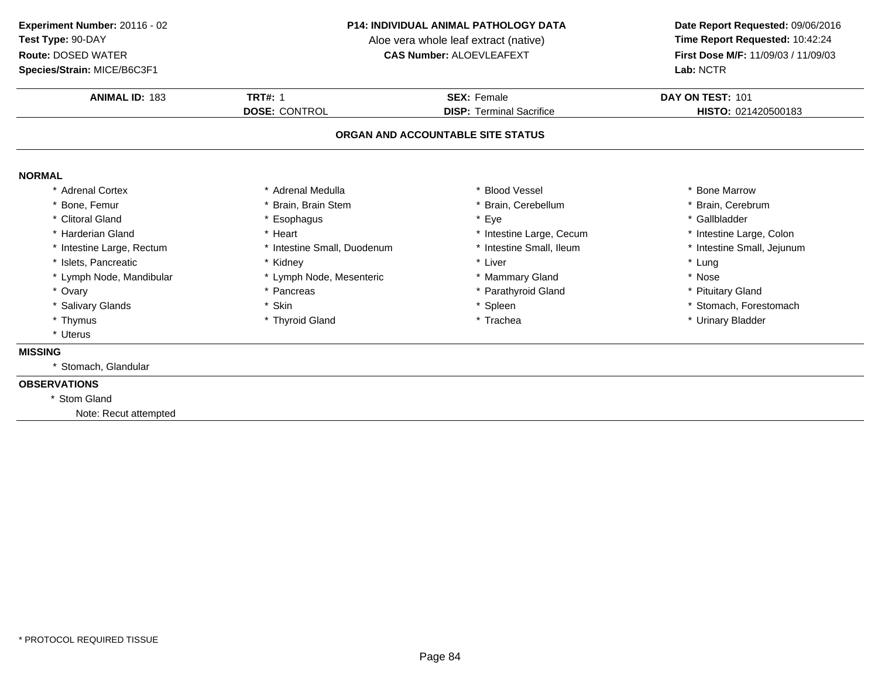# **Species/Strain:** MICE/B6C3F1

### **P14: INDIVIDUAL ANIMAL PATHOLOGY DATA**

Aloe vera whole leaf extract (native)<br>**CAS Number:** ALOEVLEAFEXT

| <b>ANIMAL ID: 183</b>     | <b>TRT#: 1</b>              | <b>SEX: Female</b>                | DAY ON TEST: 101           |
|---------------------------|-----------------------------|-----------------------------------|----------------------------|
|                           | <b>DOSE: CONTROL</b>        | <b>DISP: Terminal Sacrifice</b>   | HISTO: 021420500183        |
|                           |                             | ORGAN AND ACCOUNTABLE SITE STATUS |                            |
| <b>NORMAL</b>             |                             |                                   |                            |
| * Adrenal Cortex          | * Adrenal Medulla           | * Blood Vessel                    | * Bone Marrow              |
| * Bone, Femur             | * Brain, Brain Stem         | * Brain, Cerebellum               | * Brain, Cerebrum          |
| * Clitoral Gland          | * Esophagus                 | * Eye                             | * Gallbladder              |
| * Harderian Gland         | * Heart                     | * Intestine Large, Cecum          | * Intestine Large, Colon   |
| * Intestine Large, Rectum | * Intestine Small, Duodenum | * Intestine Small, Ileum          | * Intestine Small, Jejunum |
| * Islets, Pancreatic      | * Kidney                    | * Liver                           | * Lung                     |
| * Lymph Node, Mandibular  | * Lymph Node, Mesenteric    | * Mammary Gland                   | * Nose                     |
| * Ovary                   | * Pancreas                  | * Parathyroid Gland               | * Pituitary Gland          |
| * Salivary Glands         | * Skin                      | * Spleen                          | * Stomach, Forestomach     |
| * Thymus                  | * Thyroid Gland             | * Trachea                         | * Urinary Bladder          |
| * Uterus                  |                             |                                   |                            |
| <b>MISSING</b>            |                             |                                   |                            |
| * Stomach, Glandular      |                             |                                   |                            |
| <b>OBSERVATIONS</b>       |                             |                                   |                            |
| * Stom Gland              |                             |                                   |                            |
| Note: Recut attempted     |                             |                                   |                            |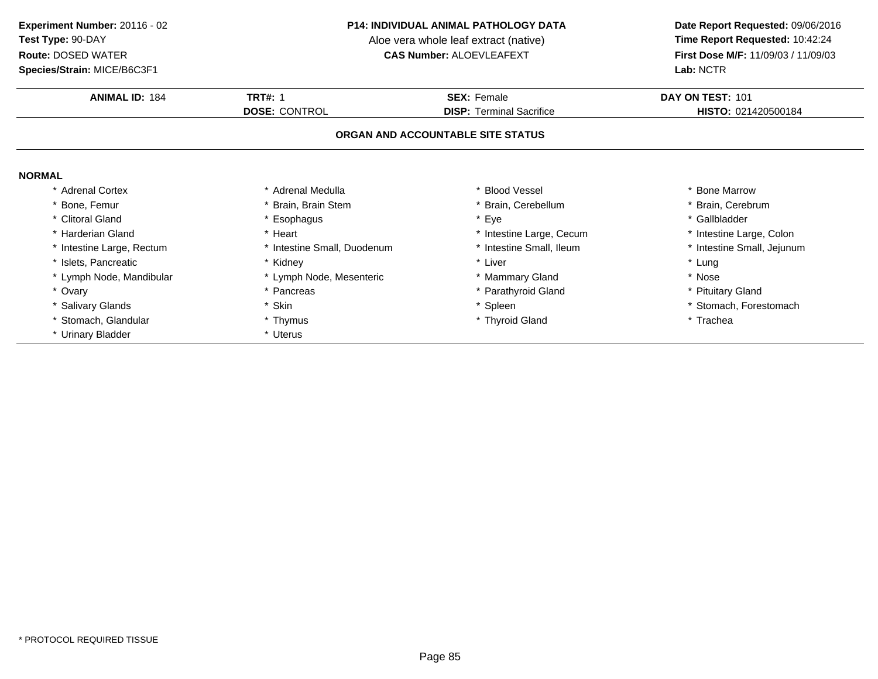**Species/Strain:** MICE/B6C3F1

### **P14: INDIVIDUAL ANIMAL PATHOLOGY DATA**

Aloe vera whole leaf extract (native)<br>**CAS Number:** ALOEVLEAFEXT

| <b>ANIMAL ID: 184</b>     | <b>TRT#: 1</b>              | <b>SEX: Female</b>                | DAY ON TEST: 101           |
|---------------------------|-----------------------------|-----------------------------------|----------------------------|
|                           | <b>DOSE: CONTROL</b>        | <b>DISP: Terminal Sacrifice</b>   | HISTO: 021420500184        |
|                           |                             | ORGAN AND ACCOUNTABLE SITE STATUS |                            |
| <b>NORMAL</b>             |                             |                                   |                            |
| * Adrenal Cortex          | * Adrenal Medulla           | * Blood Vessel                    | <b>Bone Marrow</b>         |
| Bone, Femur               | Brain, Brain Stem           | * Brain, Cerebellum               | Brain, Cerebrum            |
| * Clitoral Gland          | * Esophagus                 | * Eye                             | * Gallbladder              |
| Harderian Gland           | * Heart                     | * Intestine Large, Cecum          | * Intestine Large, Colon   |
| * Intestine Large, Rectum | * Intestine Small, Duodenum | * Intestine Small, Ileum          | * Intestine Small, Jejunum |
| * Islets, Pancreatic      | * Kidney                    | * Liver                           | * Lung                     |
| * Lymph Node, Mandibular  | * Lymph Node, Mesenteric    | * Mammary Gland                   | * Nose                     |
| * Ovary                   | * Pancreas                  | * Parathyroid Gland               | * Pituitary Gland          |
| * Salivary Glands         | * Skin                      | * Spleen                          | * Stomach, Forestomach     |
| Stomach, Glandular        | * Thymus                    | * Thyroid Gland                   | * Trachea                  |
| * Urinary Bladder         | * Uterus                    |                                   |                            |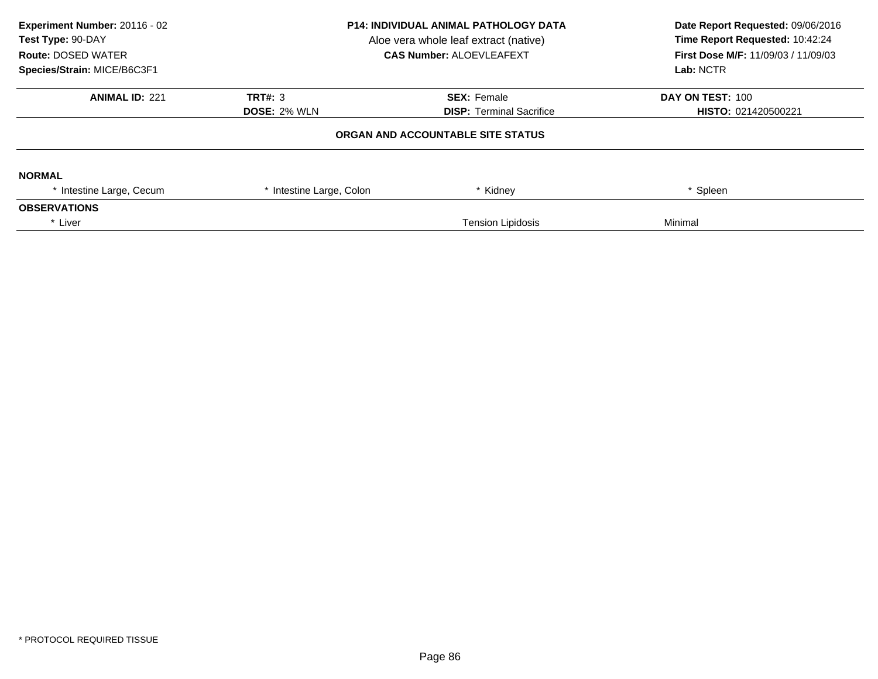| Experiment Number: 20116 - 02<br>Test Type: 90-DAY<br><b>Route: DOSED WATER</b><br>Species/Strain: MICE/B6C3F1 | <b>P14: INDIVIDUAL ANIMAL PATHOLOGY DATA</b><br>Aloe vera whole leaf extract (native)<br><b>CAS Number: ALOEVLEAFEXT</b> |                                                       | Date Report Requested: 09/06/2016<br>Time Report Requested: 10:42:24<br>First Dose M/F: 11/09/03 / 11/09/03<br>Lab: NCTR |  |
|----------------------------------------------------------------------------------------------------------------|--------------------------------------------------------------------------------------------------------------------------|-------------------------------------------------------|--------------------------------------------------------------------------------------------------------------------------|--|
| <b>ANIMAL ID: 221</b>                                                                                          | TRT#: 3<br><b>DOSE: 2% WLN</b>                                                                                           | <b>SEX: Female</b><br><b>DISP: Terminal Sacrifice</b> | DAY ON TEST: 100<br><b>HISTO: 021420500221</b>                                                                           |  |
|                                                                                                                |                                                                                                                          | ORGAN AND ACCOUNTABLE SITE STATUS                     |                                                                                                                          |  |
| <b>NORMAL</b>                                                                                                  |                                                                                                                          |                                                       |                                                                                                                          |  |
| * Intestine Large, Cecum                                                                                       | * Intestine Large, Colon                                                                                                 | * Kidney                                              | * Spleen                                                                                                                 |  |
| <b>OBSERVATIONS</b>                                                                                            |                                                                                                                          |                                                       |                                                                                                                          |  |
| * Liver                                                                                                        |                                                                                                                          | <b>Tension Lipidosis</b>                              | Minimal                                                                                                                  |  |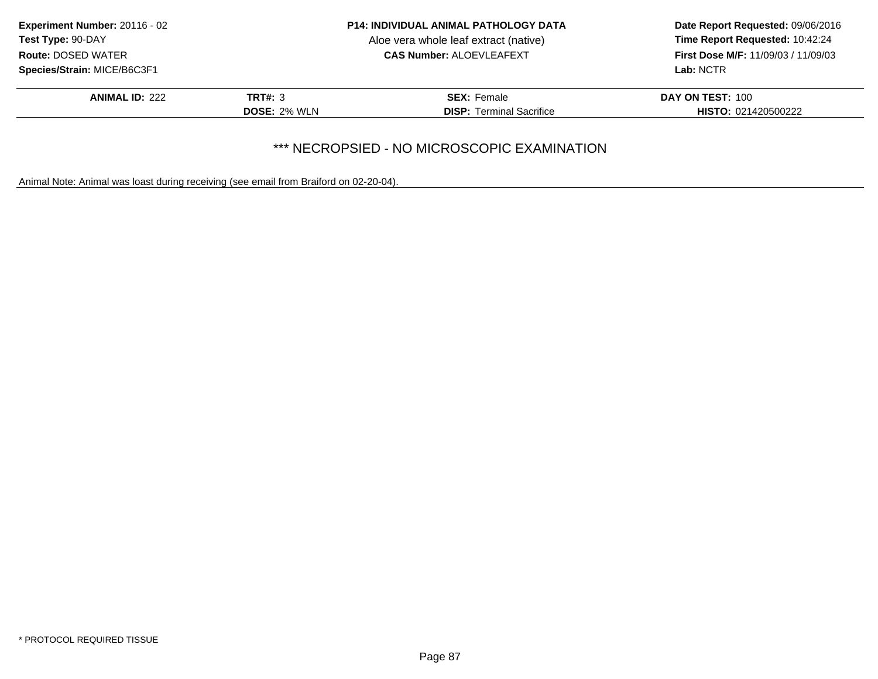| Experiment Number: 20116 - 02<br>Test Type: 90-DAY<br><b>Route: DOSED WATER</b> |                     | <b>P14: INDIVIDUAL ANIMAL PATHOLOGY DATA</b> | Date Report Requested: 09/06/2016          |
|---------------------------------------------------------------------------------|---------------------|----------------------------------------------|--------------------------------------------|
|                                                                                 |                     | Aloe vera whole leaf extract (native)        | Time Report Requested: 10:42:24            |
|                                                                                 |                     | <b>CAS Number: ALOEVLEAFEXT</b>              | <b>First Dose M/F: 11/09/03 / 11/09/03</b> |
| Species/Strain: MICE/B6C3F1                                                     |                     |                                              | Lab: NCTR                                  |
| <b>ANIMAL ID: 222</b>                                                           | <b>TRT#: 3</b>      | <b>SEX: Female</b>                           | DAY ON TEST: 100                           |
|                                                                                 | <b>DOSE: 2% WLN</b> | <b>DISP: Terminal Sacrifice</b>              | <b>HISTO: 021420500222</b>                 |
|                                                                                 |                     |                                              |                                            |

# \*\*\* NECROPSIED - NO MICROSCOPIC EXAMINATION

Animal Note: Animal was loast during receiving (see email from Braiford on 02-20-04).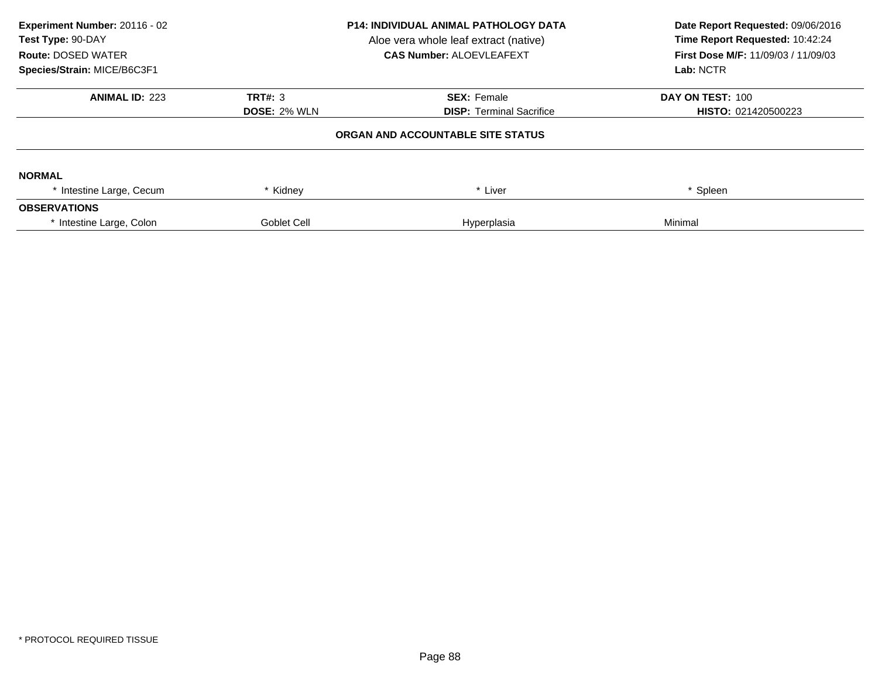| Experiment Number: 20116 - 02<br>Test Type: 90-DAY<br><b>Route: DOSED WATER</b><br>Species/Strain: MICE/B6C3F1 | <b>P14: INDIVIDUAL ANIMAL PATHOLOGY DATA</b><br>Aloe vera whole leaf extract (native)<br><b>CAS Number: ALOEVLEAFEXT</b> |                                   | Date Report Requested: 09/06/2016<br>Time Report Requested: 10:42:24<br><b>First Dose M/F: 11/09/03 / 11/09/03</b><br>Lab: NCTR |
|----------------------------------------------------------------------------------------------------------------|--------------------------------------------------------------------------------------------------------------------------|-----------------------------------|---------------------------------------------------------------------------------------------------------------------------------|
| <b>ANIMAL ID: 223</b>                                                                                          | TRT#: 3                                                                                                                  | <b>SEX: Female</b>                | DAY ON TEST: 100                                                                                                                |
|                                                                                                                | <b>DOSE: 2% WLN</b>                                                                                                      | <b>DISP: Terminal Sacrifice</b>   | <b>HISTO: 021420500223</b>                                                                                                      |
|                                                                                                                |                                                                                                                          | ORGAN AND ACCOUNTABLE SITE STATUS |                                                                                                                                 |
| <b>NORMAL</b>                                                                                                  |                                                                                                                          |                                   |                                                                                                                                 |
| * Intestine Large, Cecum                                                                                       | * Kidney                                                                                                                 | * Liver                           | <sup>*</sup> Spleen                                                                                                             |
| <b>OBSERVATIONS</b>                                                                                            |                                                                                                                          |                                   |                                                                                                                                 |
| * Intestine Large, Colon                                                                                       | <b>Goblet Cell</b>                                                                                                       | Hyperplasia                       | Minimal                                                                                                                         |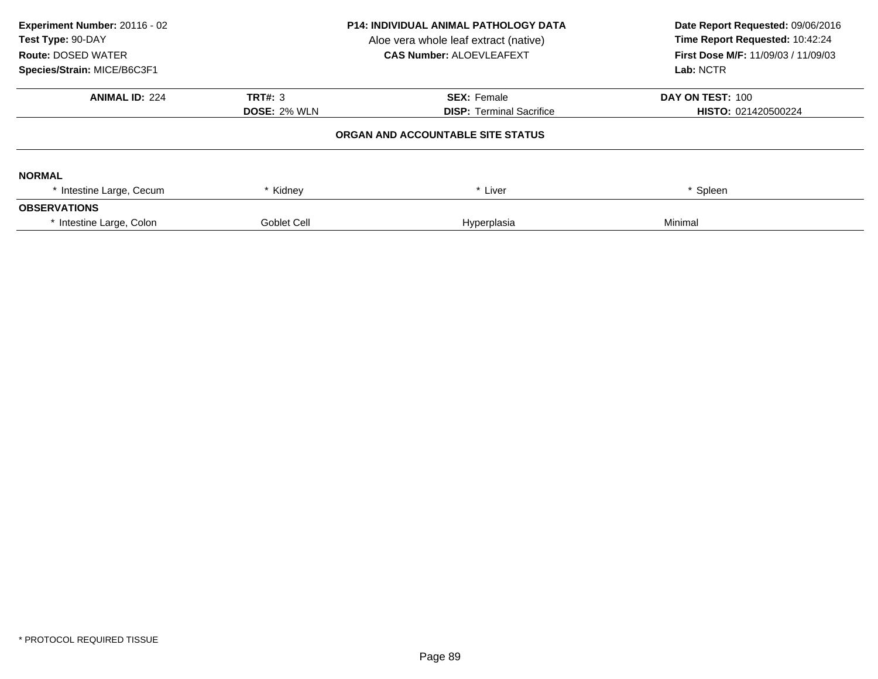| Experiment Number: 20116 - 02<br>Test Type: 90-DAY<br><b>Route: DOSED WATER</b><br>Species/Strain: MICE/B6C3F1 | <b>P14: INDIVIDUAL ANIMAL PATHOLOGY DATA</b><br>Aloe vera whole leaf extract (native)<br><b>CAS Number: ALOEVLEAFEXT</b> |                                   | Date Report Requested: 09/06/2016<br>Time Report Requested: 10:42:24<br><b>First Dose M/F: 11/09/03 / 11/09/03</b><br>Lab: NCTR |
|----------------------------------------------------------------------------------------------------------------|--------------------------------------------------------------------------------------------------------------------------|-----------------------------------|---------------------------------------------------------------------------------------------------------------------------------|
| <b>ANIMAL ID: 224</b>                                                                                          | <b>TRT#: 3</b>                                                                                                           | <b>SEX: Female</b>                | DAY ON TEST: 100                                                                                                                |
|                                                                                                                | <b>DOSE: 2% WLN</b>                                                                                                      | <b>DISP: Terminal Sacrifice</b>   | <b>HISTO: 021420500224</b>                                                                                                      |
|                                                                                                                |                                                                                                                          | ORGAN AND ACCOUNTABLE SITE STATUS |                                                                                                                                 |
| <b>NORMAL</b>                                                                                                  |                                                                                                                          |                                   |                                                                                                                                 |
| * Intestine Large, Cecum                                                                                       | Kidney                                                                                                                   | * Liver                           | Spleen                                                                                                                          |
| <b>OBSERVATIONS</b>                                                                                            |                                                                                                                          |                                   |                                                                                                                                 |
| * Intestine Large, Colon                                                                                       | <b>Goblet Cell</b>                                                                                                       | Hyperplasia                       | Minimal                                                                                                                         |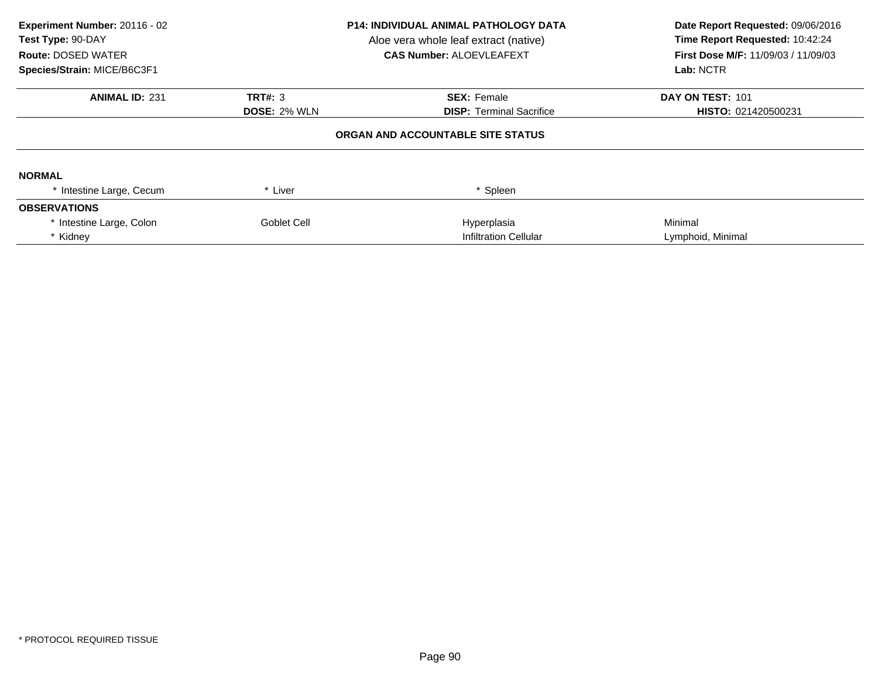| Experiment Number: 20116 - 02<br>Test Type: 90-DAY<br><b>Route: DOSED WATER</b><br>Species/Strain: MICE/B6C3F1 | <b>P14: INDIVIDUAL ANIMAL PATHOLOGY DATA</b><br>Aloe vera whole leaf extract (native)<br><b>CAS Number: ALOEVLEAFEXT</b> |                                   | Date Report Requested: 09/06/2016<br>Time Report Requested: 10:42:24<br><b>First Dose M/F: 11/09/03 / 11/09/03</b><br>Lab: NCTR |
|----------------------------------------------------------------------------------------------------------------|--------------------------------------------------------------------------------------------------------------------------|-----------------------------------|---------------------------------------------------------------------------------------------------------------------------------|
| <b>ANIMAL ID: 231</b>                                                                                          | TRT#: 3                                                                                                                  | <b>SEX: Female</b>                | DAY ON TEST: 101                                                                                                                |
|                                                                                                                | <b>DOSE: 2% WLN</b><br><b>DISP:</b> Terminal Sacrifice                                                                   |                                   | HISTO: 021420500231                                                                                                             |
|                                                                                                                |                                                                                                                          | ORGAN AND ACCOUNTABLE SITE STATUS |                                                                                                                                 |
| <b>NORMAL</b>                                                                                                  |                                                                                                                          |                                   |                                                                                                                                 |
| * Intestine Large, Cecum                                                                                       | * Liver                                                                                                                  | * Spleen                          |                                                                                                                                 |
| <b>OBSERVATIONS</b>                                                                                            |                                                                                                                          |                                   |                                                                                                                                 |
| * Intestine Large, Colon                                                                                       | Goblet Cell                                                                                                              | Hyperplasia                       | Minimal                                                                                                                         |
| * Kidney                                                                                                       |                                                                                                                          | <b>Infiltration Cellular</b>      | Lymphoid, Minimal                                                                                                               |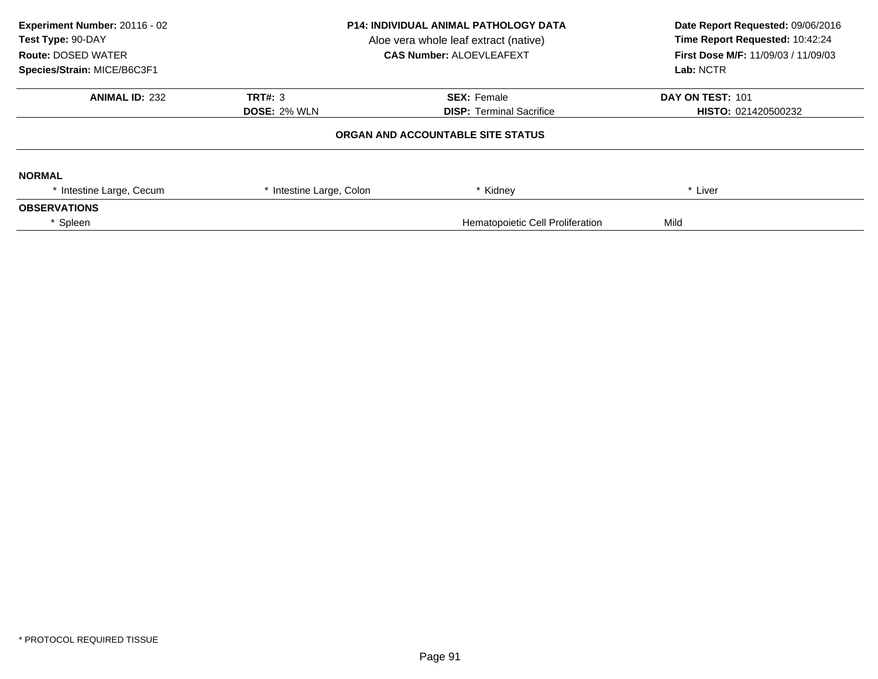| Experiment Number: 20116 - 02<br>Test Type: 90-DAY<br><b>Route: DOSED WATER</b><br>Species/Strain: MICE/B6C3F1 | <b>P14: INDIVIDUAL ANIMAL PATHOLOGY DATA</b><br>Aloe vera whole leaf extract (native)<br><b>CAS Number: ALOEVLEAFEXT</b> |                                   | Date Report Requested: 09/06/2016<br>Time Report Requested: 10:42:24<br>First Dose M/F: 11/09/03 / 11/09/03<br>Lab: NCTR |
|----------------------------------------------------------------------------------------------------------------|--------------------------------------------------------------------------------------------------------------------------|-----------------------------------|--------------------------------------------------------------------------------------------------------------------------|
| <b>ANIMAL ID: 232</b>                                                                                          | TRT#: 3                                                                                                                  | <b>SEX: Female</b>                | DAY ON TEST: 101                                                                                                         |
|                                                                                                                | <b>DOSE: 2% WLN</b>                                                                                                      | <b>DISP: Terminal Sacrifice</b>   | <b>HISTO: 021420500232</b>                                                                                               |
|                                                                                                                |                                                                                                                          | ORGAN AND ACCOUNTABLE SITE STATUS |                                                                                                                          |
| <b>NORMAL</b>                                                                                                  |                                                                                                                          |                                   |                                                                                                                          |
| * Intestine Large, Cecum                                                                                       | * Intestine Large, Colon                                                                                                 | * Kidney                          | * Liver                                                                                                                  |
| <b>OBSERVATIONS</b>                                                                                            |                                                                                                                          |                                   |                                                                                                                          |
| Spleen                                                                                                         |                                                                                                                          | Mild                              |                                                                                                                          |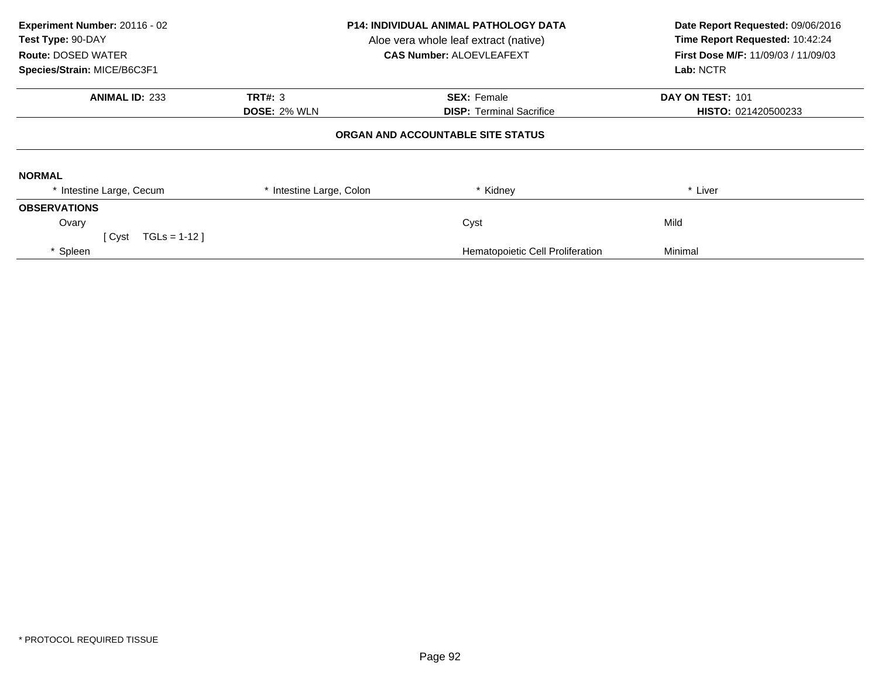| Experiment Number: 20116 - 02<br>Test Type: 90-DAY<br><b>Route: DOSED WATER</b><br>Species/Strain: MICE/B6C3F1 | <b>P14: INDIVIDUAL ANIMAL PATHOLOGY DATA</b><br>Aloe vera whole leaf extract (native)<br><b>CAS Number: ALOEVLEAFEXT</b> |                                   | Date Report Requested: 09/06/2016<br>Time Report Requested: 10:42:24<br>First Dose M/F: 11/09/03 / 11/09/03<br>Lab: NCTR |
|----------------------------------------------------------------------------------------------------------------|--------------------------------------------------------------------------------------------------------------------------|-----------------------------------|--------------------------------------------------------------------------------------------------------------------------|
| <b>ANIMAL ID: 233</b>                                                                                          | <b>TRT#: 3</b>                                                                                                           | <b>SEX: Female</b>                | DAY ON TEST: 101                                                                                                         |
|                                                                                                                | <b>DOSE: 2% WLN</b>                                                                                                      | <b>DISP: Terminal Sacrifice</b>   | HISTO: 021420500233                                                                                                      |
|                                                                                                                |                                                                                                                          | ORGAN AND ACCOUNTABLE SITE STATUS |                                                                                                                          |
| <b>NORMAL</b>                                                                                                  |                                                                                                                          |                                   |                                                                                                                          |
| * Intestine Large, Cecum                                                                                       | * Intestine Large, Colon                                                                                                 | * Kidney                          | * Liver                                                                                                                  |
| <b>OBSERVATIONS</b>                                                                                            |                                                                                                                          |                                   |                                                                                                                          |
| Ovary                                                                                                          |                                                                                                                          | Cyst                              | Mild                                                                                                                     |
| $TGLs = 1-12$<br>[ Cyst                                                                                        |                                                                                                                          |                                   |                                                                                                                          |
| * Spleen                                                                                                       |                                                                                                                          | Hematopoietic Cell Proliferation  | Minimal                                                                                                                  |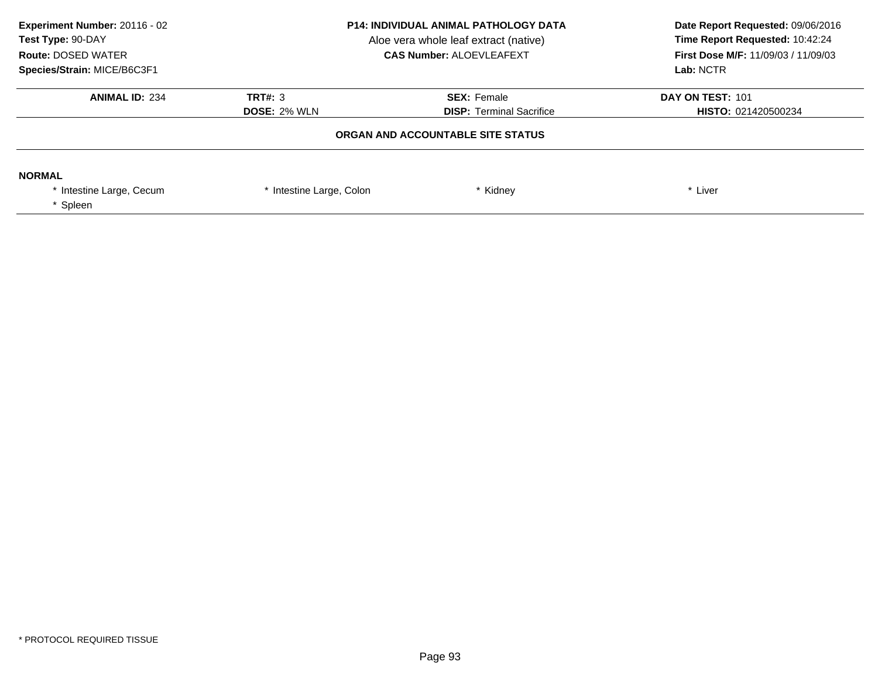| Experiment Number: 20116 - 02<br>Test Type: 90-DAY<br><b>Route: DOSED WATER</b><br>Species/Strain: MICE/B6C3F1 | <b>P14: INDIVIDUAL ANIMAL PATHOLOGY DATA</b><br>Aloe vera whole leaf extract (native)<br><b>CAS Number: ALOEVLEAFEXT</b> |                                                       | Date Report Requested: 09/06/2016<br>Time Report Requested: 10:42:24<br><b>First Dose M/F: 11/09/03 / 11/09/03</b><br>Lab: NCTR |
|----------------------------------------------------------------------------------------------------------------|--------------------------------------------------------------------------------------------------------------------------|-------------------------------------------------------|---------------------------------------------------------------------------------------------------------------------------------|
| <b>ANIMAL ID: 234</b>                                                                                          | TRT#: 3<br><b>DOSE: 2% WLN</b>                                                                                           | <b>SEX: Female</b><br><b>DISP:</b> Terminal Sacrifice | DAY ON TEST: 101<br>HISTO: 021420500234                                                                                         |
|                                                                                                                |                                                                                                                          | ORGAN AND ACCOUNTABLE SITE STATUS                     |                                                                                                                                 |
| <b>NORMAL</b><br>* Intestine Large, Cecum<br>Spleen                                                            | * Intestine Large, Colon                                                                                                 | Kidney                                                | * Liver                                                                                                                         |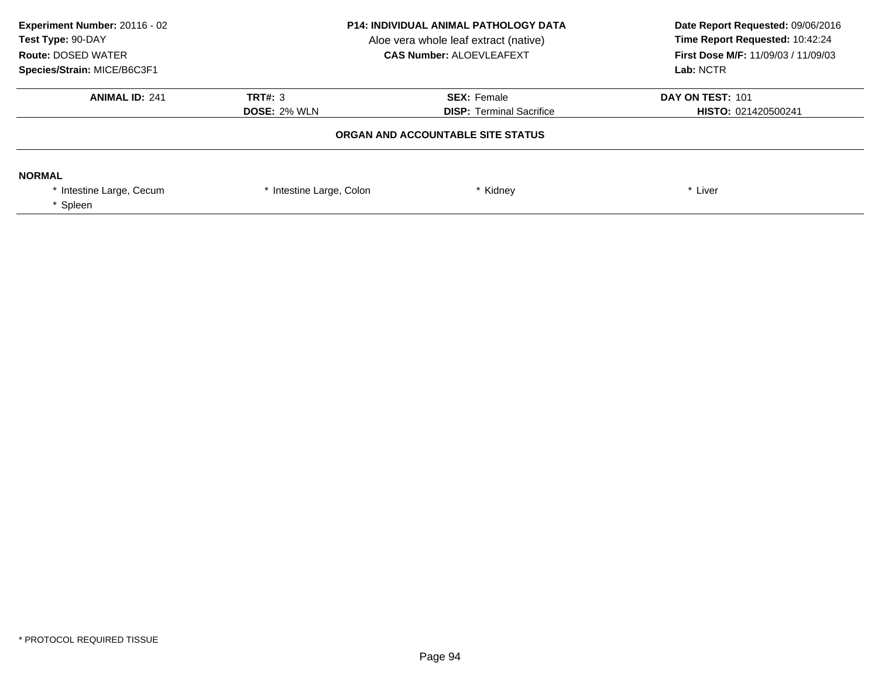| Experiment Number: 20116 - 02<br>Test Type: 90-DAY<br><b>Route: DOSED WATER</b><br>Species/Strain: MICE/B6C3F1 | <b>P14: INDIVIDUAL ANIMAL PATHOLOGY DATA</b><br>Aloe vera whole leaf extract (native)<br><b>CAS Number: ALOEVLEAFEXT</b> |                                                       | Date Report Requested: 09/06/2016<br>Time Report Requested: 10:42:24<br><b>First Dose M/F: 11/09/03 / 11/09/03</b><br>Lab: NCTR |
|----------------------------------------------------------------------------------------------------------------|--------------------------------------------------------------------------------------------------------------------------|-------------------------------------------------------|---------------------------------------------------------------------------------------------------------------------------------|
| <b>ANIMAL ID: 241</b>                                                                                          | TRT#: 3<br><b>DOSE: 2% WLN</b>                                                                                           | <b>SEX: Female</b><br><b>DISP:</b> Terminal Sacrifice | DAY ON TEST: 101<br>HISTO: 021420500241                                                                                         |
|                                                                                                                |                                                                                                                          | ORGAN AND ACCOUNTABLE SITE STATUS                     |                                                                                                                                 |
| <b>NORMAL</b><br>* Intestine Large, Cecum<br>Spleen                                                            | * Intestine Large, Colon                                                                                                 | Kidney                                                | * Liver                                                                                                                         |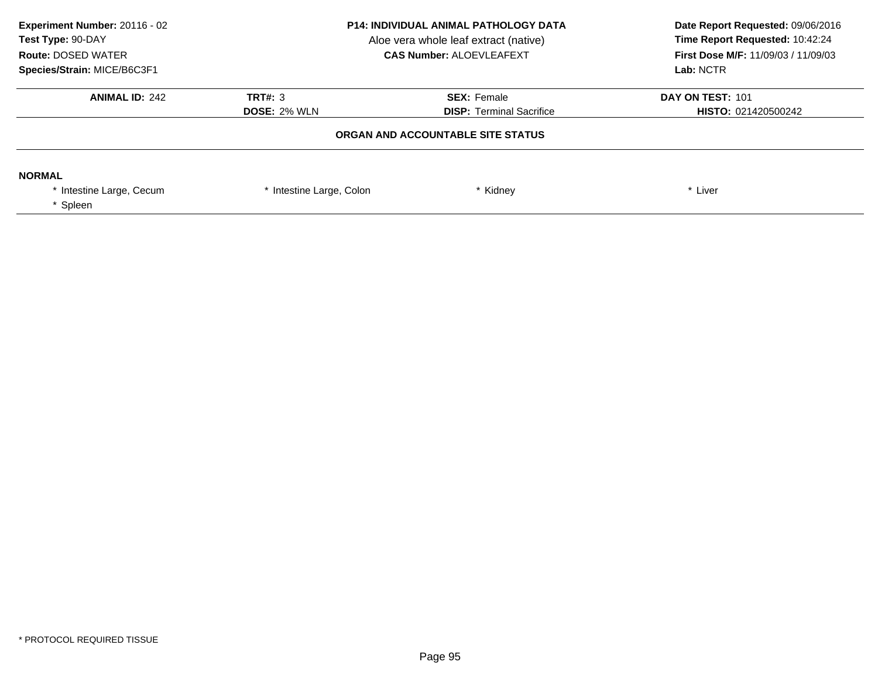| Experiment Number: 20116 - 02<br>Test Type: 90-DAY<br><b>Route: DOSED WATER</b><br>Species/Strain: MICE/B6C3F1 | <b>P14: INDIVIDUAL ANIMAL PATHOLOGY DATA</b><br>Aloe vera whole leaf extract (native)<br><b>CAS Number: ALOEVLEAFEXT</b> |                                                       | Date Report Requested: 09/06/2016<br>Time Report Requested: 10:42:24<br><b>First Dose M/F: 11/09/03 / 11/09/03</b><br>Lab: NCTR |
|----------------------------------------------------------------------------------------------------------------|--------------------------------------------------------------------------------------------------------------------------|-------------------------------------------------------|---------------------------------------------------------------------------------------------------------------------------------|
| <b>ANIMAL ID: 242</b>                                                                                          | TRT#: 3<br><b>DOSE: 2% WLN</b>                                                                                           | <b>SEX: Female</b><br><b>DISP:</b> Terminal Sacrifice | DAY ON TEST: 101<br>HISTO: 021420500242                                                                                         |
|                                                                                                                |                                                                                                                          | ORGAN AND ACCOUNTABLE SITE STATUS                     |                                                                                                                                 |
| <b>NORMAL</b><br>* Intestine Large, Cecum<br>Spleen                                                            | * Intestine Large, Colon                                                                                                 | Kidney                                                | * Liver                                                                                                                         |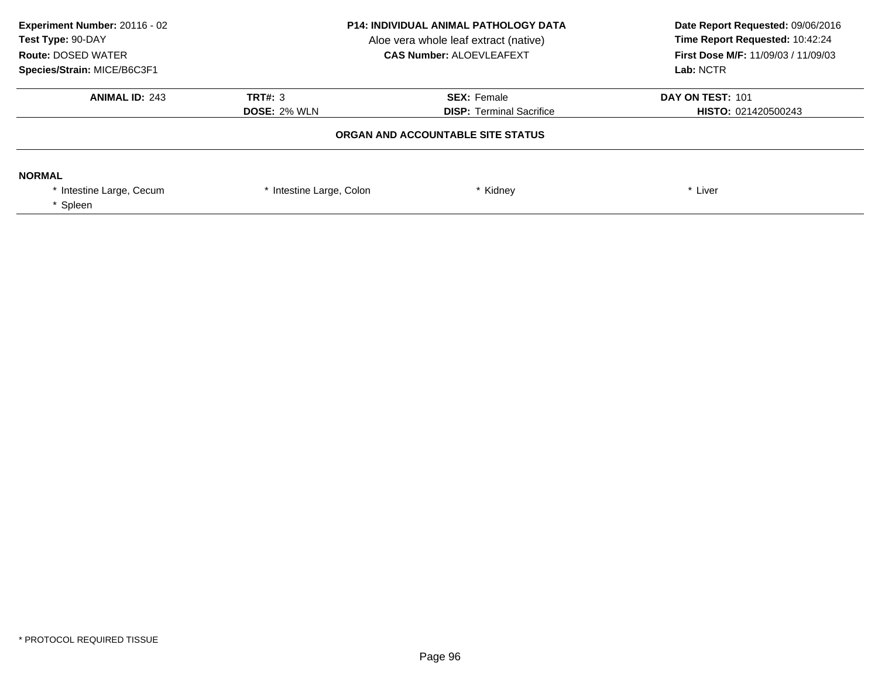| Experiment Number: 20116 - 02<br>Test Type: 90-DAY<br><b>Route: DOSED WATER</b><br>Species/Strain: MICE/B6C3F1 | <b>P14: INDIVIDUAL ANIMAL PATHOLOGY DATA</b><br>Aloe vera whole leaf extract (native)<br><b>CAS Number: ALOEVLEAFEXT</b> |                                                       | Date Report Requested: 09/06/2016<br>Time Report Requested: 10:42:24<br>First Dose M/F: 11/09/03 / 11/09/03<br>Lab: NCTR |
|----------------------------------------------------------------------------------------------------------------|--------------------------------------------------------------------------------------------------------------------------|-------------------------------------------------------|--------------------------------------------------------------------------------------------------------------------------|
| <b>ANIMAL ID: 243</b>                                                                                          | TRT#: 3<br><b>DOSE: 2% WLN</b>                                                                                           | <b>SEX: Female</b><br><b>DISP:</b> Terminal Sacrifice | DAY ON TEST: 101<br><b>HISTO: 021420500243</b>                                                                           |
|                                                                                                                |                                                                                                                          | ORGAN AND ACCOUNTABLE SITE STATUS                     |                                                                                                                          |
| <b>NORMAL</b><br>* Intestine Large, Cecum<br>Spleen                                                            | * Intestine Large, Colon                                                                                                 | Kidney                                                | * Liver                                                                                                                  |